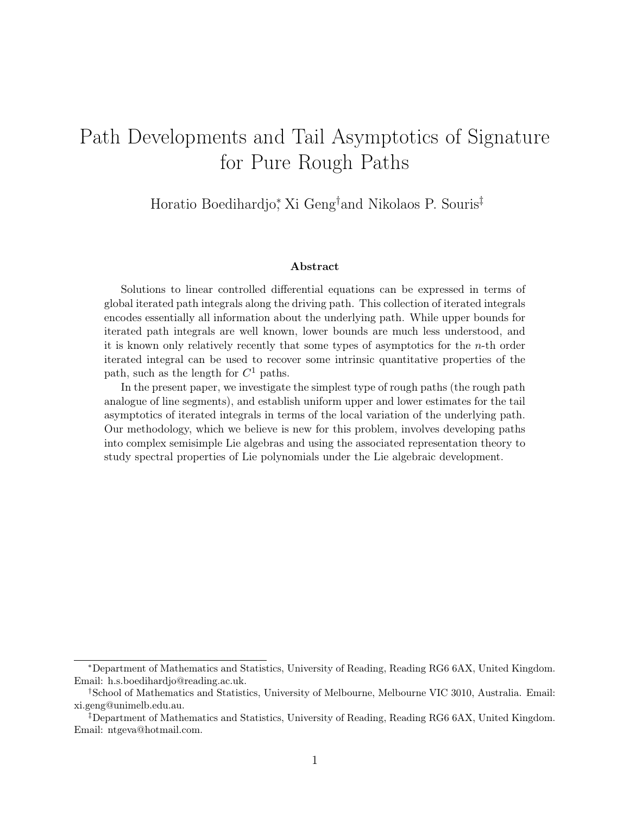# Path Developments and Tail Asymptotics of Signature for Pure Rough Paths

Horatio Boedihardjo<sup>∗</sup> , Xi Geng† and Nikolaos P. Souris‡

#### Abstract

Solutions to linear controlled differential equations can be expressed in terms of global iterated path integrals along the driving path. This collection of iterated integrals encodes essentially all information about the underlying path. While upper bounds for iterated path integrals are well known, lower bounds are much less understood, and it is known only relatively recently that some types of asymptotics for the  $n$ -th order iterated integral can be used to recover some intrinsic quantitative properties of the path, such as the length for  $C^1$  paths.

In the present paper, we investigate the simplest type of rough paths (the rough path analogue of line segments), and establish uniform upper and lower estimates for the tail asymptotics of iterated integrals in terms of the local variation of the underlying path. Our methodology, which we believe is new for this problem, involves developing paths into complex semisimple Lie algebras and using the associated representation theory to study spectral properties of Lie polynomials under the Lie algebraic development.

<sup>∗</sup>Department of Mathematics and Statistics, University of Reading, Reading RG6 6AX, United Kingdom. Email: h.s.boedihardjo@reading.ac.uk.

<sup>†</sup>School of Mathematics and Statistics, University of Melbourne, Melbourne VIC 3010, Australia. Email: xi.geng@unimelb.edu.au.

<sup>‡</sup>Department of Mathematics and Statistics, University of Reading, Reading RG6 6AX, United Kingdom. Email: ntgeva@hotmail.com.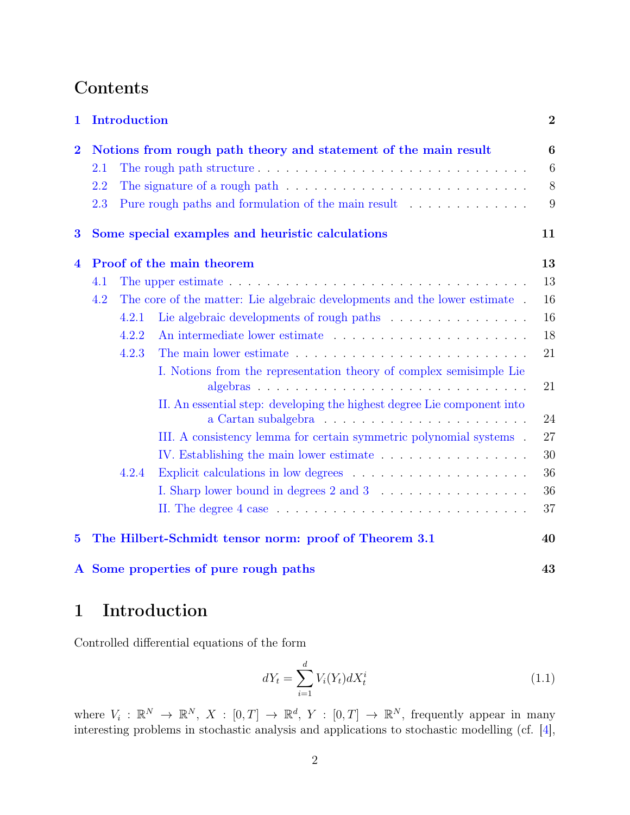# Contents

| $\mathbf{1}$                                                 | <b>Introduction</b><br>Notions from rough path theory and statement of the main result |       |                                                                                                                                                | $\overline{2}$ |
|--------------------------------------------------------------|----------------------------------------------------------------------------------------|-------|------------------------------------------------------------------------------------------------------------------------------------------------|----------------|
| $\overline{\mathbf{2}}$                                      |                                                                                        |       |                                                                                                                                                | 6              |
|                                                              | 2.1                                                                                    |       | The rough path structure $\ldots \ldots \ldots \ldots \ldots \ldots \ldots \ldots \ldots$                                                      | 6              |
|                                                              | 2.2                                                                                    |       | The signature of a rough path $\dots \dots \dots \dots \dots \dots \dots \dots \dots \dots$                                                    | 8              |
|                                                              | 2.3                                                                                    |       | Pure rough paths and formulation of the main result                                                                                            | 9              |
| Some special examples and heuristic calculations<br>$\bf{3}$ |                                                                                        |       |                                                                                                                                                | 11             |
| $\overline{\mathbf{4}}$                                      | Proof of the main theorem                                                              |       |                                                                                                                                                | 13             |
|                                                              | 4.1                                                                                    |       |                                                                                                                                                | 13             |
|                                                              | 4.2                                                                                    |       | The core of the matter: Lie algebraic developments and the lower estimate.                                                                     | 16             |
|                                                              |                                                                                        | 4.2.1 |                                                                                                                                                | 16             |
|                                                              |                                                                                        | 4.2.2 |                                                                                                                                                | 18             |
|                                                              |                                                                                        | 4.2.3 |                                                                                                                                                | 21             |
|                                                              |                                                                                        |       | I. Notions from the representation theory of complex semisimple Lie<br>II. An essential step: developing the highest degree Lie component into | 21             |
|                                                              |                                                                                        |       |                                                                                                                                                | 24             |
|                                                              |                                                                                        |       | III. A consistency lemma for certain symmetric polynomial systems.                                                                             | 27             |
|                                                              |                                                                                        |       | IV. Establishing the main lower estimate                                                                                                       | 30             |
|                                                              |                                                                                        | 4.2.4 |                                                                                                                                                | 36             |
|                                                              |                                                                                        |       |                                                                                                                                                | 36             |
|                                                              |                                                                                        |       | II. The degree $4 \text{ case} \dots \dots \dots \dots \dots \dots \dots \dots \dots \dots \dots$                                              | 37             |
| $\bf{5}$                                                     |                                                                                        |       | The Hilbert-Schmidt tensor norm: proof of Theorem 3.1                                                                                          | 40             |

## [A Some properties of pure rough paths](#page-42-0) 43

## <span id="page-1-0"></span>1 Introduction

Controlled differential equations of the form

<span id="page-1-1"></span>
$$
dY_t = \sum_{i=1}^{d} V_i(Y_t) dX_t^i
$$
\n(1.1)

where  $V_i: \mathbb{R}^N \to \mathbb{R}^N$ ,  $X: [0,T] \to \mathbb{R}^d$ ,  $Y: [0,T] \to \mathbb{R}^N$ , frequently appear in many interesting problems in stochastic analysis and applications to stochastic modelling (cf. [\[4\]](#page-43-0),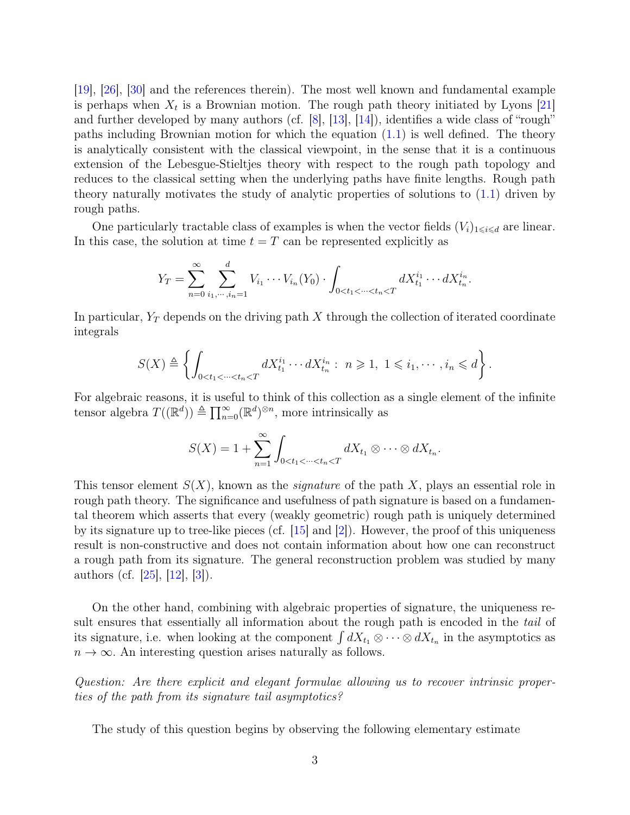[\[19\]](#page-44-0), [\[26\]](#page-44-1), [\[30\]](#page-44-2) and the references therein). The most well known and fundamental example is perhaps when  $X_t$  is a Brownian motion. The rough path theory initiated by Lyons [\[21\]](#page-44-3) and further developed by many authors (cf.  $[8]$ ,  $[13]$ ,  $[14]$ ), identifies a wide class of "rough" paths including Brownian motion for which the equation  $(1.1)$  is well defined. The theory is analytically consistent with the classical viewpoint, in the sense that it is a continuous extension of the Lebesgue-Stieltjes theory with respect to the rough path topology and reduces to the classical setting when the underlying paths have finite lengths. Rough path theory naturally motivates the study of analytic properties of solutions to [\(1.1\)](#page-1-1) driven by rough paths.

One particularly tractable class of examples is when the vector fields  $(V_i)_{1\leq i\leq d}$  are linear. In this case, the solution at time  $t = T$  can be represented explicitly as

$$
Y_T = \sum_{n=0}^{\infty} \sum_{i_1, \dots, i_n=1}^{d} V_{i_1} \cdots V_{i_n}(Y_0) \cdot \int_{0 < t_1 < \dots < t_n < T} dX_{t_1}^{i_1} \cdots dX_{t_n}^{i_n}.
$$

In particular,  $Y_T$  depends on the driving path X through the collection of iterated coordinate integrals

$$
S(X) \triangleq \left\{ \int_{0 < t_1 < \dots < t_n < T} dX_{t_1}^{i_1} \dots dX_{t_n}^{i_n} : n \geq 1, 1 \leq i_1, \dots, i_n \leq d \right\}.
$$

For algebraic reasons, it is useful to think of this collection as a single element of the infinite tensor algebra  $T((\mathbb{R}^d)) \triangleq \prod_{n=0}^{\infty} (\mathbb{R}^d)^{\otimes n}$ , more intrinsically as

$$
S(X) = 1 + \sum_{n=1}^{\infty} \int_{0 < t_1 < \dots < t_n < T} dX_{t_1} \otimes \dots \otimes dX_{t_n}.
$$

This tensor element  $S(X)$ , known as the *signature* of the path X, plays an essential role in rough path theory. The significance and usefulness of path signature is based on a fundamental theorem which asserts that every (weakly geometric) rough path is uniquely determined by its signature up to tree-like pieces (cf.  $\vert 15 \vert$  and  $\vert 2 \vert$ ). However, the proof of this uniqueness result is non-constructive and does not contain information about how one can reconstruct a rough path from its signature. The general reconstruction problem was studied by many authors (cf. [\[25\]](#page-44-6), [\[12\]](#page-43-4), [\[3\]](#page-43-5)).

On the other hand, combining with algebraic properties of signature, the uniqueness result ensures that essentially all information about the rough path is encoded in the *tail* of its signature, i.e. when looking at the component  $\int dX_{t_1} \otimes \cdots \otimes dX_{t_n}$  in the asymptotics as  $n \to \infty$ . An interesting question arises naturally as follows.

Question: Are there explicit and elegant formulae allowing us to recover intrinsic properties of the path from its signature tail asymptotics?

The study of this question begins by observing the following elementary estimate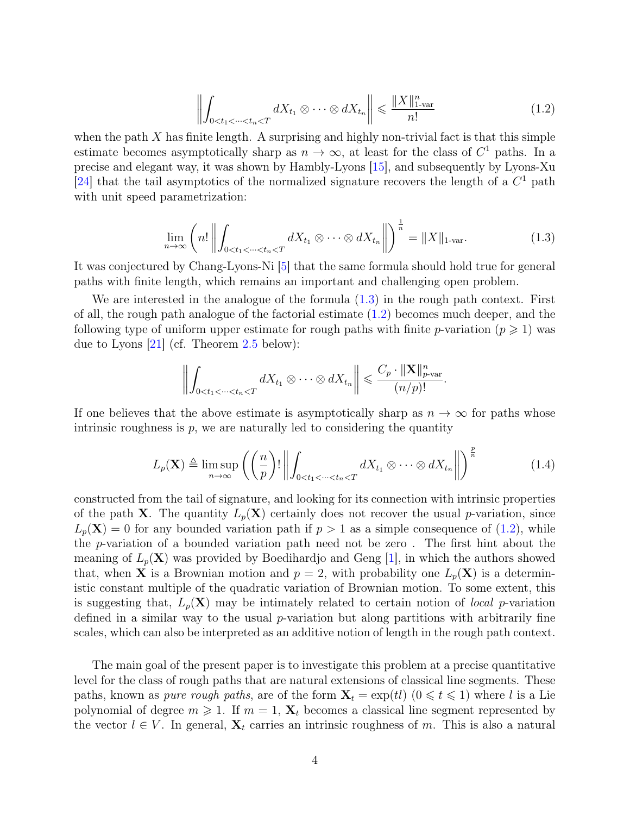<span id="page-3-1"></span>
$$
\left\| \int_{0 < t_1 < \dots < t_n < T} dX_{t_1} \otimes \dots \otimes dX_{t_n} \right\| \leq \frac{\|X\|_{1\text{-}\text{var}}^n}{n!} \tag{1.2}
$$

when the path  $X$  has finite length. A surprising and highly non-trivial fact is that this simple estimate becomes asymptotically sharp as  $n \to \infty$ , at least for the class of  $C^1$  paths. In a precise and elegant way, it was shown by Hambly-Lyons [\[15\]](#page-44-5), and subsequently by Lyons-Xu [\[24\]](#page-44-7) that the tail asymptotics of the normalized signature recovers the length of a  $C<sup>1</sup>$  path with unit speed parametrization:

<span id="page-3-0"></span>
$$
\lim_{n \to \infty} \left( n! \left\| \int_{0 < t_1 < \dots < t_n < T} dX_{t_1} \otimes \dots \otimes dX_{t_n} \right\| \right)^{\frac{1}{n}} = \|X\|_{1 \text{-var}}.\tag{1.3}
$$

It was conjectured by Chang-Lyons-Ni [\[5\]](#page-43-6) that the same formula should hold true for general paths with finite length, which remains an important and challenging open problem.

We are interested in the analogue of the formula [\(1.3\)](#page-3-0) in the rough path context. First of all, the rough path analogue of the factorial estimate [\(1.2\)](#page-3-1) becomes much deeper, and the following type of uniform upper estimate for rough paths with finite p-variation ( $p \geq 1$ ) was due to Lyons [\[21\]](#page-44-3) (cf. Theorem [2.5](#page-7-1) below):

$$
\left\| \int_{0 < t_1 < \dots < t_n < T} dX_{t_1} \otimes \dots \otimes dX_{t_n} \right\| \leqslant \frac{C_p \cdot ||\mathbf{X}||_{p\text{-}\mathrm{var}}^n}{(n/p)!}.
$$

If one believes that the above estimate is asymptotically sharp as  $n \to \infty$  for paths whose intrinsic roughness is  $p$ , we are naturally led to considering the quantity

<span id="page-3-2"></span>
$$
L_p(\mathbf{X}) \triangleq \limsup_{n \to \infty} \left( \left( \frac{n}{p} \right)! \left\| \int_{0 < t_1 < \dots < t_n < T} dX_{t_1} \otimes \dots \otimes dX_{t_n} \right\| \right)^{\frac{p}{n}} \tag{1.4}
$$

constructed from the tail of signature, and looking for its connection with intrinsic properties of the path **X**. The quantity  $L_p(\mathbf{X})$  certainly does not recover the usual p-variation, since  $L_p(\mathbf{X}) = 0$  for any bounded variation path if  $p > 1$  as a simple consequence of [\(1.2\)](#page-3-1), while the p-variation of a bounded variation path need not be zero . The first hint about the meaning of  $L_p(\mathbf{X})$  was provided by Boedihardjo and Geng |1|, in which the authors showed that, when **X** is a Brownian motion and  $p = 2$ , with probability one  $L_p(\mathbf{X})$  is a deterministic constant multiple of the quadratic variation of Brownian motion. To some extent, this is suggesting that,  $L_p(\mathbf{X})$  may be intimately related to certain notion of *local* p-variation defined in a similar way to the usual  $p$ -variation but along partitions with arbitrarily fine scales, which can also be interpreted as an additive notion of length in the rough path context.

The main goal of the present paper is to investigate this problem at a precise quantitative level for the class of rough paths that are natural extensions of classical line segments. These paths, known as *pure rough paths*, are of the form  $X_t = \exp(t)$   $(0 \le t \le 1)$  where l is a Lie polynomial of degree  $m \geq 1$ . If  $m = 1$ ,  $X_t$  becomes a classical line segment represented by the vector  $l \in V$ . In general,  $X_t$  carries an intrinsic roughness of m. This is also a natural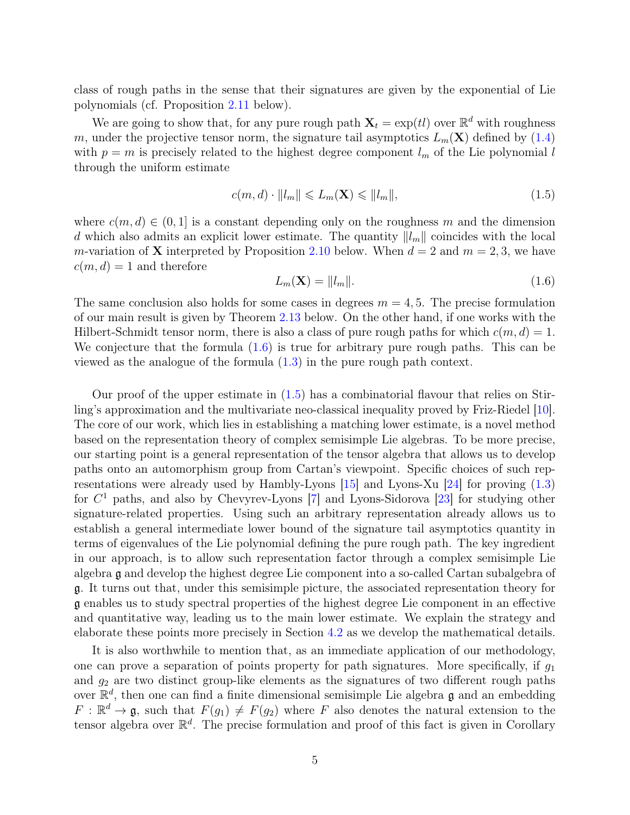class of rough paths in the sense that their signatures are given by the exponential of Lie polynomials (cf. Proposition [2.11](#page-9-0) below).

We are going to show that, for any pure rough path  $\mathbf{X}_t = \exp(t)$  over  $\mathbb{R}^d$  with roughness m, under the projective tensor norm, the signature tail asymptotics  $L_m(\mathbf{X})$  defined by [\(1.4\)](#page-3-2) with  $p = m$  is precisely related to the highest degree component  $l_m$  of the Lie polynomial l through the uniform estimate

<span id="page-4-1"></span>
$$
c(m,d) \cdot ||l_m|| \leqslant L_m(\mathbf{X}) \leqslant ||l_m||,\tag{1.5}
$$

where  $c(m, d) \in (0, 1]$  is a constant depending only on the roughness m and the dimension d which also admits an explicit lower estimate. The quantity  $||l_m||$  coincides with the local m-variation of **X** interpreted by Proposition [2.10](#page-9-1) below. When  $d = 2$  and  $m = 2, 3$ , we have  $c(m, d) = 1$  and therefore

<span id="page-4-0"></span>
$$
L_m(\mathbf{X}) = ||l_m||. \tag{1.6}
$$

The same conclusion also holds for some cases in degrees  $m = 4, 5$ . The precise formulation of our main result is given by Theorem [2.13](#page-9-2) below. On the other hand, if one works with the Hilbert-Schmidt tensor norm, there is also a class of pure rough paths for which  $c(m, d) = 1$ . We conjecture that the formula  $(1.6)$  is true for arbitrary pure rough paths. This can be viewed as the analogue of the formula [\(1.3\)](#page-3-0) in the pure rough path context.

Our proof of the upper estimate in [\(1.5\)](#page-4-1) has a combinatorial flavour that relies on Stirling's approximation and the multivariate neo-classical inequality proved by Friz-Riedel [\[10\]](#page-43-8). The core of our work, which lies in establishing a matching lower estimate, is a novel method based on the representation theory of complex semisimple Lie algebras. To be more precise, our starting point is a general representation of the tensor algebra that allows us to develop paths onto an automorphism group from Cartan's viewpoint. Specific choices of such representations were already used by Hambly-Lyons  $[15]$  and Lyons-Xu  $[24]$  for proving  $(1.3)$ for C <sup>1</sup> paths, and also by Chevyrev-Lyons [\[7\]](#page-43-9) and Lyons-Sidorova [\[23\]](#page-44-8) for studying other signature-related properties. Using such an arbitrary representation already allows us to establish a general intermediate lower bound of the signature tail asymptotics quantity in terms of eigenvalues of the Lie polynomial defining the pure rough path. The key ingredient in our approach, is to allow such representation factor through a complex semisimple Lie algebra g and develop the highest degree Lie component into a so-called Cartan subalgebra of g. It turns out that, under this semisimple picture, the associated representation theory for g enables us to study spectral properties of the highest degree Lie component in an effective and quantitative way, leading us to the main lower estimate. We explain the strategy and elaborate these points more precisely in Section [4.2](#page-15-0) as we develop the mathematical details.

It is also worthwhile to mention that, as an immediate application of our methodology, one can prove a separation of points property for path signatures. More specifically, if  $g_1$ and  $g_2$  are two distinct group-like elements as the signatures of two different rough paths over  $\mathbb{R}^d$ , then one can find a finite dimensional semisimple Lie algebra g and an embedding  $F: \mathbb{R}^d \to \mathfrak{g}$ , such that  $F(g_1) \neq F(g_2)$  where F also denotes the natural extension to the tensor algebra over  $\mathbb{R}^d$ . The precise formulation and proof of this fact is given in Corollary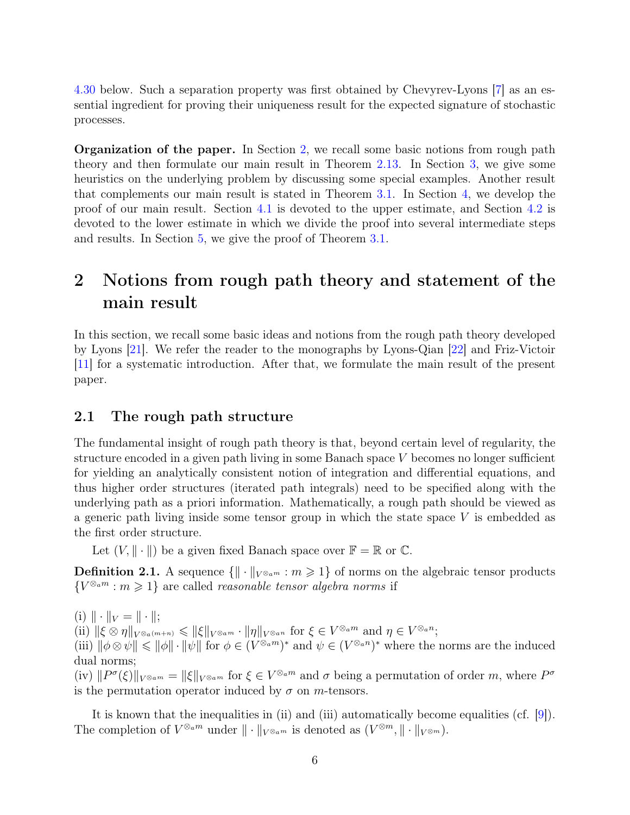[4.30](#page-33-0) below. Such a separation property was first obtained by Chevyrev-Lyons [\[7\]](#page-43-9) as an essential ingredient for proving their uniqueness result for the expected signature of stochastic processes.

Organization of the paper. In Section [2,](#page-5-0) we recall some basic notions from rough path theory and then formulate our main result in Theorem [2.13.](#page-9-2) In Section [3,](#page-10-0) we give some heuristics on the underlying problem by discussing some special examples. Another result that complements our main result is stated in Theorem [3.1.](#page-11-0) In Section [4,](#page-12-0) we develop the proof of our main result. Section [4.1](#page-12-1) is devoted to the upper estimate, and Section [4.2](#page-15-0) is devoted to the lower estimate in which we divide the proof into several intermediate steps and results. In Section [5,](#page-39-0) we give the proof of Theorem [3.1.](#page-11-0)

## <span id="page-5-0"></span>2 Notions from rough path theory and statement of the main result

In this section, we recall some basic ideas and notions from the rough path theory developed by Lyons [\[21\]](#page-44-3). We refer the reader to the monographs by Lyons-Qian [\[22\]](#page-44-9) and Friz-Victoir [\[11\]](#page-43-10) for a systematic introduction. After that, we formulate the main result of the present paper.

#### <span id="page-5-1"></span>2.1 The rough path structure

The fundamental insight of rough path theory is that, beyond certain level of regularity, the structure encoded in a given path living in some Banach space V becomes no longer sufficient for yielding an analytically consistent notion of integration and differential equations, and thus higher order structures (iterated path integrals) need to be specified along with the underlying path as a priori information. Mathematically, a rough path should be viewed as a generic path living inside some tensor group in which the state space  $V$  is embedded as the first order structure.

Let  $(V, \|\cdot\|)$  be a given fixed Banach space over  $\mathbb{F} = \mathbb{R}$  or  $\mathbb{C}$ .

**Definition 2.1.** A sequence  $\{\|\cdot\|_{V^{\otimes_a m}} : m \geq 1\}$  of norms on the algebraic tensor products  ${V^{\otimes_a m} : m \geq 1}$  are called *reasonable tensor algebra norms* if

(i)  $\|\cdot\|_V = \|\cdot\|;$  $\|f\|_{\mathcal{K}}\otimes \eta\|_{V^{\otimes a(m+n)}} \leqslant \|\xi\|_{V^{\otimes am}} \cdot \|\eta\|_{V^{\otimes an}} \text{ for } \xi \in V^{\otimes am} \text{ and } \eta \in V^{\otimes an};$ (iii)  $\|\phi\otimes\psi\|\leqslant \|\phi\|\cdot\|\psi\|$  for  $\phi\in (V^{\otimes_a m})^*$  and  $\psi\in (V^{\otimes_a n})^*$  where the norms are the induced dual norms; (iv)  $||P^{\sigma}(\xi)||_{V^{\otimes} a^m} = ||\xi||_{V^{\otimes} a^m}$  for  $\xi \in V^{\otimes} a^m$  and  $\sigma$  being a permutation of order m, where  $P^{\sigma}$ is the permutation operator induced by  $\sigma$  on *m*-tensors.

It is known that the inequalities in (ii) and (iii) automatically become equalities (cf. [\[9\]](#page-43-11)). The completion of  $V^{\otimes_a m}$  under  $\|\cdot\|_{V^{\otimes_a m}}$  is denoted as  $(V^{\otimes m}, \|\cdot\|_{V^{\otimes m}})$ .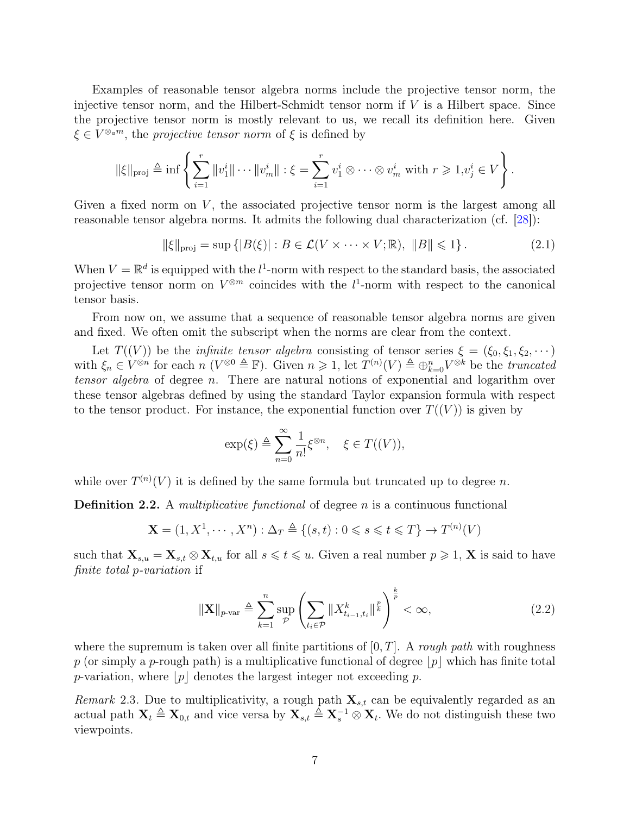Examples of reasonable tensor algebra norms include the projective tensor norm, the injective tensor norm, and the Hilbert-Schmidt tensor norm if  $V$  is a Hilbert space. Since the projective tensor norm is mostly relevant to us, we recall its definition here. Given  $\xi \in V^{\otimes_a m}$ , the projective tensor norm of  $\xi$  is defined by

$$
\|\xi\|_{\text{proj}} \triangleq \inf \left\{ \sum_{i=1}^r \|v_1^i\| \cdots \|v_m^i\| : \xi = \sum_{i=1}^r v_1^i \otimes \cdots \otimes v_m^i \text{ with } r \geqslant 1, v_j^i \in V \right\}.
$$

Given a fixed norm on  $V$ , the associated projective tensor norm is the largest among all reasonable tensor algebra norms. It admits the following dual characterization (cf. [\[28\]](#page-44-10)):

<span id="page-6-1"></span> $\|\xi\|_{\text{proj}} = \sup \{|B(\xi)| : B \in \mathcal{L}(V \times \cdots \times V; \mathbb{R}), \|B\| \leq 1\}.$  (2.1)

When  $V = \mathbb{R}^d$  is equipped with the  $l^1$ -norm with respect to the standard basis, the associated projective tensor norm on  $V^{\otimes m}$  coincides with the  $l^1$ -norm with respect to the canonical tensor basis.

From now on, we assume that a sequence of reasonable tensor algebra norms are given and fixed. We often omit the subscript when the norms are clear from the context.

Let  $T((V))$  be the *infinite tensor algebra* consisting of tensor series  $\xi = (\xi_0, \xi_1, \xi_2, \dots)$ with  $\xi_n \in V^{\otimes n}$  for each  $n (V^{\otimes 0} \triangleq \mathbb{F})$ . Given  $n \geq 1$ , let  $T^{(n)}(V) \triangleq \bigoplus_{k=0}^{n} V^{\otimes k}$  be the *truncated* tensor algebra of degree n. There are natural notions of exponential and logarithm over these tensor algebras defined by using the standard Taylor expansion formula with respect to the tensor product. For instance, the exponential function over  $T((V))$  is given by

$$
\exp(\xi) \triangleq \sum_{n=0}^{\infty} \frac{1}{n!} \xi^{\otimes n}, \quad \xi \in T((V)),
$$

while over  $T^{(n)}(V)$  it is defined by the same formula but truncated up to degree n.

<span id="page-6-0"></span>**Definition 2.2.** A *multiplicative functional* of degree n is a continuous functional

$$
\mathbf{X} = (1, X^1, \cdots, X^n) : \Delta_T \triangleq \{(s, t) : 0 \leq s \leq t \leq T\} \to T^{(n)}(V)
$$

such that  $\mathbf{X}_{s,u} = \mathbf{X}_{s,t} \otimes \mathbf{X}_{t,u}$  for all  $s \leq t \leq u$ . Given a real number  $p \geq 1$ ,  $\mathbf{X}$  is said to have finite total p-variation if

$$
\|\mathbf{X}\|_{p\text{-var}} \triangleq \sum_{k=1}^{n} \sup_{\mathcal{P}} \left( \sum_{t_i \in \mathcal{P}} \|X_{t_{i-1}, t_i}^k\|_{\mathcal{F}}^{\frac{p}{p}} \right)^{\frac{k}{p}} < \infty,
$$
\n(2.2)

where the supremum is taken over all finite partitions of  $[0, T]$ . A rough path with roughness p (or simply a p-rough path) is a multiplicative functional of degree  $|p|$  which has finite total p-variation, where  $|p|$  denotes the largest integer not exceeding p.

Remark 2.3. Due to multiplicativity, a rough path  $\mathbf{X}_{s,t}$  can be equivalently regarded as an actual path  $\mathbf{X}_t \triangleq \mathbf{X}_{0,t}$  and vice versa by  $\mathbf{X}_{s,t} \triangleq \mathbf{X}_{s}^{-1} \otimes \mathbf{X}_{t}$ . We do not distinguish these two viewpoints.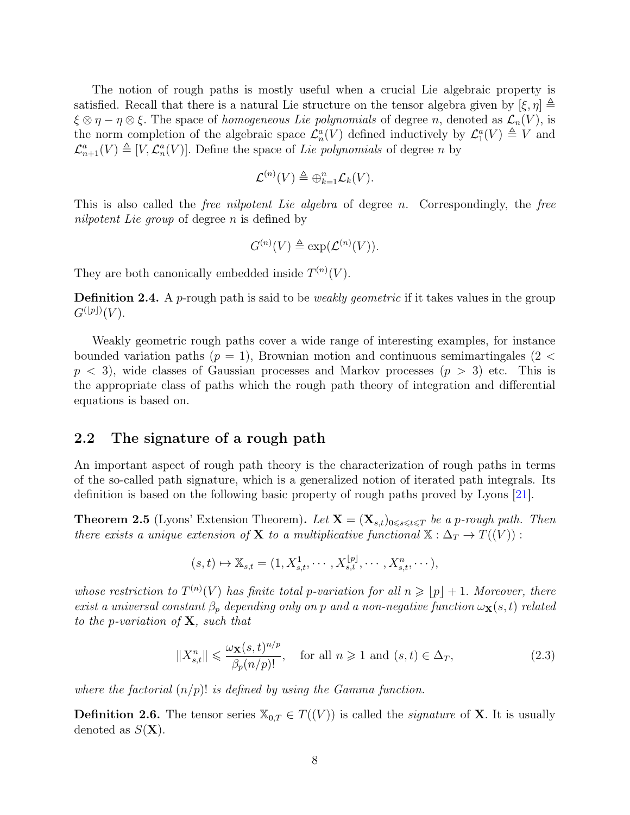The notion of rough paths is mostly useful when a crucial Lie algebraic property is satisfied. Recall that there is a natural Lie structure on the tensor algebra given by  $[\xi, \eta] \triangleq$  $\xi \otimes \eta - \eta \otimes \xi$ . The space of *homogeneous Lie polynomials* of degree *n*, denoted as  $\mathcal{L}_n(V)$ , is the norm completion of the algebraic space  $\mathcal{L}_n^a(V)$  defined inductively by  $\mathcal{L}_1^a(V) \triangleq V$  and  $\mathcal{L}_{n+1}^{a}(V) \triangleq [V, \mathcal{L}_{n}^{a}(V)]$ . Define the space of Lie polynomials of degree n by

$$
\mathcal{L}^{(n)}(V) \triangleq \bigoplus_{k=1}^{n} \mathcal{L}_k(V).
$$

This is also called the *free nilpotent Lie algebra* of degree n. Correspondingly, the *free* nilpotent Lie group of degree n is defined by

$$
G^{(n)}(V) \triangleq \exp(\mathcal{L}^{(n)}(V)).
$$

They are both canonically embedded inside  $T^{(n)}(V)$ .

**Definition 2.4.** A *p*-rough path is said to be *weakly geometric* if it takes values in the group  $G^{(\lfloor p\rfloor)}(V).$ 

Weakly geometric rough paths cover a wide range of interesting examples, for instance bounded variation paths  $(p = 1)$ , Brownian motion and continuous semimartingales (2 <  $p < 3$ , wide classes of Gaussian processes and Markov processes  $(p > 3)$  etc. This is the appropriate class of paths which the rough path theory of integration and differential equations is based on.

#### <span id="page-7-0"></span>2.2 The signature of a rough path

An important aspect of rough path theory is the characterization of rough paths in terms of the so-called path signature, which is a generalized notion of iterated path integrals. Its definition is based on the following basic property of rough paths proved by Lyons [\[21\]](#page-44-3).

<span id="page-7-1"></span>**Theorem 2.5** (Lyons' Extension Theorem). Let  $X = (X_{s,t})_{0 \leq s \leq t \leq T}$  be a p-rough path. Then there exists a unique extension of **X** to a multiplicative functional  $\mathbb{X} : \Delta_T \to T((V))$ :

$$
(s,t) \mapsto \mathbb{X}_{s,t} = (1, X_{s,t}^1, \cdots, X_{s,t}^{[p]}, \cdots, X_{s,t}^n, \cdots),
$$

whose restriction to  $T^{(n)}(V)$  has finite total p-variation for all  $n \geqslant |p| + 1$ . Moreover, there exist a universal constant  $\beta_p$  depending only on p and a non-negative function  $\omega_{\mathbf{X}}(s,t)$  related to the p-variation of  $X$ , such that

<span id="page-7-2"></span>
$$
||X_{s,t}^n|| \le \frac{\omega_{\mathbf{X}}(s,t)^{n/p}}{\beta_p(n/p)!}, \quad \text{for all } n \ge 1 \text{ and } (s,t) \in \Delta_T,
$$
 (2.3)

where the factorial  $(n/p)!$  is defined by using the Gamma function.

**Definition 2.6.** The tensor series  $X_{0,T} \in T((V))$  is called the *signature* of **X**. It is usually denoted as  $S(\mathbf{X})$ .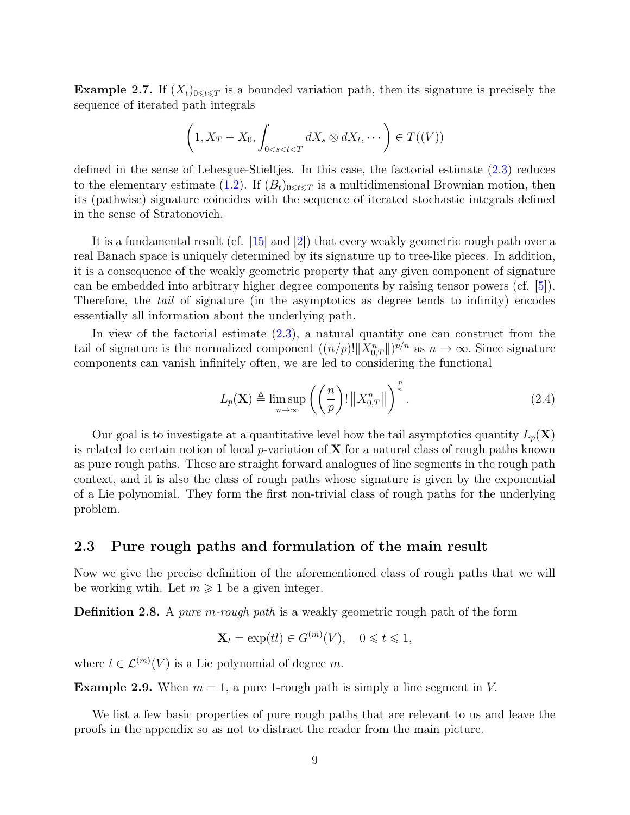**Example 2.7.** If  $(X_t)_{0\leq t\leq T}$  is a bounded variation path, then its signature is precisely the sequence of iterated path integrals

$$
\left(1, X_T - X_0, \int_{0 < s < t < T} dX_s \otimes dX_t, \cdots \right) \in T((V))
$$

defined in the sense of Lebesgue-Stieltjes. In this case, the factorial estimate [\(2.3\)](#page-7-2) reduces to the elementary estimate [\(1.2\)](#page-3-1). If  $(B_t)_{0\leq t\leq T}$  is a multidimensional Brownian motion, then its (pathwise) signature coincides with the sequence of iterated stochastic integrals defined in the sense of Stratonovich.

It is a fundamental result (cf. [\[15\]](#page-44-5) and [\[2\]](#page-43-3)) that every weakly geometric rough path over a real Banach space is uniquely determined by its signature up to tree-like pieces. In addition, it is a consequence of the weakly geometric property that any given component of signature can be embedded into arbitrary higher degree components by raising tensor powers (cf. [\[5\]](#page-43-6)). Therefore, the tail of signature (in the asymptotics as degree tends to infinity) encodes essentially all information about the underlying path.

In view of the factorial estimate  $(2.3)$ , a natural quantity one can construct from the tail of signature is the normalized component  $((n/p)! \|X_{0,T}^n\|)^{p/n}$  as  $n \to \infty$ . Since signature components can vanish infinitely often, we are led to considering the functional

<span id="page-8-1"></span>
$$
L_p(\mathbf{X}) \triangleq \limsup_{n \to \infty} \left( \left( \frac{n}{p} \right)! \left\| X_{0,T}^n \right\| \right)^{\frac{p}{n}}.
$$
 (2.4)

Our goal is to investigate at a quantitative level how the tail asymptotics quantity  $L_p(\mathbf{X})$ is related to certain notion of local p-variation of  $X$  for a natural class of rough paths known as pure rough paths. These are straight forward analogues of line segments in the rough path context, and it is also the class of rough paths whose signature is given by the exponential of a Lie polynomial. They form the first non-trivial class of rough paths for the underlying problem.

#### <span id="page-8-0"></span>2.3 Pure rough paths and formulation of the main result

Now we give the precise definition of the aforementioned class of rough paths that we will be working wtih. Let  $m \geq 1$  be a given integer.

Definition 2.8. A pure m-rough path is a weakly geometric rough path of the form

$$
\mathbf{X}_t = \exp(t) \in G^{(m)}(V), \quad 0 \leq t \leq 1,
$$

where  $l \in \mathcal{L}^{(m)}(V)$  is a Lie polynomial of degree m.

**Example 2.9.** When  $m = 1$ , a pure 1-rough path is simply a line segment in V.

We list a few basic properties of pure rough paths that are relevant to us and leave the proofs in the appendix so as not to distract the reader from the main picture.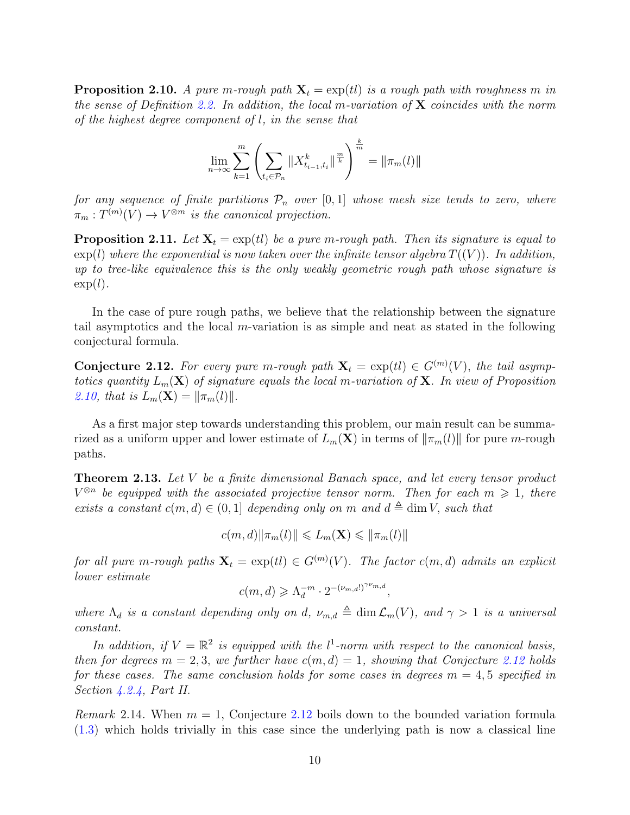<span id="page-9-1"></span>**Proposition 2.10.** A pure m-rough path  $X_t = exp(t)$  is a rough path with roughness m in the sense of Definition [2.2.](#page-6-0) In addition, the local m-variation of  $X$  coincides with the norm of the highest degree component of l, in the sense that

$$
\lim_{n \to \infty} \sum_{k=1}^{m} \left( \sum_{t_i \in \mathcal{P}_n} \|X_{t_{i-1}, t_i}^k\|^{\frac{m}{k}} \right)^{\frac{k}{m}} = \|\pi_m(l)\|
$$

for any sequence of finite partitions  $P_n$  over [0,1] whose mesh size tends to zero, where  $\pi_m: T^{(m)}(V) \to V^{\otimes m}$  is the canonical projection.

<span id="page-9-0"></span>**Proposition 2.11.** Let  $X_t = \exp(t)$  be a pure m-rough path. Then its signature is equal to  $\exp(l)$  where the exponential is now taken over the infinite tensor algebra  $T((V))$ . In addition, up to tree-like equivalence this is the only weakly geometric rough path whose signature is  $\exp(l)$ .

In the case of pure rough paths, we believe that the relationship between the signature tail asymptotics and the local m-variation is as simple and neat as stated in the following conjectural formula.

<span id="page-9-3"></span>**Conjecture 2.12.** For every pure m-rough path  $X_t = \exp(tI) \in G^{(m)}(V)$ , the tail asymptotics quantity  $L_m(\mathbf{X})$  of signature equals the local m-variation of **X**. In view of Proposition [2.10,](#page-9-1) that is  $L_m(\mathbf{X}) = ||\pi_m(l)||$ .

As a first major step towards understanding this problem, our main result can be summarized as a uniform upper and lower estimate of  $L_m(\mathbf{X})$  in terms of  $\|\pi_m(l)\|$  for pure m-rough paths.

<span id="page-9-2"></span>Theorem 2.13. Let V be a finite dimensional Banach space, and let every tensor product  $V^{\otimes n}$  be equipped with the associated projective tensor norm. Then for each  $m \geq 1$ , there exists a constant  $c(m, d) \in (0, 1]$  depending only on m and  $d \triangleq \dim V$ , such that

$$
c(m,d)\|\pi_m(l)\| \leqslant L_m(\mathbf{X}) \leqslant \|\pi_m(l)\|
$$

for all pure m-rough paths  $\mathbf{X}_t = \exp(t) \in G^{(m)}(V)$ . The factor  $c(m, d)$  admits an explicit lower estimate

$$
c(m,d) \geq \Lambda_d^{-m} \cdot 2^{-(\nu_{m,d}!)^{\gamma \nu_{m,d}}}
$$

,

where  $\Lambda_d$  is a constant depending only on d,  $\nu_{m,d} \triangleq \dim \mathcal{L}_m(V)$ , and  $\gamma > 1$  is a universal constant.

In addition, if  $V = \mathbb{R}^2$  is equipped with the  $l^1$ -norm with respect to the canonical basis, then for degrees  $m = 2, 3$ , we further have  $c(m, d) = 1$ , showing that Conjecture [2.12](#page-9-3) holds for these cases. The same conclusion holds for some cases in degrees  $m = 4, 5$  specified in Section [4.2.4,](#page-35-0) Part II.

*Remark* 2.14. When  $m = 1$ , Conjecture [2.12](#page-9-3) boils down to the bounded variation formula [\(1.3\)](#page-3-0) which holds trivially in this case since the underlying path is now a classical line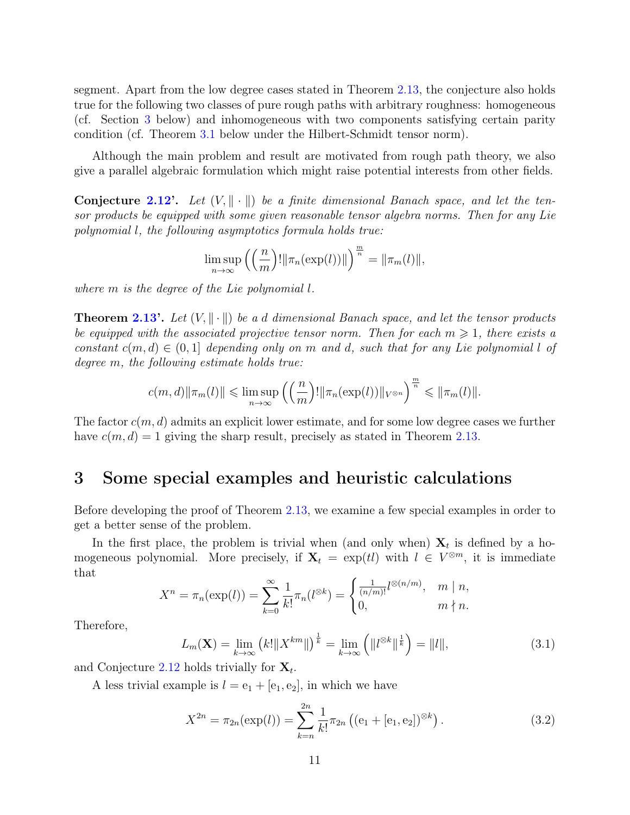segment. Apart from the low degree cases stated in Theorem [2.13,](#page-9-2) the conjecture also holds true for the following two classes of pure rough paths with arbitrary roughness: homogeneous (cf. Section [3](#page-10-0) below) and inhomogeneous with two components satisfying certain parity condition (cf. Theorem [3.1](#page-11-0) below under the Hilbert-Schmidt tensor norm).

Although the main problem and result are motivated from rough path theory, we also give a parallel algebraic formulation which might raise potential interests from other fields.

**Conjecture [2.12'](#page-9-3).** Let  $(V, \|\cdot\|)$  be a finite dimensional Banach space, and let the tensor products be equipped with some given reasonable tensor algebra norms. Then for any Lie polynomial l, the following asymptotics formula holds true:

$$
\limsup_{n \to \infty} \left( \left( \frac{n}{m} \right)! \|\pi_n(\exp(l))\| \right)^{\frac{m}{n}} = \|\pi_m(l)\|,
$$

where m is the degree of the Lie polynomial l.

**Theorem [2.13'](#page-9-2).** Let  $(V, \|\cdot\|)$  be a d dimensional Banach space, and let the tensor products be equipped with the associated projective tensor norm. Then for each  $m \geq 1$ , there exists a constant  $c(m, d) \in (0, 1]$  depending only on m and d, such that for any Lie polynomial l of degree m, the following estimate holds true:

$$
c(m,d)\|\pi_m(l)\| \leqslant \limsup_{n\to\infty}\left(\left(\frac{n}{m}\right)! \|\pi_n(\exp(l))\|_{V^{\otimes n}}\right)^{\frac{m}{n}} \leqslant \|\pi_m(l)\|.
$$

The factor  $c(m, d)$  admits an explicit lower estimate, and for some low degree cases we further have  $c(m, d) = 1$  giving the sharp result, precisely as stated in Theorem [2.13.](#page-9-2)

### <span id="page-10-0"></span>3 Some special examples and heuristic calculations

Before developing the proof of Theorem [2.13,](#page-9-2) we examine a few special examples in order to get a better sense of the problem.

In the first place, the problem is trivial when (and only when)  $X_t$  is defined by a homogeneous polynomial. More precisely, if  $X_t = \exp(t)$  with  $l \in V^{\otimes m}$ , it is immediate that

$$
X^{n} = \pi_{n}(\exp(l)) = \sum_{k=0}^{\infty} \frac{1}{k!} \pi_{n}(l^{\otimes k}) = \begin{cases} \frac{1}{(n/m)!} l^{\otimes (n/m)}, & m \mid n, \\ 0, & m \nmid n. \end{cases}
$$

Therefore,

<span id="page-10-1"></span>
$$
L_m(\mathbf{X}) = \lim_{k \to \infty} (k! \|X^{km}\|)^{\frac{1}{k}} = \lim_{k \to \infty} \left( \|l^{\otimes k}\|^{\frac{1}{k}} \right) = \|l\|,\tag{3.1}
$$

and Conjecture [2.12](#page-9-3) holds trivially for  $\mathbf{X}_t$ .

A less trivial example is  $l = e_1 + [e_1, e_2]$ , in which we have

$$
X^{2n} = \pi_{2n}(\exp(l)) = \sum_{k=n}^{2n} \frac{1}{k!} \pi_{2n} ((e_1 + [e_1, e_2])^{\otimes k}).
$$
\n(3.2)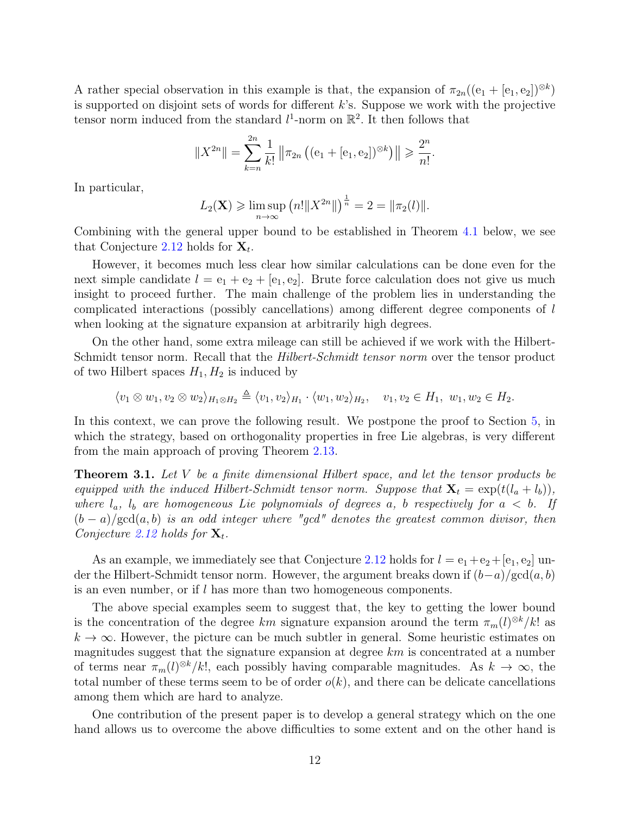A rather special observation in this example is that, the expansion of  $\pi_{2n}((e_1 + [e_1, e_2])^{\otimes k})$ is supported on disjoint sets of words for different  $k$ 's. Suppose we work with the projective tensor norm induced from the standard  $l^1$ -norm on  $\mathbb{R}^2$ . It then follows that

$$
||X^{2n}|| = \sum_{k=n}^{2n} \frac{1}{k!} ||\pi_{2n} ((e_1 + [e_1, e_2])^{\otimes k})|| \geqslant \frac{2^n}{n!}.
$$

In particular,

$$
L_2(\mathbf{X}) \geq \limsup_{n \to \infty} (n! ||X^{2n}||)^{\frac{1}{n}} = 2 = ||\pi_2(l)||.
$$

Combining with the general upper bound to be established in Theorem [4.1](#page-12-2) below, we see that Conjecture [2.12](#page-9-3) holds for  $\mathbf{X}_t$ .

However, it becomes much less clear how similar calculations can be done even for the next simple candidate  $l = e_1 + e_2 + |e_1, e_2|$ . Brute force calculation does not give us much insight to proceed further. The main challenge of the problem lies in understanding the complicated interactions (possibly cancellations) among different degree components of l when looking at the signature expansion at arbitrarily high degrees.

On the other hand, some extra mileage can still be achieved if we work with the Hilbert-Schmidt tensor norm. Recall that the *Hilbert-Schmidt tensor norm* over the tensor product of two Hilbert spaces  $H_1, H_2$  is induced by

$$
\langle v_1 \otimes w_1, v_2 \otimes w_2 \rangle_{H_1 \otimes H_2} \triangleq \langle v_1, v_2 \rangle_{H_1} \cdot \langle w_1, w_2 \rangle_{H_2}, \quad v_1, v_2 \in H_1, w_1, w_2 \in H_2.
$$

In this context, we can prove the following result. We postpone the proof to Section [5,](#page-39-0) in which the strategy, based on orthogonality properties in free Lie algebras, is very different from the main approach of proving Theorem [2.13.](#page-9-2)

<span id="page-11-0"></span>**Theorem 3.1.** Let V be a finite dimensional Hilbert space, and let the tensor products be equipped with the induced Hilbert-Schmidt tensor norm. Suppose that  $\mathbf{X}_t = \exp(t(l_a + l_b)),$ where  $l_a$ ,  $l_b$  are homogeneous Lie polynomials of degrees a, b respectively for  $a < b$ . If  $(b-a)/\text{gcd}(a, b)$  is an odd integer where "gcd" denotes the greatest common divisor, then Conjecture [2.12](#page-9-3) holds for  $\mathbf{X}_t$ .

As an example, we immediately see that Conjecture [2.12](#page-9-3) holds for  $l = e_1 + e_2 + [e_1, e_2]$  under the Hilbert-Schmidt tensor norm. However, the argument breaks down if  $(b-a)/\text{gcd}(a, b)$ is an even number, or if  $l$  has more than two homogeneous components.

The above special examples seem to suggest that, the key to getting the lower bound is the concentration of the degree km signature expansion around the term  $\pi_m(l)^{\otimes k}/k!$  as  $k \to \infty$ . However, the picture can be much subtler in general. Some heuristic estimates on magnitudes suggest that the signature expansion at degree  $km$  is concentrated at a number of terms near  $\pi_m(l)^{\otimes k}/k!$ , each possibly having comparable magnitudes. As  $k \to \infty$ , the total number of these terms seem to be of order  $o(k)$ , and there can be delicate cancellations among them which are hard to analyze.

One contribution of the present paper is to develop a general strategy which on the one hand allows us to overcome the above difficulties to some extent and on the other hand is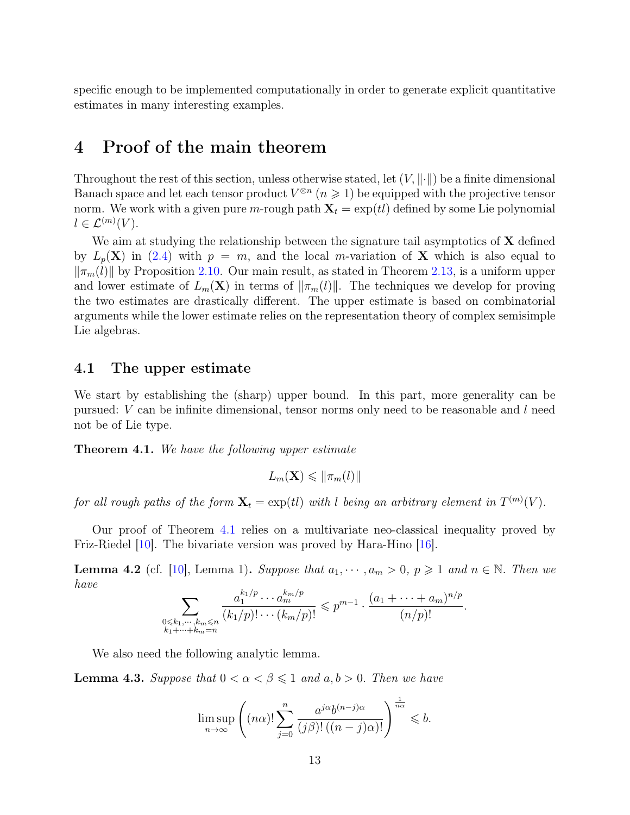specific enough to be implemented computationally in order to generate explicit quantitative estimates in many interesting examples.

## <span id="page-12-0"></span>4 Proof of the main theorem

Throughout the rest of this section, unless otherwise stated, let  $(V, \|\cdot\|)$  be a finite dimensional Banach space and let each tensor product  $V^{\otimes n}$   $(n \geq 1)$  be equipped with the projective tensor norm. We work with a given pure m-rough path  $X_t = \exp(t)$  defined by some Lie polynomial  $l \in \mathcal{L}^{(m)}(V)$ .

We aim at studying the relationship between the signature tail asymptotics of  $X$  defined by  $L_p(\mathbf{X})$  in [\(2.4\)](#page-8-1) with  $p = m$ , and the local m-variation of **X** which is also equal to  $\|\pi_m(l)\|$  by Proposition [2.10.](#page-9-1) Our main result, as stated in Theorem [2.13,](#page-9-2) is a uniform upper and lower estimate of  $L_m(\mathbf{X})$  in terms of  $\|\pi_m(l)\|$ . The techniques we develop for proving the two estimates are drastically different. The upper estimate is based on combinatorial arguments while the lower estimate relies on the representation theory of complex semisimple Lie algebras.

#### <span id="page-12-1"></span>4.1 The upper estimate

We start by establishing the (sharp) upper bound. In this part, more generality can be pursued:  $V$  can be infinite dimensional, tensor norms only need to be reasonable and  $l$  need not be of Lie type.

<span id="page-12-2"></span>**Theorem 4.1.** We have the following upper estimate

$$
L_m(\mathbf{X}) \leq \|\pi_m(l)\|
$$

for all rough paths of the form  $\mathbf{X}_t = \exp(t)$  with l being an arbitrary element in  $T^{(m)}(V)$ .

Our proof of Theorem [4.1](#page-12-2) relies on a multivariate neo-classical inequality proved by Friz-Riedel [\[10\]](#page-43-8). The bivariate version was proved by Hara-Hino [\[16\]](#page-44-11).

<span id="page-12-3"></span>**Lemma 4.2** (cf. [\[10\]](#page-43-8), Lemma 1). Suppose that  $a_1, \dots, a_m > 0$ ,  $p \geq 1$  and  $n \in \mathbb{N}$ . Then we have

$$
\sum_{\substack{0 \leq k_1, \cdots, k_m \leq n \\ k_1 + \cdots + k_m = n}} \frac{a_1^{k_1/p} \cdots a_m^{k_m/p}}{(k_1/p)! \cdots (k_m/p)!} \leqslant p^{m-1} \cdot \frac{(a_1 + \cdots + a_m)^{n/p}}{(n/p)!}.
$$

We also need the following analytic lemma.

<span id="page-12-4"></span>**Lemma 4.3.** Suppose that  $0 < \alpha < \beta \leq 1$  and  $a, b > 0$ . Then we have

$$
\limsup_{n\to\infty}\left((n\alpha)!\sum_{j=0}^n\frac{a^{j\alpha}b^{(n-j)\alpha}}{(j\beta)!\left((n-j)\alpha\right)!}\right)^{\frac{1}{n\alpha}}\leqslant b.
$$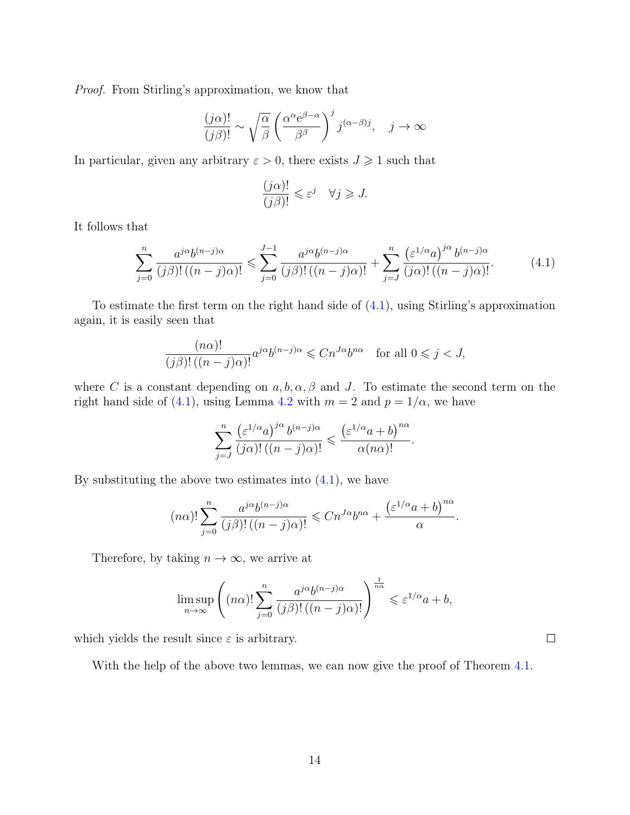Proof. From Stirling's approximation, we know that

$$
\frac{(j\alpha)!}{(j\beta)!} \sim \sqrt{\frac{\alpha}{\beta}} \left(\frac{\alpha^{\alpha} e^{\beta-\alpha}}{\beta^{\beta}}\right)^j j^{(\alpha-\beta)j}, \quad j \to \infty
$$

In particular, given any arbitrary  $\varepsilon > 0$ , there exists  $J \geq 1$  such that

<span id="page-13-0"></span>
$$
\frac{(j\alpha)!}{(j\beta)!} \leqslant \varepsilon^j \quad \forall j \geqslant J.
$$

It follows that

$$
\sum_{j=0}^{n} \frac{a^{j\alpha}b^{(n-j)\alpha}}{(j\beta)!\left((n-j)\alpha\right)!} \leqslant \sum_{j=0}^{J-1} \frac{a^{j\alpha}b^{(n-j)\alpha}}{(j\beta)!\left((n-j)\alpha\right)!} + \sum_{j=J}^{n} \frac{\left(\varepsilon^{1/\alpha}a\right)^{j\alpha}b^{(n-j)\alpha}}{(j\alpha)!\left((n-j)\alpha\right)!}.\tag{4.1}
$$

To estimate the first term on the right hand side of [\(4.1\)](#page-13-0), using Stirling's approximation again, it is easily seen that

$$
\frac{(n\alpha)!}{(j\beta)! \left((n-j)\alpha\right)!} a^{j\alpha} b^{(n-j)\alpha} \leqslant C n^{J\alpha} b^{n\alpha} \quad \text{for all } 0 \leqslant j < J,
$$

where C is a constant depending on  $a, b, \alpha, \beta$  and J. To estimate the second term on the right hand side of [\(4.1\)](#page-13-0), using Lemma [4.2](#page-12-3) with  $m = 2$  and  $p = 1/\alpha$ , we have

$$
\sum_{j=J}^n\frac{\left(\varepsilon^{1/\alpha}a\right)^{j\alpha}b^{(n-j)\alpha}}{(j\alpha)!\left((n-j)\alpha\right)!}\leqslant \frac{\left(\varepsilon^{1/\alpha}a+b\right)^{n\alpha}}{\alpha(n\alpha)!}.
$$

By substituting the above two estimates into  $(4.1)$ , we have

$$
(n\alpha)!\sum_{j=0}^{n}\frac{a^{j\alpha}b^{(n-j)\alpha}}{(j\beta)!\left((n-j)\alpha\right)!}\leqslant Cn^{J\alpha}b^{n\alpha}+\frac{\left(\varepsilon^{1/\alpha}a+b\right)^{n\alpha}}{\alpha}.
$$

Therefore, by taking  $n \to \infty$ , we arrive at

$$
\limsup_{n \to \infty} \left( (n\alpha)! \sum_{j=0}^n \frac{a^{j\alpha} b^{(n-j)\alpha}}{(j\beta)! ((n-j)\alpha)!} \right)^{\frac{1}{n\alpha}} \leqslant \varepsilon^{1/\alpha} a + b,
$$

which yields the result since  $\varepsilon$  is arbitrary.

With the help of the above two lemmas, we can now give the proof of Theorem [4.1.](#page-12-2)

 $\Box$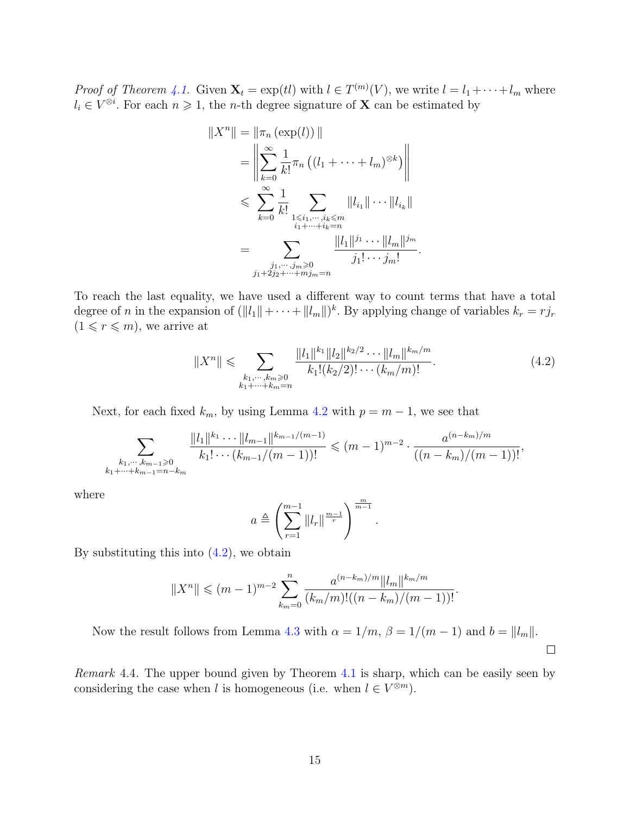*Proof of Theorem [4.1.](#page-12-2)* Given  $\mathbf{X}_t = \exp(t_l)$  with  $l \in T^{(m)}(V)$ , we write  $l = l_1 + \cdots + l_m$  where  $l_i \in V^{\otimes i}$ . For each  $n \geq 1$ , the *n*-th degree signature of **X** can be estimated by

$$
||X^{n}|| = ||\pi_{n}(\exp(l))||
$$
  
\n
$$
= \left\| \sum_{k=0}^{\infty} \frac{1}{k!} \pi_{n} ((l_{1} + \dots + l_{m})^{\otimes k}) \right\|
$$
  
\n
$$
\leqslant \sum_{k=0}^{\infty} \frac{1}{k!} \sum_{\substack{1 \leqslant i_{1}, \dots, i_{k} \leqslant m \\ i_{1} + \dots + i_{k} = n}} ||l_{i_{1}}|| \dots ||l_{i_{k}}||
$$
  
\n
$$
= \sum_{\substack{j_{1}, \dots, j_{m} \geqslant 0 \\ j_{1} + 2j_{2} + \dots + m j_{m} = n}} \frac{||l_{1}||^{j_{1}} \dots ||l_{m}||^{j_{m}}}{j_{1}! \dots j_{m}!}.
$$

To reach the last equality, we have used a different way to count terms that have a total degree of *n* in the expansion of  $(||l_1|| + \cdots + ||l_m||)^k$ . By applying change of variables  $k_r = r j_r$  $(1 \leq r \leq m)$ , we arrive at

<span id="page-14-0"></span>
$$
||X^n|| \leqslant \sum_{\substack{k_1, \dots, k_m \geqslant 0 \\ k_1 + \dots + k_m = n}} \frac{||l_1||^{k_1} ||l_2||^{k_2/2} \cdots ||l_m||^{k_m/m}}{k_1!(k_2/2)! \cdots (k_m/m)!}.
$$
 (4.2)

Next, for each fixed  $k_m$ , by using Lemma [4.2](#page-12-3) with  $p = m - 1$ , we see that

$$
\sum_{\substack{k_1,\cdots,k_{m-1}\geqslant 0\\k_1+\cdots+k_{m-1}=n-k_m}}\frac{\|l_1\|^{k_1}\cdots\|l_{m-1}\|^{k_{m-1}/(m-1)}}{k_1!\cdots(k_{m-1}/(m-1))!} \leqslant (m-1)^{m-2}\cdot\frac{a^{(n-k_m)/m}}{((n-k_m)/(m-1))!},
$$

where

$$
a \triangleq \left(\sum_{r=1}^{m-1} \left\|l_r\right\|^{\frac{m-1}{r}}\right)^{\frac{m}{m-1}}.
$$

By substituting this into  $(4.2)$ , we obtain

$$
||X^n|| \leqslant (m-1)^{m-2} \sum_{k_m=0}^n \frac{a^{(n-k_m)/m} ||l_m||^{k_m/m}}{(k_m/m)!(n-k_m)/(m-1))!}.
$$

Now the result follows from Lemma [4.3](#page-12-4) with  $\alpha = 1/m$ ,  $\beta = 1/(m-1)$  and  $b = ||l_m||$ .  $\Box$ 

Remark 4.4. The upper bound given by Theorem [4.1](#page-12-2) is sharp, which can be easily seen by considering the case when l is homogeneous (i.e. when  $l \in V^{\otimes m}$ ).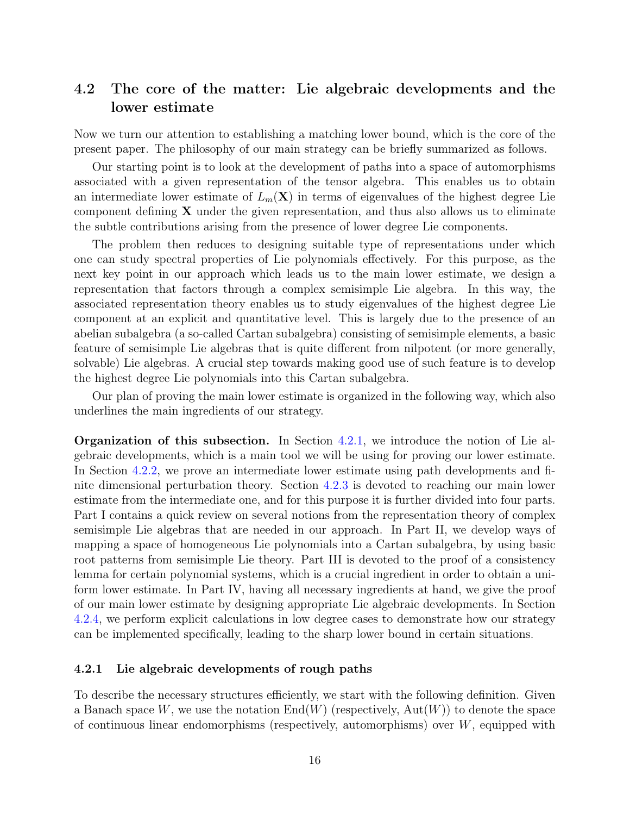### <span id="page-15-0"></span>4.2 The core of the matter: Lie algebraic developments and the lower estimate

Now we turn our attention to establishing a matching lower bound, which is the core of the present paper. The philosophy of our main strategy can be briefly summarized as follows.

Our starting point is to look at the development of paths into a space of automorphisms associated with a given representation of the tensor algebra. This enables us to obtain an intermediate lower estimate of  $L_m(\mathbf{X})$  in terms of eigenvalues of the highest degree Lie component defining  $X$  under the given representation, and thus also allows us to eliminate the subtle contributions arising from the presence of lower degree Lie components.

The problem then reduces to designing suitable type of representations under which one can study spectral properties of Lie polynomials effectively. For this purpose, as the next key point in our approach which leads us to the main lower estimate, we design a representation that factors through a complex semisimple Lie algebra. In this way, the associated representation theory enables us to study eigenvalues of the highest degree Lie component at an explicit and quantitative level. This is largely due to the presence of an abelian subalgebra (a so-called Cartan subalgebra) consisting of semisimple elements, a basic feature of semisimple Lie algebras that is quite different from nilpotent (or more generally, solvable) Lie algebras. A crucial step towards making good use of such feature is to develop the highest degree Lie polynomials into this Cartan subalgebra.

Our plan of proving the main lower estimate is organized in the following way, which also underlines the main ingredients of our strategy.

Organization of this subsection. In Section [4.2.1,](#page-15-1) we introduce the notion of Lie algebraic developments, which is a main tool we will be using for proving our lower estimate. In Section [4.2.2,](#page-17-0) we prove an intermediate lower estimate using path developments and finite dimensional perturbation theory. Section [4.2.3](#page-20-0) is devoted to reaching our main lower estimate from the intermediate one, and for this purpose it is further divided into four parts. Part I contains a quick review on several notions from the representation theory of complex semisimple Lie algebras that are needed in our approach. In Part II, we develop ways of mapping a space of homogeneous Lie polynomials into a Cartan subalgebra, by using basic root patterns from semisimple Lie theory. Part III is devoted to the proof of a consistency lemma for certain polynomial systems, which is a crucial ingredient in order to obtain a uniform lower estimate. In Part IV, having all necessary ingredients at hand, we give the proof of our main lower estimate by designing appropriate Lie algebraic developments. In Section [4.2.4,](#page-35-0) we perform explicit calculations in low degree cases to demonstrate how our strategy can be implemented specifically, leading to the sharp lower bound in certain situations.

#### <span id="page-15-1"></span>4.2.1 Lie algebraic developments of rough paths

To describe the necessary structures efficiently, we start with the following definition. Given a Banach space W, we use the notation  $End(W)$  (respectively,  $Aut(W)$ ) to denote the space of continuous linear endomorphisms (respectively, automorphisms) over  $W$ , equipped with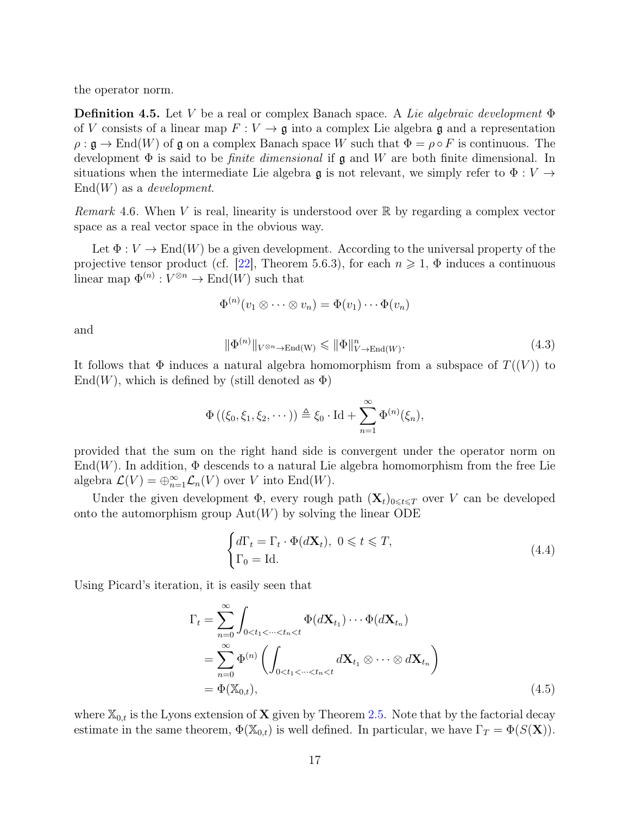the operator norm.

<span id="page-16-0"></span>**Definition 4.5.** Let V be a real or complex Banach space. A Lie algebraic development  $\Phi$ of V consists of a linear map  $F: V \to \mathfrak{g}$  into a complex Lie algebra  $\mathfrak{g}$  and a representation  $\rho : \mathfrak{g} \to \text{End}(W)$  of  $\mathfrak{g}$  on a complex Banach space W such that  $\Phi = \rho \circ F$  is continuous. The development  $\Phi$  is said to be *finite dimensional* if  $\mathfrak g$  and W are both finite dimensional. In situations when the intermediate Lie algebra g is not relevant, we simply refer to  $\Phi: V \to$  $End(W)$  as a *development*.

*Remark* 4.6. When V is real, linearity is understood over  $\mathbb{R}$  by regarding a complex vector space as a real vector space in the obvious way.

Let  $\Phi: V \to \text{End}(W)$  be a given development. According to the universal property of the projective tensor product (cf. [\[22\]](#page-44-9), Theorem 5.6.3), for each  $n \geq 1$ ,  $\Phi$  induces a continuous linear map  $\Phi^{(n)} : V^{\otimes n} \to \text{End}(W)$  such that

$$
\Phi^{(n)}(v_1\otimes\cdots\otimes v_n)=\Phi(v_1)\cdots\Phi(v_n)
$$

and

<span id="page-16-3"></span>
$$
\|\Phi^{(n)}\|_{V^{\otimes n}\to\text{End}(W)} \le \|\Phi\|_{V\to\text{End}(W)}^n.
$$
\n(4.3)

It follows that  $\Phi$  induces a natural algebra homomorphism from a subspace of  $T((V))$  to  $\text{End}(W)$ , which is defined by (still denoted as  $\Phi$ )

$$
\Phi\left((\xi_0,\xi_1,\xi_2,\cdots)\right) \triangleq \xi_0 \cdot \mathrm{Id} + \sum_{n=1}^{\infty} \Phi^{(n)}(\xi_n),
$$

provided that the sum on the right hand side is convergent under the operator norm on End(W). In addition,  $\Phi$  descends to a natural Lie algebra homomorphism from the free Lie algebra  $\mathcal{L}(V) = \bigoplus_{n=1}^{\infty} \mathcal{L}_n(V)$  over V into End $(W)$ .

Under the given development  $\Phi$ , every rough path  $(\mathbf{X}_t)_{0\leq t\leq T}$  over V can be developed onto the automorphism group  $Aut(W)$  by solving the linear ODE

<span id="page-16-2"></span><span id="page-16-1"></span>
$$
\begin{cases} d\Gamma_t = \Gamma_t \cdot \Phi(d\mathbf{X}_t), \ 0 \leq t \leq T, \\ \Gamma_0 = \text{Id.} \end{cases} \tag{4.4}
$$

Using Picard's iteration, it is easily seen that

$$
\Gamma_t = \sum_{n=0}^{\infty} \int_{0 < t_1 < \dots < t_n < t} \Phi(d\mathbf{X}_{t_1}) \dots \Phi(d\mathbf{X}_{t_n})
$$
\n
$$
= \sum_{n=0}^{\infty} \Phi^{(n)} \left( \int_{0 < t_1 < \dots < t_n < t} d\mathbf{X}_{t_1} \otimes \dots \otimes d\mathbf{X}_{t_n} \right)
$$
\n
$$
= \Phi(\mathbb{X}_{0,t}), \tag{4.5}
$$

where  $\mathbb{X}_{0,t}$  is the Lyons extension of **X** given by Theorem [2.5.](#page-7-1) Note that by the factorial decay estimate in the same theorem,  $\Phi(\mathbb{X}_{0,t})$  is well defined. In particular, we have  $\Gamma_T = \Phi(S(\mathbf{X}))$ .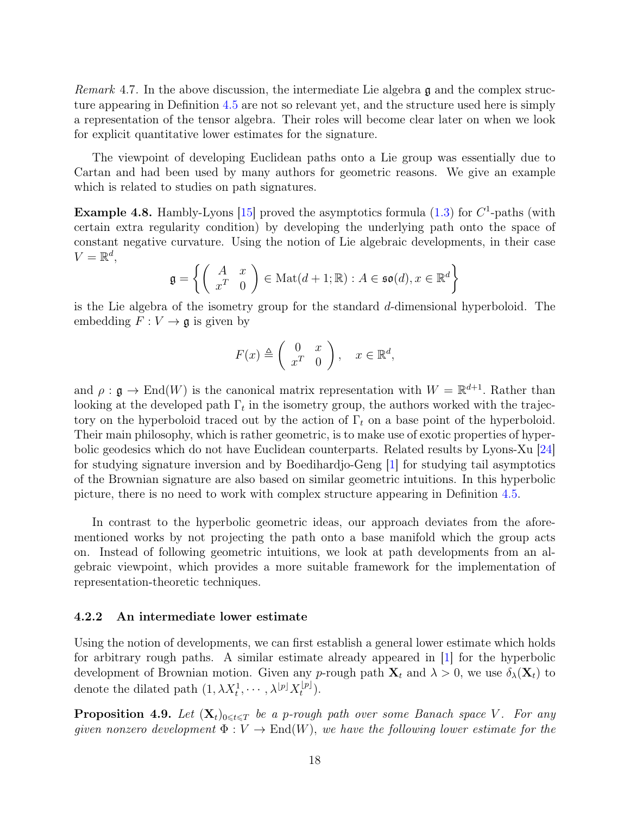*Remark* 4.7. In the above discussion, the intermediate Lie algebra  $\mathfrak g$  and the complex structure appearing in Definition [4.5](#page-16-0) are not so relevant yet, and the structure used here is simply a representation of the tensor algebra. Their roles will become clear later on when we look for explicit quantitative lower estimates for the signature.

The viewpoint of developing Euclidean paths onto a Lie group was essentially due to Cartan and had been used by many authors for geometric reasons. We give an example which is related to studies on path signatures.

**Example 4.8.** Hambly-Lyons [\[15\]](#page-44-5) proved the asymptotics formula  $(1.3)$  for  $C^1$ -paths (with certain extra regularity condition) by developing the underlying path onto the space of constant negative curvature. Using the notion of Lie algebraic developments, in their case  $V=\mathbb{R}^d$ ,

$$
\mathfrak{g} = \left\{ \left( \begin{array}{cc} A & x \\ x^T & 0 \end{array} \right) \in \text{Mat}(d+1; \mathbb{R}) : A \in \mathfrak{so}(d), x \in \mathbb{R}^d \right\}
$$

is the Lie algebra of the isometry group for the standard d-dimensional hyperboloid. The embedding  $F: V \to \mathfrak{g}$  is given by

$$
F(x) \triangleq \left(\begin{array}{cc} 0 & x \\ x^T & 0 \end{array}\right), \quad x \in \mathbb{R}^d,
$$

and  $\rho : \mathfrak{g} \to \text{End}(W)$  is the canonical matrix representation with  $W = \mathbb{R}^{d+1}$ . Rather than looking at the developed path  $\Gamma_t$  in the isometry group, the authors worked with the trajectory on the hyperboloid traced out by the action of  $\Gamma_t$  on a base point of the hyperboloid. Their main philosophy, which is rather geometric, is to make use of exotic properties of hyperbolic geodesics which do not have Euclidean counterparts. Related results by Lyons-Xu [\[24\]](#page-44-7) for studying signature inversion and by Boedihardjo-Geng [\[1\]](#page-43-7) for studying tail asymptotics of the Brownian signature are also based on similar geometric intuitions. In this hyperbolic picture, there is no need to work with complex structure appearing in Definition [4.5.](#page-16-0)

In contrast to the hyperbolic geometric ideas, our approach deviates from the aforementioned works by not projecting the path onto a base manifold which the group acts on. Instead of following geometric intuitions, we look at path developments from an algebraic viewpoint, which provides a more suitable framework for the implementation of representation-theoretic techniques.

#### <span id="page-17-0"></span>4.2.2 An intermediate lower estimate

Using the notion of developments, we can first establish a general lower estimate which holds for arbitrary rough paths. A similar estimate already appeared in [\[1\]](#page-43-7) for the hyperbolic development of Brownian motion. Given any p-rough path  $\mathbf{X}_t$  and  $\lambda > 0$ , we use  $\delta_{\lambda}(\mathbf{X}_t)$  to denote the dilated path  $(1, \lambda X_t^1, \cdots, \lambda^{[p]} X_t^{[p]}$  $\bigl( \begin{smallmatrix} [p]\ {t} \end{smallmatrix} \bigr).$ 

<span id="page-17-1"></span>**Proposition 4.9.** Let  $(X_t)_{0\leq t\leq T}$  be a p-rough path over some Banach space V. For any given nonzero development  $\Phi: V \to End(W)$ , we have the following lower estimate for the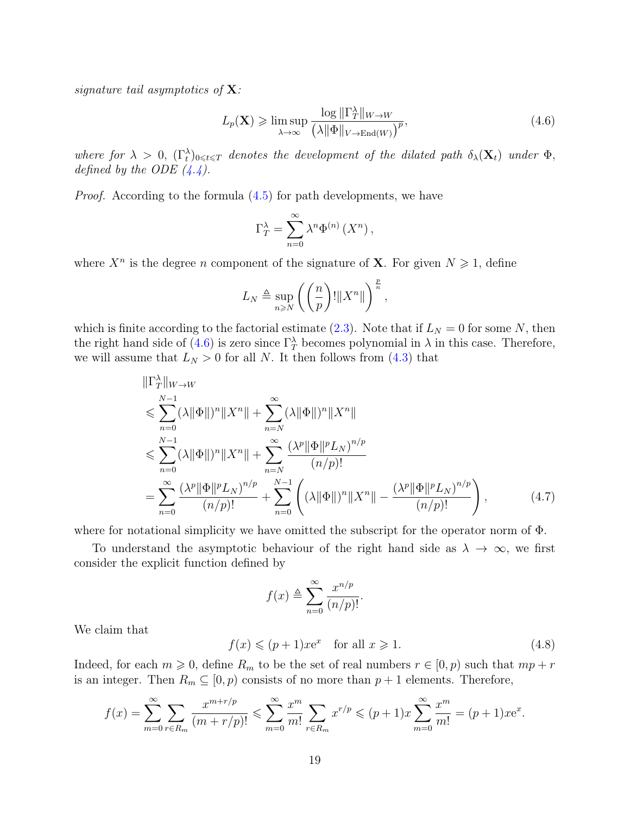signature tail asymptotics of  $X$ :

<span id="page-18-0"></span>
$$
L_p(\mathbf{X}) \ge \limsup_{\lambda \to \infty} \frac{\log \|\Gamma_T^{\lambda}\|_{W \to W}}{\left(\lambda \|\Phi\|_{V \to \text{End}(W)}\right)^p},\tag{4.6}
$$

where for  $\lambda > 0$ ,  $(\Gamma_t^{\lambda})_{0 \leq t \leq T}$  denotes the development of the dilated path  $\delta_{\lambda}(\mathbf{X}_t)$  under  $\Phi$ , defined by the ODE  $(4.4)$ .

*Proof.* According to the formula  $(4.5)$  for path developments, we have

$$
\Gamma_T^{\lambda} = \sum_{n=0}^{\infty} \lambda^n \Phi^{(n)} \left( X^n \right),
$$

where  $X^n$  is the degree *n* component of the signature of **X**. For given  $N \geq 1$ , define

$$
L_N \triangleq \sup_{n \geq N} \left( \left( \frac{n}{p} \right)! \| X^n \| \right)^{\frac{p}{n}},
$$

which is finite according to the factorial estimate [\(2.3\)](#page-7-2). Note that if  $L_N = 0$  for some N, then the right hand side of [\(4.6\)](#page-18-0) is zero since  $\Gamma_T^{\lambda}$  becomes polynomial in  $\lambda$  in this case. Therefore, we will assume that  $L_N > 0$  for all N. It then follows from [\(4.3\)](#page-16-3) that

$$
\|\Gamma_T^{\lambda}\|_{W\to W} \n\leq \sum_{n=0}^{N-1} (\lambda \|\Phi\|)^n \|X^n\| + \sum_{n=N}^{\infty} (\lambda \|\Phi\|)^n \|X^n\| \n\leq \sum_{n=0}^{N-1} (\lambda \|\Phi\|)^n \|X^n\| + \sum_{n=N}^{\infty} \frac{(\lambda^p \|\Phi\|^p L_N)^{n/p}}{(n/p)!} \n= \sum_{n=0}^{\infty} \frac{(\lambda^p \|\Phi\|^p L_N)^{n/p}}{(n/p)!} + \sum_{n=0}^{N-1} \left( (\lambda \|\Phi\|)^n \|X^n\| - \frac{(\lambda^p \|\Phi\|^p L_N)^{n/p}}{(n/p)!} \right),
$$
\n(4.7)

where for notational simplicity we have omitted the subscript for the operator norm of Φ.

To understand the asymptotic behaviour of the right hand side as  $\lambda \to \infty$ , we first consider the explicit function defined by

<span id="page-18-2"></span>
$$
f(x) \triangleq \sum_{n=0}^{\infty} \frac{x^{n/p}}{(n/p)!}.
$$

We claim that

<span id="page-18-1"></span>
$$
f(x) \leqslant (p+1)x e^x \quad \text{for all } x \geqslant 1. \tag{4.8}
$$

Indeed, for each  $m \geq 0$ , define  $R_m$  to be the set of real numbers  $r \in [0, p)$  such that  $mp + r$ is an integer. Then  $R_m \subseteq [0, p)$  consists of no more than  $p + 1$  elements. Therefore,

$$
f(x) = \sum_{m=0}^{\infty} \sum_{r \in R_m} \frac{x^{m+r/p}}{(m+r/p)!} \leq \sum_{m=0}^{\infty} \frac{x^m}{m!} \sum_{r \in R_m} x^{r/p} \leq (p+1)x \sum_{m=0}^{\infty} \frac{x^m}{m!} = (p+1)xe^x.
$$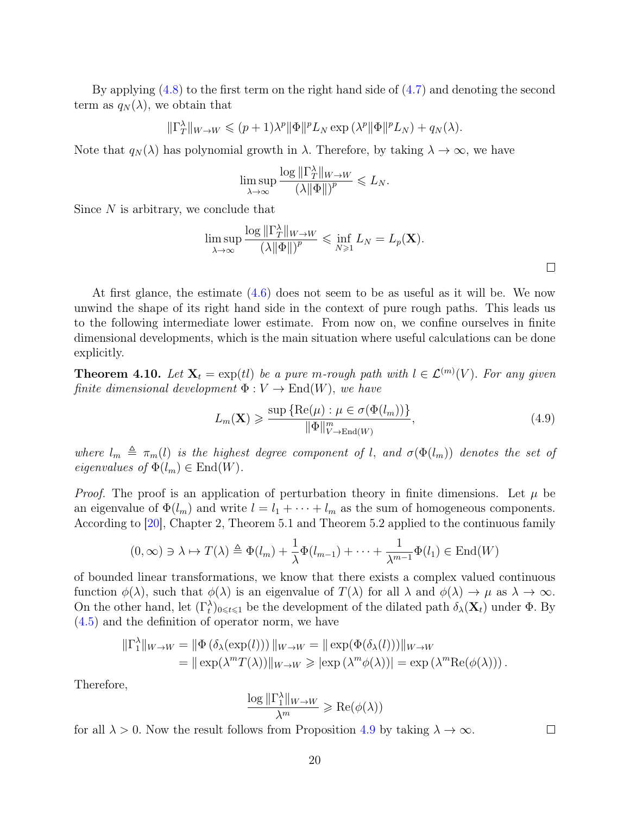By applying [\(4.8\)](#page-18-1) to the first term on the right hand side of [\(4.7\)](#page-18-2) and denoting the second term as  $q_N(\lambda)$ , we obtain that

$$
\|\Gamma_T^\lambda\|_{W\to W}\leqslant (p+1)\lambda^p\|\Phi\|^pL_N\exp{(\lambda^p\|\Phi\|^pL_N)}+q_N(\lambda).
$$

Note that  $q_N(\lambda)$  has polynomial growth in  $\lambda$ . Therefore, by taking  $\lambda \to \infty$ , we have

$$
\limsup_{\lambda \to \infty} \frac{\log \|\Gamma^\lambda_T\|_{W \to W}}{\left(\lambda \|\Phi\|\right)^p} \leqslant L_N.
$$

Since  $N$  is arbitrary, we conclude that

$$
\limsup_{\lambda \to \infty} \frac{\log \|\Gamma_T^{\lambda}\|_{W \to W}}{(\lambda \|\Phi\|)^p} \leq \inf_{N \geq 1} L_N = L_p(\mathbf{X}).
$$

At first glance, the estimate [\(4.6\)](#page-18-0) does not seem to be as useful as it will be. We now unwind the shape of its right hand side in the context of pure rough paths. This leads us to the following intermediate lower estimate. From now on, we confine ourselves in finite dimensional developments, which is the main situation where useful calculations can be done explicitly.

<span id="page-19-1"></span>**Theorem 4.10.** Let  $X_t = \exp(t)$  be a pure m-rough path with  $l \in \mathcal{L}^{(m)}(V)$ . For any given finite dimensional development  $\Phi: V \to \text{End}(W)$ , we have

<span id="page-19-0"></span>
$$
L_m(\mathbf{X}) \geq \frac{\sup \{ \text{Re}(\mu) : \mu \in \sigma(\Phi(l_m)) \}}{\|\Phi\|_{V \to \text{End}(W)}^m},\tag{4.9}
$$

where  $l_m \triangleq \pi_m(l)$  is the highest degree component of l, and  $\sigma(\Phi(l_m))$  denotes the set of eigenvalues of  $\Phi(l_m) \in \text{End}(W)$ .

*Proof.* The proof is an application of perturbation theory in finite dimensions. Let  $\mu$  be an eigenvalue of  $\Phi(l_m)$  and write  $l = l_1 + \cdots + l_m$  as the sum of homogeneous components. According to [\[20\]](#page-44-12), Chapter 2, Theorem 5.1 and Theorem 5.2 applied to the continuous family

$$
(0, \infty) \ni \lambda \mapsto T(\lambda) \triangleq \Phi(l_m) + \frac{1}{\lambda} \Phi(l_{m-1}) + \dots + \frac{1}{\lambda^{m-1}} \Phi(l_1) \in \text{End}(W)
$$

of bounded linear transformations, we know that there exists a complex valued continuous function  $\phi(\lambda)$ , such that  $\phi(\lambda)$  is an eigenvalue of  $T(\lambda)$  for all  $\lambda$  and  $\phi(\lambda) \to \mu$  as  $\lambda \to \infty$ . On the other hand, let  $(\Gamma_t^{\lambda})_{0\leq t\leq 1}$  be the development of the dilated path  $\delta_{\lambda}(\mathbf{X}_t)$  under  $\Phi$ . By [\(4.5\)](#page-16-2) and the definition of operator norm, we have

$$
\begin{aligned} \|\Gamma_1^{\lambda}\|_{W\to W} &= \|\Phi\left(\delta_{\lambda}(\exp(l))\right)\|_{W\to W} = \|\exp(\Phi(\delta_{\lambda}(l)))\|_{W\to W} \\ &= \|\exp(\lambda^m T(\lambda))\|_{W\to W} \geqslant |\exp(\lambda^m \phi(\lambda))| = \exp(\lambda^m \text{Re}(\phi(\lambda))). \end{aligned}
$$

Therefore,

$$
\frac{\log \|\Gamma_1^{\lambda}\|_{W \to W}}{\lambda^m} \geqslant \text{Re}(\phi(\lambda))
$$

for all  $\lambda > 0$ . Now the result follows from Proposition [4.9](#page-17-1) by taking  $\lambda \to \infty$ .

 $\Box$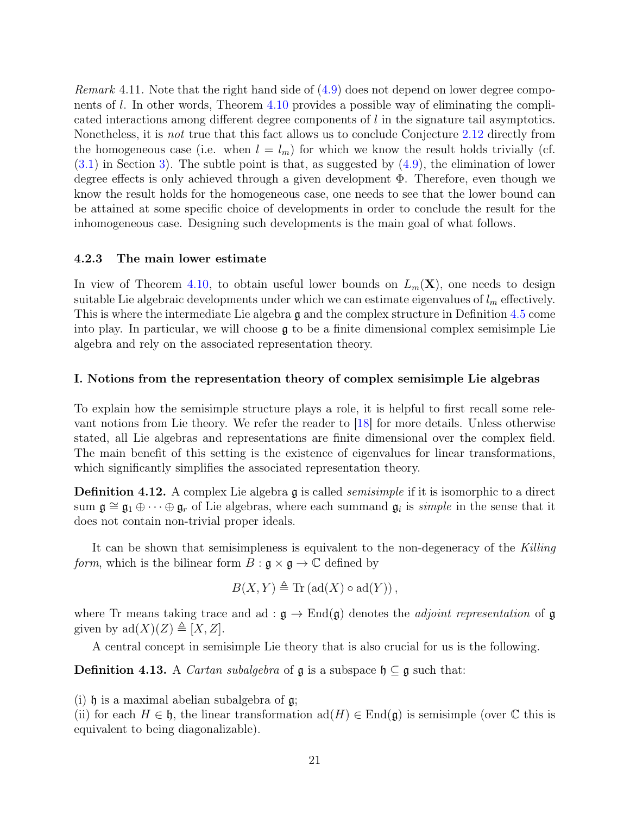*Remark* 4.11. Note that the right hand side of  $(4.9)$  does not depend on lower degree components of l. In other words, Theorem [4.10](#page-19-1) provides a possible way of eliminating the complicated interactions among different degree components of l in the signature tail asymptotics. Nonetheless, it is not true that this fact allows us to conclude Conjecture [2.12](#page-9-3) directly from the homogeneous case (i.e. when  $l = l_m$ ) for which we know the result holds trivially (cf.  $(3.1)$  in Section [3\)](#page-10-0). The subtle point is that, as suggested by  $(4.9)$ , the elimination of lower degree effects is only achieved through a given development Φ. Therefore, even though we know the result holds for the homogeneous case, one needs to see that the lower bound can be attained at some specific choice of developments in order to conclude the result for the inhomogeneous case. Designing such developments is the main goal of what follows.

#### <span id="page-20-0"></span>4.2.3 The main lower estimate

In view of Theorem [4.10,](#page-19-1) to obtain useful lower bounds on  $L_m(\mathbf{X})$ , one needs to design suitable Lie algebraic developments under which we can estimate eigenvalues of  $l_m$  effectively. This is where the intermediate Lie algebra g and the complex structure in Definition [4.5](#page-16-0) come into play. In particular, we will choose  $\mathfrak g$  to be a finite dimensional complex semisimple Lie algebra and rely on the associated representation theory.

#### <span id="page-20-1"></span>I. Notions from the representation theory of complex semisimple Lie algebras

To explain how the semisimple structure plays a role, it is helpful to first recall some relevant notions from Lie theory. We refer the reader to [\[18\]](#page-44-13) for more details. Unless otherwise stated, all Lie algebras and representations are finite dimensional over the complex field. The main benefit of this setting is the existence of eigenvalues for linear transformations, which significantly simplifies the associated representation theory.

**Definition 4.12.** A complex Lie algebra g is called *semisimple* if it is isomorphic to a direct sum  $\mathfrak{g} \cong \mathfrak{g}_1 \oplus \cdots \oplus \mathfrak{g}_r$  of Lie algebras, where each summand  $\mathfrak{g}_i$  is *simple* in the sense that it does not contain non-trivial proper ideals.

It can be shown that semisimpleness is equivalent to the non-degeneracy of the Killing *form*, which is the bilinear form  $B : \mathfrak{g} \times \mathfrak{g} \to \mathbb{C}$  defined by

$$
B(X, Y) \triangleq \text{Tr}(\text{ad}(X) \circ \text{ad}(Y)),
$$

where Tr means taking trace and ad :  $\mathfrak{g} \to \text{End}(\mathfrak{g})$  denotes the *adjoint representation* of g given by  $\text{ad}(X)(Z) \triangleq [X, Z].$ 

A central concept in semisimple Lie theory that is also crucial for us is the following.

**Definition 4.13.** A *Cartan subalgebra* of  $\mathfrak{g}$  is a subspace  $\mathfrak{h} \subseteq \mathfrak{g}$  such that:

(i)  $\mathfrak h$  is a maximal abelian subalgebra of  $\mathfrak g$ ;

(ii) for each  $H \in \mathfrak{h}$ , the linear transformation  $ad(H) \in End(\mathfrak{g})$  is semisimple (over  $\mathbb C$  this is equivalent to being diagonalizable).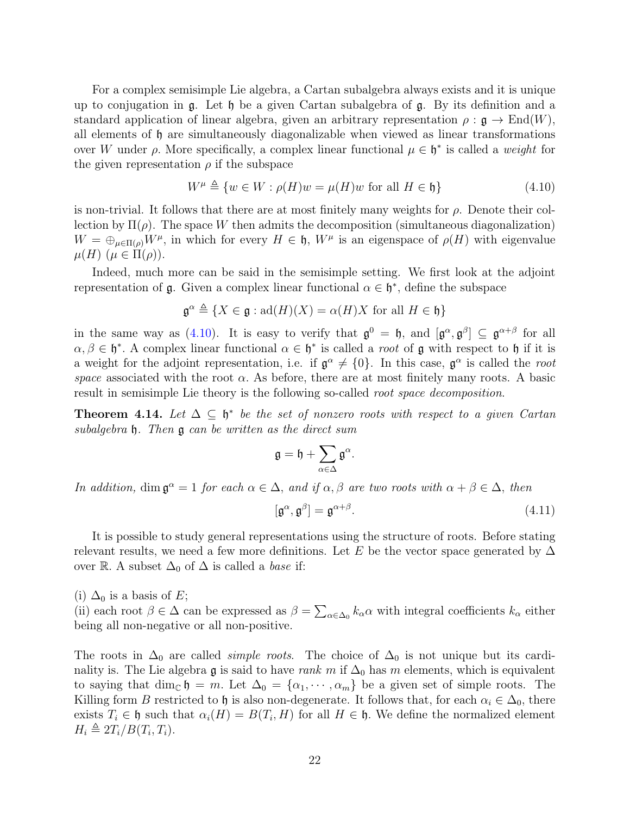For a complex semisimple Lie algebra, a Cartan subalgebra always exists and it is unique up to conjugation in g. Let h be a given Cartan subalgebra of g. By its definition and a standard application of linear algebra, given an arbitrary representation  $\rho : \mathfrak{g} \to \text{End}(W)$ , all elements of h are simultaneously diagonalizable when viewed as linear transformations over W under  $\rho$ . More specifically, a complex linear functional  $\mu \in \mathfrak{h}^*$  is called a weight for the given representation  $\rho$  if the subspace

<span id="page-21-0"></span>
$$
W^{\mu} \triangleq \{ w \in W : \rho(H)w = \mu(H)w \text{ for all } H \in \mathfrak{h} \}
$$
\n(4.10)

is non-trivial. It follows that there are at most finitely many weights for  $\rho$ . Denote their collection by  $\Pi(\rho)$ . The space W then admits the decomposition (simultaneous diagonalization)  $W = \bigoplus_{\mu \in \Pi(\rho)} W^{\mu}$ , in which for every  $H \in \mathfrak{h}$ ,  $W^{\mu}$  is an eigenspace of  $\rho(H)$  with eigenvalue  $\mu(H)$   $(\mu \in \Pi(\rho)).$ 

Indeed, much more can be said in the semisimple setting. We first look at the adjoint representation of  $\mathfrak g$ . Given a complex linear functional  $\alpha \in \mathfrak h^*$ , define the subspace

$$
\mathfrak{g}^{\alpha} \triangleq \{ X \in \mathfrak{g} : \text{ad}(H)(X) = \alpha(H)X \text{ for all } H \in \mathfrak{h} \}
$$

in the same way as [\(4.10\)](#page-21-0). It is easy to verify that  $\mathfrak{g}^0 = \mathfrak{h}$ , and  $[\mathfrak{g}^\alpha, \mathfrak{g}^\beta] \subseteq \mathfrak{g}^{\alpha+\beta}$  for all  $\alpha, \beta \in \mathfrak{h}^*$ . A complex linear functional  $\alpha \in \mathfrak{h}^*$  is called a *root* of **g** with respect to **h** if it is a weight for the adjoint representation, i.e. if  $\mathfrak{g}^{\alpha} \neq \{0\}$ . In this case,  $\mathfrak{g}^{\alpha}$  is called the root space associated with the root  $\alpha$ . As before, there are at most finitely many roots. A basic result in semisimple Lie theory is the following so-called root space decomposition.

**Theorem 4.14.** Let  $\Delta \subseteq \mathfrak{h}^*$  be the set of nonzero roots with respect to a given Cartan subalgebra h. Then g can be written as the direct sum

$$
\mathfrak{g}=\mathfrak{h}+\sum_{\alpha\in\Delta}\mathfrak{g}^\alpha.
$$

In addition, dim  $\mathfrak{g}^{\alpha} = 1$  for each  $\alpha \in \Delta$ , and if  $\alpha, \beta$  are two roots with  $\alpha + \beta \in \Delta$ , then

<span id="page-21-1"></span>
$$
[\mathfrak{g}^{\alpha}, \mathfrak{g}^{\beta}] = \mathfrak{g}^{\alpha+\beta}.
$$
 (4.11)

It is possible to study general representations using the structure of roots. Before stating relevant results, we need a few more definitions. Let E be the vector space generated by  $\Delta$ over R. A subset  $\Delta_0$  of  $\Delta$  is called a *base* if:

(i)  $\Delta_0$  is a basis of E;

(ii) each root  $\beta \in \Delta$  can be expressed as  $\beta = \sum_{\alpha \in \Delta_0} k_\alpha \alpha$  with integral coefficients  $k_\alpha$  either being all non-negative or all non-positive.

The roots in  $\Delta_0$  are called *simple roots*. The choice of  $\Delta_0$  is not unique but its cardinality is. The Lie algebra g is said to have rank m if  $\Delta_0$  has m elements, which is equivalent to saying that dim<sub>C</sub>  $\mathfrak{h} = m$ . Let  $\Delta_0 = {\alpha_1, \cdots, \alpha_m}$  be a given set of simple roots. The Killing form B restricted to h is also non-degenerate. It follows that, for each  $\alpha_i \in \Delta_0$ , there exists  $T_i \in \mathfrak{h}$  such that  $\alpha_i(H) = B(T_i, H)$  for all  $H \in \mathfrak{h}$ . We define the normalized element  $H_i \triangleq 2T_i/B(T_i, T_i).$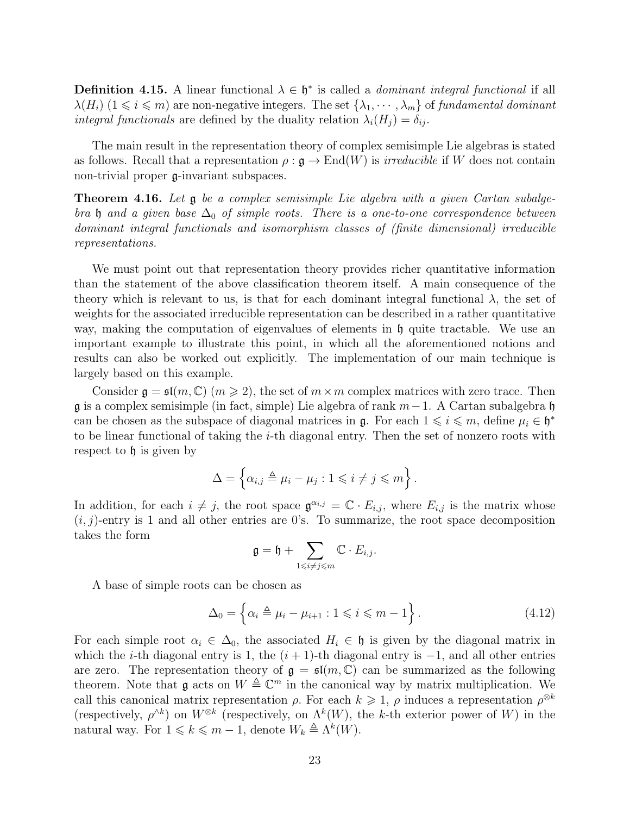**Definition 4.15.** A linear functional  $\lambda \in \mathfrak{h}^*$  is called a *dominant integral functional* if all  $\lambda(H_i)$   $(1 \leq i \leq m)$  are non-negative integers. The set  $\{\lambda_1, \dots, \lambda_m\}$  of fundamental dominant *integral functionals* are defined by the duality relation  $\lambda_i(H_i) = \delta_{ij}$ .

The main result in the representation theory of complex semisimple Lie algebras is stated as follows. Recall that a representation  $\rho : \mathfrak{g} \to \text{End}(W)$  is *irreducible* if W does not contain non-trivial proper g-invariant subspaces.

<span id="page-22-1"></span>**Theorem 4.16.** Let  $\mathfrak g$  be a complex semisimple Lie algebra with a given Cartan subalgebra h and a given base  $\Delta_0$  of simple roots. There is a one-to-one correspondence between dominant integral functionals and isomorphism classes of (finite dimensional) irreducible representations.

We must point out that representation theory provides richer quantitative information than the statement of the above classification theorem itself. A main consequence of the theory which is relevant to us, is that for each dominant integral functional  $\lambda$ , the set of weights for the associated irreducible representation can be described in a rather quantitative way, making the computation of eigenvalues of elements in  $\mathfrak h$  quite tractable. We use an important example to illustrate this point, in which all the aforementioned notions and results can also be worked out explicitly. The implementation of our main technique is largely based on this example.

Consider  $\mathfrak{g} = \mathfrak{sl}(m, \mathbb{C})$   $(m \geq 2)$ , the set of  $m \times m$  complex matrices with zero trace. Then  $\mathfrak g$  is a complex semisimple (in fact, simple) Lie algebra of rank  $m-1$ . A Cartan subalgebra  $\mathfrak h$ can be chosen as the subspace of diagonal matrices in  $\mathfrak{g}$ . For each  $1 \leq i \leq m$ , define  $\mu_i \in \mathfrak{h}^*$ to be linear functional of taking the i-th diagonal entry. Then the set of nonzero roots with respect to  $\mathfrak h$  is given by

$$
\Delta = \left\{ \alpha_{i,j} \triangleq \mu_i - \mu_j : 1 \leq i \neq j \leq m \right\}.
$$

In addition, for each  $i \neq j$ , the root space  $\mathfrak{g}^{\alpha_{i,j}} = \mathbb{C} \cdot E_{i,j}$ , where  $E_{i,j}$  is the matrix whose  $(i, j)$ -entry is 1 and all other entries are 0's. To summarize, the root space decomposition takes the form

$$
\mathfrak{g}=\mathfrak{h}+\sum_{1\leqslant i\neq j\leqslant m}\mathbb{C}\cdot E_{i,j}.
$$

A base of simple roots can be chosen as

<span id="page-22-0"></span>
$$
\Delta_0 = \left\{ \alpha_i \triangleq \mu_i - \mu_{i+1} : 1 \leqslant i \leqslant m - 1 \right\}.
$$
\n(4.12)

For each simple root  $\alpha_i \in \Delta_0$ , the associated  $H_i \in \mathfrak{h}$  is given by the diagonal matrix in which the *i*-th diagonal entry is 1, the  $(i + 1)$ -th diagonal entry is  $-1$ , and all other entries are zero. The representation theory of  $g = \mathfrak{sl}(m, \mathbb{C})$  can be summarized as the following theorem. Note that  $\mathfrak g$  acts on  $W \triangleq \mathbb{C}^m$  in the canonical way by matrix multiplication. We call this canonical matrix representation  $\rho$ . For each  $k \geqslant 1$ ,  $\rho$  induces a representation  $\rho^{\otimes k}$ (respectively,  $\rho^{\wedge k}$ ) on  $W^{\otimes k}$  (respectively, on  $\Lambda^k(W)$ , the k-th exterior power of W) in the natural way. For  $1 \leq k \leq m-1$ , denote  $W_k \triangleq \Lambda^k(W)$ .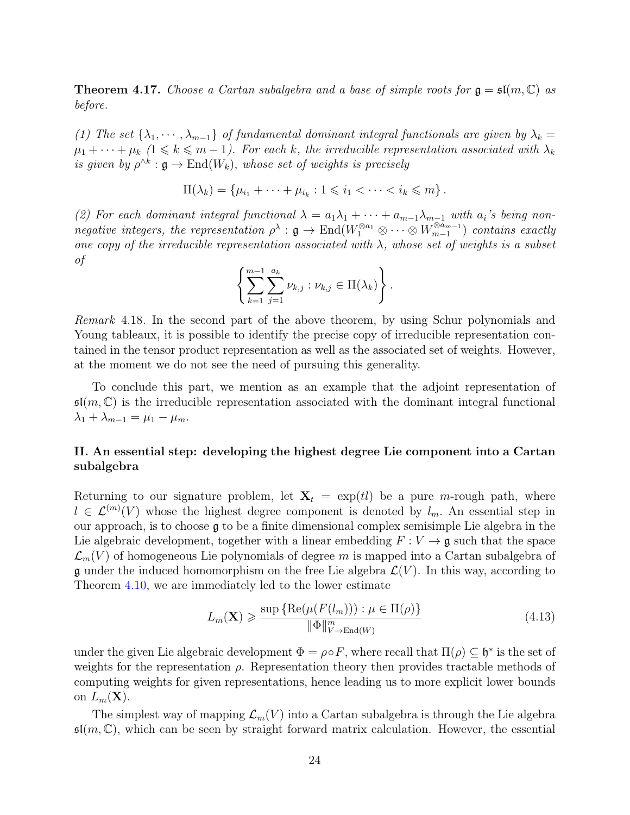<span id="page-23-2"></span>**Theorem 4.17.** Choose a Cartan subalgebra and a base of simple roots for  $\mathfrak{g} = \mathfrak{sl}(m, \mathbb{C})$  as before.

(1) The set  $\{\lambda_1, \dots, \lambda_{m-1}\}$  of fundamental dominant integral functionals are given by  $\lambda_k =$  $\mu_1 + \cdots + \mu_k$   $(1 \leq k \leq m-1)$ . For each k, the irreducible representation associated with  $\lambda_k$ is given by  $\rho^{\wedge k} : \mathfrak{g} \to \text{End}(W_k)$ , whose set of weights is precisely

$$
\Pi(\lambda_k) = \{\mu_{i_1} + \cdots + \mu_{i_k} : 1 \leq i_1 < \cdots < i_k \leq m\}.
$$

(2) For each dominant integral functional  $\lambda = a_1\lambda_1 + \cdots + a_{m-1}\lambda_{m-1}$  with  $a_i$ 's being nonnegative integers, the representation  $\rho^{\lambda} : \mathfrak{g} \to \text{End}(W_1^{\otimes a_1} \otimes \cdots \otimes W_{m-1}^{\otimes a_{m-1}})$  $\binom{m-1}{m-1}$  contains exactly one copy of the irreducible representation associated with  $\lambda$ , whose set of weights is a subset of

$$
\left\{\sum_{k=1}^{m-1}\sum_{j=1}^{a_k}\nu_{k,j}:\nu_{k,j}\in\Pi(\lambda_k)\right\}.
$$

Remark 4.18. In the second part of the above theorem, by using Schur polynomials and Young tableaux, it is possible to identify the precise copy of irreducible representation contained in the tensor product representation as well as the associated set of weights. However, at the moment we do not see the need of pursuing this generality.

To conclude this part, we mention as an example that the adjoint representation of  $\mathfrak{sl}(m,\mathbb{C})$  is the irreducible representation associated with the dominant integral functional  $\lambda_1 + \lambda_{m-1} = \mu_1 - \mu_m.$ 

#### <span id="page-23-0"></span>II. An essential step: developing the highest degree Lie component into a Cartan subalgebra

Returning to our signature problem, let  $X_t = \exp(t)$  be a pure m-rough path, where  $l \in \mathcal{L}^{(m)}(V)$  whose the highest degree component is denoted by  $l_m$ . An essential step in our approach, is to choose g to be a finite dimensional complex semisimple Lie algebra in the Lie algebraic development, together with a linear embedding  $F: V \to \mathfrak{g}$  such that the space  $\mathcal{L}_m(V)$  of homogeneous Lie polynomials of degree m is mapped into a Cartan subalgebra of g under the induced homomorphism on the free Lie algebra  $\mathcal{L}(V)$ . In this way, according to Theorem [4.10,](#page-19-1) we are immediately led to the lower estimate

<span id="page-23-1"></span>
$$
L_m(\mathbf{X}) \ge \frac{\sup \{ \text{Re}(\mu(F(l_m))) : \mu \in \Pi(\rho) \}}{\|\Phi\|_{V \to \text{End}(W)}^m} \tag{4.13}
$$

under the given Lie algebraic development  $\Phi = \rho \circ F$ , where recall that  $\Pi(\rho) \subseteq \mathfrak{h}^*$  is the set of weights for the representation  $\rho$ . Representation theory then provides tractable methods of computing weights for given representations, hence leading us to more explicit lower bounds on  $L_m(\mathbf{X})$ .

The simplest way of mapping  $\mathcal{L}_m(V)$  into a Cartan subalgebra is through the Lie algebra  $\mathfrak{sl}(m,\mathbb{C})$ , which can be seen by straight forward matrix calculation. However, the essential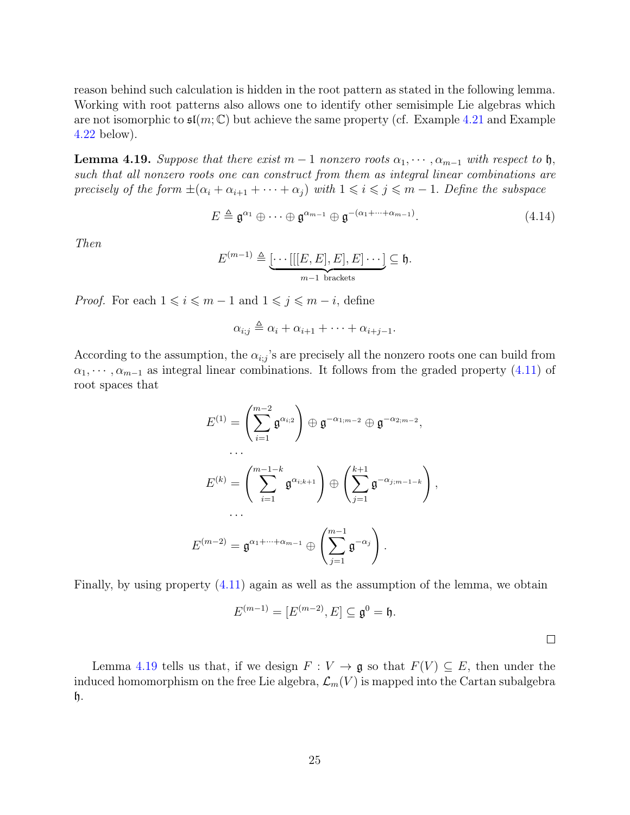reason behind such calculation is hidden in the root pattern as stated in the following lemma. Working with root patterns also allows one to identify other semisimple Lie algebras which are not isomorphic to  $\mathfrak{sl}(m;\mathbb{C})$  but achieve the same property (cf. Example [4.21](#page-25-0) and Example [4.22](#page-25-1) below).

<span id="page-24-0"></span>**Lemma 4.19.** Suppose that there exist  $m-1$  nonzero roots  $\alpha_1, \dots, \alpha_{m-1}$  with respect to h, such that all nonzero roots one can construct from them as integral linear combinations are precisely of the form  $\pm(\alpha_i+\alpha_{i+1}+\cdots+\alpha_j)$  with  $1\leq i\leq j\leq m-1$ . Define the subspace

$$
E \triangleq \mathfrak{g}^{\alpha_1} \oplus \cdots \oplus \mathfrak{g}^{\alpha_{m-1}} \oplus \mathfrak{g}^{-(\alpha_1 + \cdots + \alpha_{m-1})}.
$$
\n(4.14)

Then

$$
E^{(m-1)} \triangleq \underbrace{[\cdots[[[E,E],E],E]\cdots]}_{m-1 \text{ brackets}} \subseteq \mathfrak{h}.
$$

*Proof.* For each  $1 \leq i \leq m-1$  and  $1 \leq j \leq m-i$ , define

$$
\alpha_{i;j} \triangleq \alpha_i + \alpha_{i+1} + \cdots + \alpha_{i+j-1}.
$$

According to the assumption, the  $\alpha_{i,j}$ 's are precisely all the nonzero roots one can build from  $\alpha_1, \cdots, \alpha_{m-1}$  as integral linear combinations. It follows from the graded property [\(4.11\)](#page-21-1) of root spaces that

$$
E^{(1)} = \left(\sum_{i=1}^{m-2} \mathfrak{g}^{\alpha_{i,2}}\right) \oplus \mathfrak{g}^{-\alpha_{1;m-2}} \oplus \mathfrak{g}^{-\alpha_{2;m-2}},
$$
  

$$
\cdots
$$
  

$$
E^{(k)} = \left(\sum_{i=1}^{m-1-k} \mathfrak{g}^{\alpha_{i,k+1}}\right) \oplus \left(\sum_{j=1}^{k+1} \mathfrak{g}^{-\alpha_{j;m-1-k}}\right),
$$
  

$$
\cdots
$$
  

$$
E^{(m-2)} = \mathfrak{g}^{\alpha_1 + \cdots + \alpha_{m-1}} \oplus \left(\sum_{j=1}^{m-1} \mathfrak{g}^{-\alpha_j}\right).
$$

Finally, by using property [\(4.11\)](#page-21-1) again as well as the assumption of the lemma, we obtain

$$
E^{(m-1)} = [E^{(m-2)}, E] \subseteq \mathfrak{g}^0 = \mathfrak{h}.
$$

 $\Box$ 

Lemma [4.19](#page-24-0) tells us that, if we design  $F: V \to \mathfrak{g}$  so that  $F(V) \subseteq E$ , then under the induced homomorphism on the free Lie algebra,  $\mathcal{L}_m(V)$  is mapped into the Cartan subalgebra h.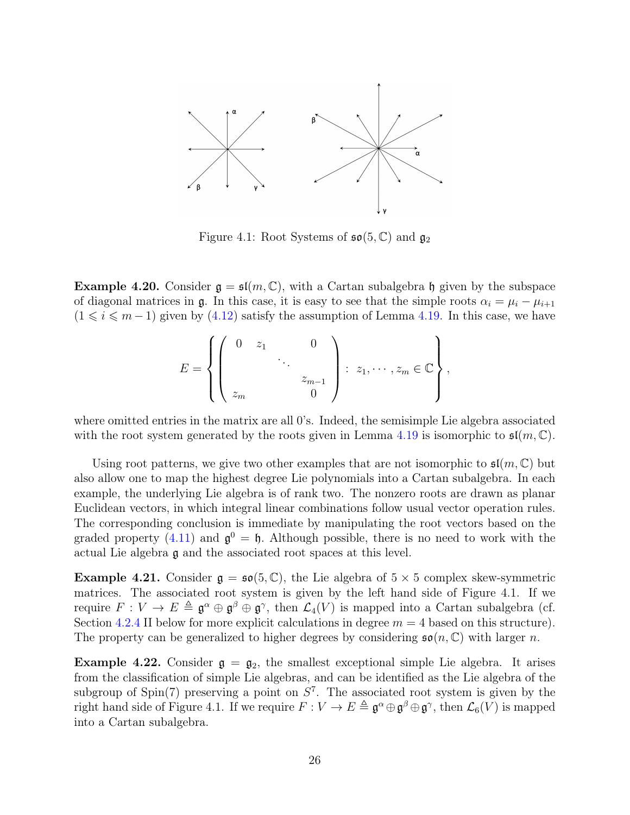

Figure 4.1: Root Systems of  $\mathfrak{so}(5,\mathbb{C})$  and  $\mathfrak{g}_2$ 

<span id="page-25-2"></span>**Example 4.20.** Consider  $g = \mathfrak{sl}(m, \mathbb{C})$ , with a Cartan subalgebra h given by the subspace of diagonal matrices in  $\mathfrak{g}$ . In this case, it is easy to see that the simple roots  $\alpha_i = \mu_i - \mu_{i+1}$  $(1 \le i \le m - 1)$  given by  $(4.12)$  satisfy the assumption of Lemma [4.19.](#page-24-0) In this case, we have

$$
E = \left\{ \left( \begin{array}{ccc} 0 & z_1 & & 0 \\ & & \ddots & \\ & & & z_{m-1} \\ z_m & & & 0 \end{array} \right) : z_1, \cdots, z_m \in \mathbb{C} \right\},\,
$$

where omitted entries in the matrix are all 0's. Indeed, the semisimple Lie algebra associated with the root system generated by the roots given in Lemma [4.19](#page-24-0) is isomorphic to  $\mathfrak{sl}(m,\mathbb{C})$ .

Using root patterns, we give two other examples that are not isomorphic to  $\mathfrak{sl}(m,\mathbb{C})$  but also allow one to map the highest degree Lie polynomials into a Cartan subalgebra. In each example, the underlying Lie algebra is of rank two. The nonzero roots are drawn as planar Euclidean vectors, in which integral linear combinations follow usual vector operation rules. The corresponding conclusion is immediate by manipulating the root vectors based on the graded property [\(4.11\)](#page-21-1) and  $\mathfrak{g}^0 = \mathfrak{h}$ . Although possible, there is no need to work with the actual Lie algebra g and the associated root spaces at this level.

<span id="page-25-0"></span>**Example 4.21.** Consider  $g = \mathfrak{so}(5, \mathbb{C})$ , the Lie algebra of  $5 \times 5$  complex skew-symmetric matrices. The associated root system is given by the left hand side of Figure 4.1. If we require  $F: V \to E \triangleq \mathfrak{g}^{\alpha} \oplus \mathfrak{g}^{\beta} \oplus \mathfrak{g}^{\gamma}$ , then  $\mathcal{L}_4(V)$  is mapped into a Cartan subalgebra (cf. Section [4.2.4](#page-35-0) II below for more explicit calculations in degree  $m = 4$  based on this structure). The property can be generalized to higher degrees by considering  $\mathfrak{so}(n,\mathbb{C})$  with larger n.

<span id="page-25-1"></span>**Example 4.22.** Consider  $\mathfrak{g} = \mathfrak{g}_2$ , the smallest exceptional simple Lie algebra. It arises from the classification of simple Lie algebras, and can be identified as the Lie algebra of the subgroup of  $Spin(7)$  preserving a point on  $S^7$ . The associated root system is given by the right hand side of Figure 4.1. If we require  $F: V \to E \triangleq \mathfrak{g}^{\alpha} \oplus \mathfrak{g}^{\beta} \oplus \mathfrak{g}^{\gamma}$ , then  $\mathcal{L}_6(V)$  is mapped into a Cartan subalgebra.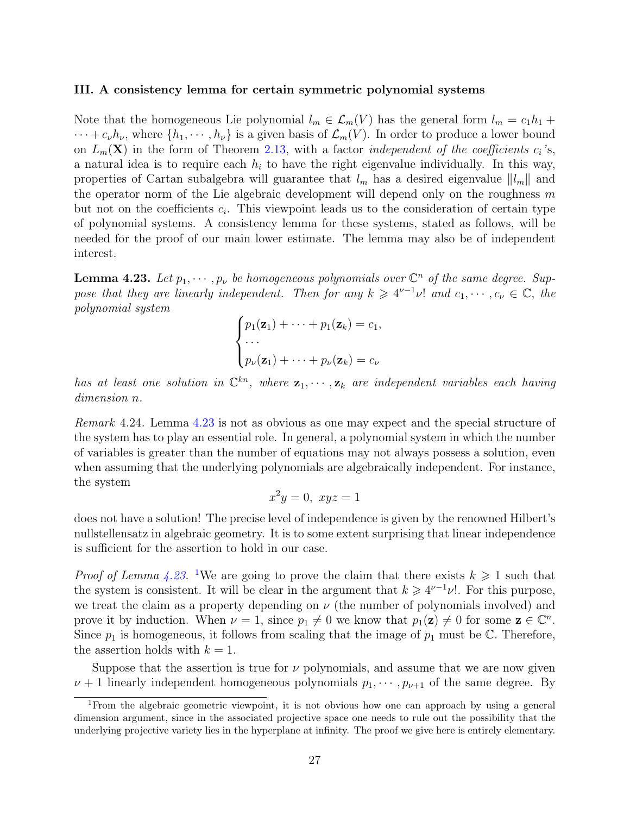#### <span id="page-26-0"></span>III. A consistency lemma for certain symmetric polynomial systems

Note that the homogeneous Lie polynomial  $l_m \in \mathcal{L}_m(V)$  has the general form  $l_m = c_1h_1 +$  $\cdots + c_{\nu}h_{\nu}$ , where  $\{h_1, \cdots, h_{\nu}\}\$ is a given basis of  $\mathcal{L}_m(V)$ . In order to produce a lower bound on  $L_m(\mathbf{X})$  in the form of Theorem [2.13,](#page-9-2) with a factor *independent of the coefficients*  $c_i$ 's, a natural idea is to require each  $h_i$  to have the right eigenvalue individually. In this way, properties of Cartan subalgebra will guarantee that  $l_m$  has a desired eigenvalue  $||l_m||$  and the operator norm of the Lie algebraic development will depend only on the roughness  $m$ but not on the coefficients  $c_i$ . This viewpoint leads us to the consideration of certain type of polynomial systems. A consistency lemma for these systems, stated as follows, will be needed for the proof of our main lower estimate. The lemma may also be of independent interest.

<span id="page-26-1"></span>**Lemma 4.23.** Let  $p_1, \dots, p_\nu$  be homogeneous polynomials over  $\mathbb{C}^n$  of the same degree. Suppose that they are linearly independent. Then for any  $k \geq 4^{\nu-1}\nu!$  and  $c_1, \dots, c_{\nu} \in \mathbb{C}$ , the polynomial system

$$
\begin{cases} p_1(\mathbf{z}_1) + \cdots + p_1(\mathbf{z}_k) = c_1, \\ \cdots \\ p_\nu(\mathbf{z}_1) + \cdots + p_\nu(\mathbf{z}_k) = c_\nu \end{cases}
$$

has at least one solution in  $\mathbb{C}^{kn}$ , where  $\mathbf{z}_1, \cdots, \mathbf{z}_k$  are independent variables each having dimension n.

Remark 4.24. Lemma [4.23](#page-26-1) is not as obvious as one may expect and the special structure of the system has to play an essential role. In general, a polynomial system in which the number of variables is greater than the number of equations may not always possess a solution, even when assuming that the underlying polynomials are algebraically independent. For instance, the system

$$
x^2y = 0, \ xyz = 1
$$

does not have a solution! The precise level of independence is given by the renowned Hilbert's nullstellensatz in algebraic geometry. It is to some extent surprising that linear independence is sufficient for the assertion to hold in our case.

*Proof of Lemma [4.23.](#page-26-1)* <sup>[1](#page-26-2)</sup>We are going to prove the claim that there exists  $k \geq 1$  such that the system is consistent. It will be clear in the argument that  $k \geq 4^{\nu-1}\nu!$ . For this purpose, we treat the claim as a property depending on  $\nu$  (the number of polynomials involved) and prove it by induction. When  $\nu = 1$ , since  $p_1 \neq 0$  we know that  $p_1(z) \neq 0$  for some  $z \in \mathbb{C}^n$ . Since  $p_1$  is homogeneous, it follows from scaling that the image of  $p_1$  must be  $\mathbb{C}$ . Therefore, the assertion holds with  $k = 1$ .

Suppose that the assertion is true for  $\nu$  polynomials, and assume that we are now given  $\nu + 1$  linearly independent homogeneous polynomials  $p_1, \dots, p_{\nu+1}$  of the same degree. By

<span id="page-26-2"></span><sup>1</sup>From the algebraic geometric viewpoint, it is not obvious how one can approach by using a general dimension argument, since in the associated projective space one needs to rule out the possibility that the underlying projective variety lies in the hyperplane at infinity. The proof we give here is entirely elementary.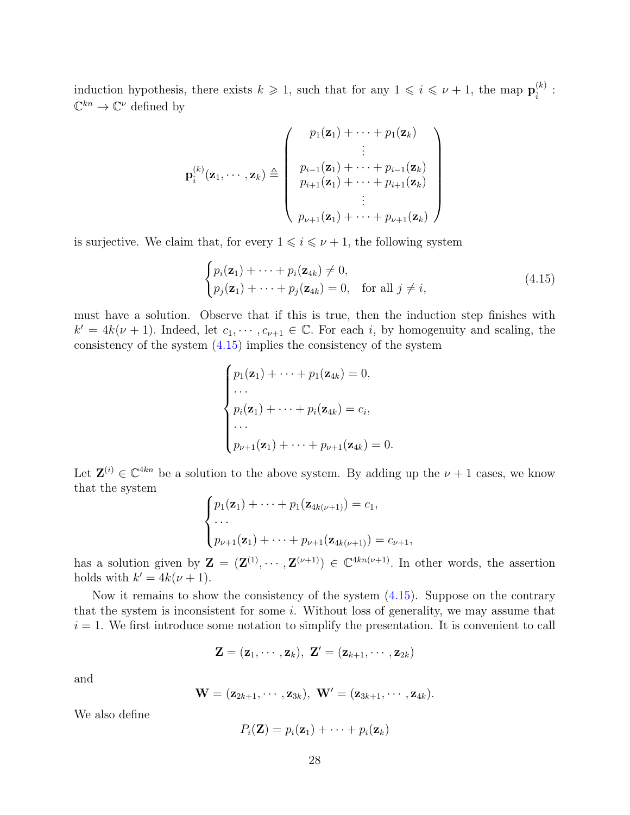induction hypothesis, there exists  $k \geqslant 1$ , such that for any  $1 \leqslant i \leqslant \nu + 1$ , the map  $\mathbf{p}_{i}^{(k)}$  $\hat{i}^{(\kappa)}$  :  $\mathbb{C}^{kn} \to \mathbb{C}^{\nu}$  defined by

$$
\mathbf{p}_{\hat{i}}^{(k)}(\mathbf{z}_{1},\cdots,\mathbf{z}_{k}) \triangleq \left(\begin{array}{c} p_{1}(\mathbf{z}_{1}) + \cdots + p_{1}(\mathbf{z}_{k}) \\ \vdots \\ p_{i-1}(\mathbf{z}_{1}) + \cdots + p_{i-1}(\mathbf{z}_{k}) \\ p_{i+1}(\mathbf{z}_{1}) + \cdots + p_{i+1}(\mathbf{z}_{k}) \\ \vdots \\ p_{\nu+1}(\mathbf{z}_{1}) + \cdots + p_{\nu+1}(\mathbf{z}_{k}) \end{array}\right)
$$

is surjective. We claim that, for every  $1 \leq i \leq \nu + 1$ , the following system

<span id="page-27-0"></span>
$$
\begin{cases} p_i(\mathbf{z}_1) + \dots + p_i(\mathbf{z}_{4k}) \neq 0, \\ p_j(\mathbf{z}_1) + \dots + p_j(\mathbf{z}_{4k}) = 0, \quad \text{for all } j \neq i, \end{cases}
$$
 (4.15)

must have a solution. Observe that if this is true, then the induction step finishes with  $k' = 4k(\nu + 1)$ . Indeed, let  $c_1, \dots, c_{\nu+1} \in \mathbb{C}$ . For each i, by homogenuity and scaling, the consistency of the system [\(4.15\)](#page-27-0) implies the consistency of the system

$$
\begin{cases}\np_1(\mathbf{z}_1) + \cdots + p_1(\mathbf{z}_{4k}) = 0, \\
\cdots \\
p_i(\mathbf{z}_1) + \cdots + p_i(\mathbf{z}_{4k}) = c_i, \\
\cdots \\
p_{\nu+1}(\mathbf{z}_1) + \cdots + p_{\nu+1}(\mathbf{z}_{4k}) = 0.\n\end{cases}
$$

Let  $\mathbf{Z}^{(i)} \in \mathbb{C}^{4kn}$  be a solution to the above system. By adding up the  $\nu + 1$  cases, we know that the system

$$
\begin{cases} p_1(\mathbf{z}_1) + \cdots + p_1(\mathbf{z}_{4k(\nu+1)}) = c_1, \\ \cdots \\ p_{\nu+1}(\mathbf{z}_1) + \cdots + p_{\nu+1}(\mathbf{z}_{4k(\nu+1)}) = c_{\nu+1}, \end{cases}
$$

has a solution given by  $\mathbf{Z} = (\mathbf{Z}^{(1)}, \cdots, \mathbf{Z}^{(\nu+1)}) \in \mathbb{C}^{4kn(\nu+1)}$ . In other words, the assertion holds with  $k' = 4k(\nu + 1)$ .

Now it remains to show the consistency of the system [\(4.15\)](#page-27-0). Suppose on the contrary that the system is inconsistent for some i. Without loss of generality, we may assume that  $i = 1$ . We first introduce some notation to simplify the presentation. It is convenient to call

$$
\mathbf{Z}=(\mathbf{z}_1,\cdots,\mathbf{z}_k),\ \mathbf{Z}'=(\mathbf{z}_{k+1},\cdots,\mathbf{z}_{2k})
$$

and

$$
\mathbf{W}=(\mathbf{z}_{2k+1},\cdots,\mathbf{z}_{3k}),\ \mathbf{W}'=(\mathbf{z}_{3k+1},\cdots,\mathbf{z}_{4k}).
$$

We also define

$$
P_i(\mathbf{Z}) = p_i(\mathbf{z}_1) + \cdots + p_i(\mathbf{z}_k)
$$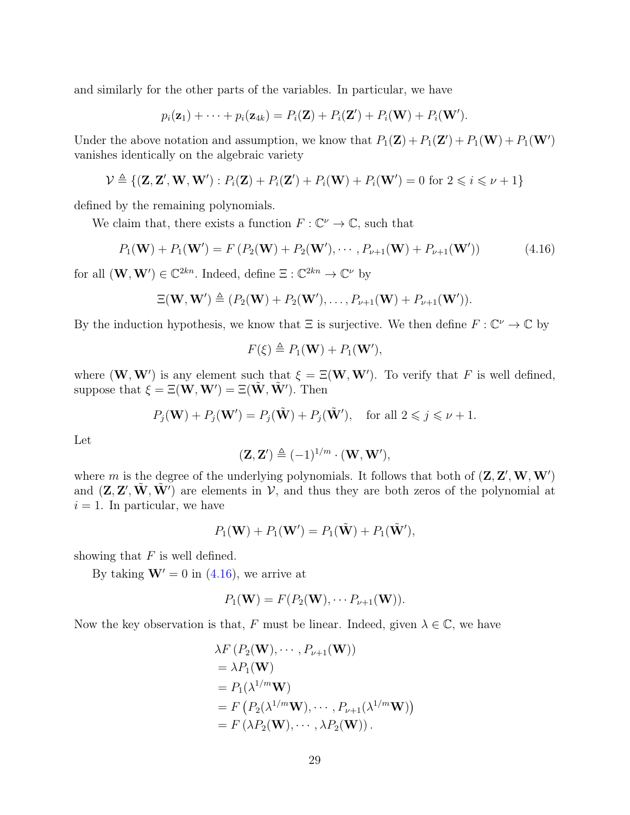and similarly for the other parts of the variables. In particular, we have

$$
p_i(\mathbf{z}_1) + \cdots + p_i(\mathbf{z}_{4k}) = P_i(\mathbf{Z}) + P_i(\mathbf{Z}') + P_i(\mathbf{W}) + P_i(\mathbf{W}').
$$

Under the above notation and assumption, we know that  $P_1(\mathbf{Z}) + P_1(\mathbf{Z}') + P_1(\mathbf{W}) + P_1(\mathbf{W}')$ vanishes identically on the algebraic variety

$$
\mathcal{V} \triangleq \{ (\mathbf{Z}, \mathbf{Z}', \mathbf{W}, \mathbf{W}') : P_i(\mathbf{Z}) + P_i(\mathbf{Z}') + P_i(\mathbf{W}) + P_i(\mathbf{W}') = 0 \text{ for } 2 \leq i \leq \nu + 1 \}
$$

defined by the remaining polynomials.

We claim that, there exists a function  $F: \mathbb{C}^{\nu} \to \mathbb{C}$ , such that

$$
P_1(\mathbf{W}) + P_1(\mathbf{W}') = F(P_2(\mathbf{W}) + P_2(\mathbf{W}'), \cdots, P_{\nu+1}(\mathbf{W}) + P_{\nu+1}(\mathbf{W}')) \tag{4.16}
$$

for all  $(\mathbf{W}, \mathbf{W}') \in \mathbb{C}^{2kn}$ . Indeed, define  $\Xi : \mathbb{C}^{2kn} \to \mathbb{C}^{\nu}$  by

$$
\Xi(\mathbf{W},\mathbf{W}') \triangleq (P_2(\mathbf{W}) + P_2(\mathbf{W}'), \ldots, P_{\nu+1}(\mathbf{W}) + P_{\nu+1}(\mathbf{W}')).
$$

By the induction hypothesis, we know that  $\Xi$  is surjective. We then define  $F: \mathbb{C}^{\nu} \to \mathbb{C}$  by

<span id="page-28-0"></span>
$$
F(\xi) \triangleq P_1(\mathbf{W}) + P_1(\mathbf{W}'),
$$

where  $(\mathbf{W}, \mathbf{W}')$  is any element such that  $\xi = \Xi(\mathbf{W}, \mathbf{W}')$ . To verify that F is well defined, suppose that  $\xi = \Xi(\mathbf{W}, \mathbf{W}') = \Xi(\tilde{\mathbf{W}}, \tilde{\mathbf{W}}')$ . Then

$$
P_j(\mathbf{W}) + P_j(\mathbf{W}') = P_j(\tilde{\mathbf{W}}) + P_j(\tilde{\mathbf{W}}'), \quad \text{for all } 2 \leq j \leq \nu + 1.
$$

Let

$$
(\mathbf{Z}, \mathbf{Z}') \triangleq (-1)^{1/m} \cdot (\mathbf{W}, \mathbf{W}'),
$$

where m is the degree of the underlying polynomials. It follows that both of  $(\mathbf{Z}, \mathbf{Z}', \mathbf{W}, \mathbf{W}')$ and  $(\mathbf{Z}, \mathbf{Z}', \tilde{\mathbf{W}}, \tilde{\mathbf{W}'})$  are elements in  $V$ , and thus they are both zeros of the polynomial at  $i = 1$ . In particular, we have

$$
P_1(\mathbf{W}) + P_1(\mathbf{W}') = P_1(\tilde{\mathbf{W}}) + P_1(\tilde{\mathbf{W}}'),
$$

showing that  $F$  is well defined.

By taking  $W' = 0$  in [\(4.16\)](#page-28-0), we arrive at

$$
P_1(\mathbf{W}) = F(P_2(\mathbf{W}), \cdots P_{\nu+1}(\mathbf{W})).
$$

Now the key observation is that, F must be linear. Indeed, given  $\lambda \in \mathbb{C}$ , we have

$$
\lambda F(P_2(\mathbf{W}), \cdots, P_{\nu+1}(\mathbf{W}))
$$
  
=  $\lambda P_1(\mathbf{W})$   
=  $P_1(\lambda^{1/m}\mathbf{W})$   
=  $F(P_2(\lambda^{1/m}\mathbf{W}), \cdots, P_{\nu+1}(\lambda^{1/m}\mathbf{W}))$   
=  $F(\lambda P_2(\mathbf{W}), \cdots, \lambda P_2(\mathbf{W}))$ .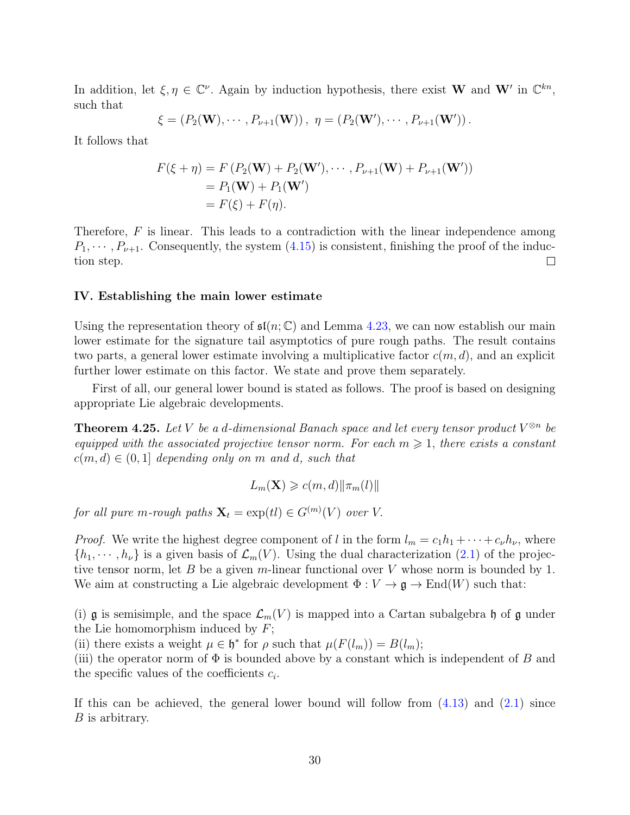In addition, let  $\xi, \eta \in \mathbb{C}^{\nu}$ . Again by induction hypothesis, there exist **W** and **W**' in  $\mathbb{C}^{kn}$ , such that

$$
\xi = (P_2(\mathbf{W}), \cdots, P_{\nu+1}(\mathbf{W})), \eta = (P_2(\mathbf{W}'), \cdots, P_{\nu+1}(\mathbf{W}')).
$$

It follows that

$$
F(\xi + \eta) = F(P_2(\mathbf{W}) + P_2(\mathbf{W}'), \cdots, P_{\nu+1}(\mathbf{W}) + P_{\nu+1}(\mathbf{W}'))
$$
  
=  $P_1(\mathbf{W}) + P_1(\mathbf{W}')$   
=  $F(\xi) + F(\eta)$ .

Therefore,  $F$  is linear. This leads to a contradiction with the linear independence among  $P_1, \dots, P_{\nu+1}$ . Consequently, the system  $(4.15)$  is consistent, finishing the proof of the induction step.  $\Box$ 

#### <span id="page-29-0"></span>IV. Establishing the main lower estimate

Using the representation theory of  $\mathfrak{sl}(n;\mathbb{C})$  and Lemma [4.23,](#page-26-1) we can now establish our main lower estimate for the signature tail asymptotics of pure rough paths. The result contains two parts, a general lower estimate involving a multiplicative factor  $c(m, d)$ , and an explicit further lower estimate on this factor. We state and prove them separately.

First of all, our general lower bound is stated as follows. The proof is based on designing appropriate Lie algebraic developments.

<span id="page-29-1"></span>**Theorem 4.25.** Let V be a d-dimensional Banach space and let every tensor product  $V^{\otimes n}$  be equipped with the associated projective tensor norm. For each  $m \geq 1$ , there exists a constant  $c(m, d) \in (0, 1]$  depending only on m and d, such that

$$
L_m(\mathbf{X}) \geqslant c(m,d) \|\pi_m(l)\|
$$

for all pure m-rough paths  $\mathbf{X}_t = \exp(tI) \in G^{(m)}(V)$  over V.

*Proof.* We write the highest degree component of l in the form  $l_m = c_1h_1 + \cdots + c_\nu h_\nu$ , where  $\{h_1, \dots, h_\nu\}$  is a given basis of  $\mathcal{L}_m(V)$ . Using the dual characterization [\(2.1\)](#page-6-1) of the projective tensor norm, let  $B$  be a given m-linear functional over  $V$  whose norm is bounded by 1. We aim at constructing a Lie algebraic development  $\Phi : V \to \mathfrak{g} \to \text{End}(W)$  such that:

(i) g is semisimple, and the space  $\mathcal{L}_m(V)$  is mapped into a Cartan subalgebra h of g under the Lie homomorphism induced by  $F$ ;

(ii) there exists a weight  $\mu \in \mathfrak{h}^*$  for  $\rho$  such that  $\mu(F(l_m)) = B(l_m);$ 

(iii) the operator norm of  $\Phi$  is bounded above by a constant which is independent of B and the specific values of the coefficients  $c_i$ .

If this can be achieved, the general lower bound will follow from  $(4.13)$  and  $(2.1)$  since B is arbitrary.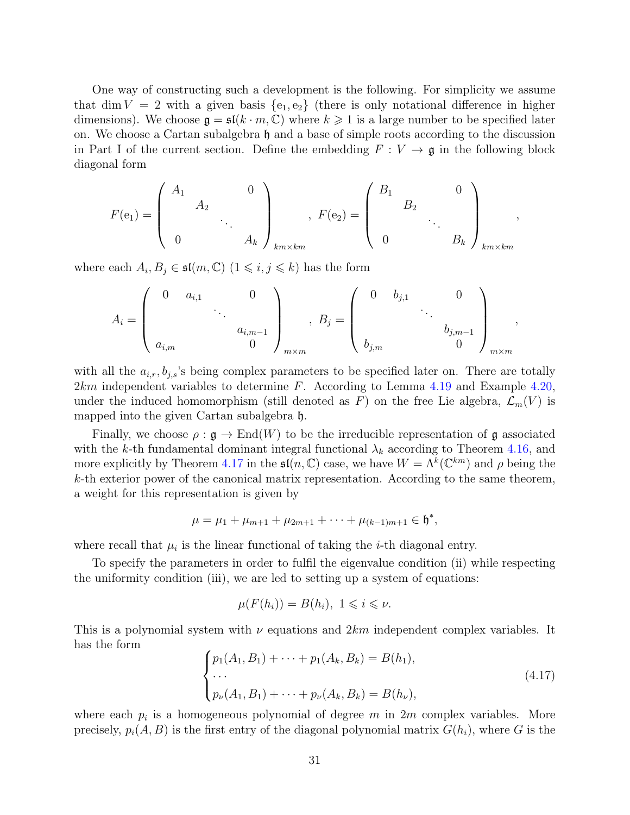One way of constructing such a development is the following. For simplicity we assume that dim  $V = 2$  with a given basis  $\{e_1, e_2\}$  (there is only notational difference in higher dimensions). We choose  $\mathfrak{g} = \mathfrak{sl}(k \cdot m, \mathbb{C})$  where  $k \geqslant 1$  is a large number to be specified later on. We choose a Cartan subalgebra h and a base of simple roots according to the discussion in Part I of the current section. Define the embedding  $F: V \to \mathfrak{g}$  in the following block diagonal form

$$
F(e_1) = \begin{pmatrix} A_1 & & & 0 \\ & A_2 & & \\ & & \ddots & \\ 0 & & & A_k \end{pmatrix}_{km \times km} , \ F(e_2) = \begin{pmatrix} B_1 & & & 0 \\ & B_2 & & \\ & & \ddots & \\ 0 & & & B_k \end{pmatrix}_{km \times km} ,
$$

where each  $A_i, B_j \in \mathfrak{sl}(m, \mathbb{C})$   $(1 \leq i, j \leq k)$  has the form

$$
A_i = \begin{pmatrix} 0 & a_{i,1} & 0 \\ & \ddots & \\ & & a_{i,m-1} \\ a_{i,m} & 0 \end{pmatrix}_{m \times m}, B_j = \begin{pmatrix} 0 & b_{j,1} & 0 \\ & \ddots & \\ & & b_{j,m-1} \\ b_{j,m} & 0 \end{pmatrix}_{m \times m},
$$

with all the  $a_{i,r}, b_{j,s}$ 's being complex parameters to be specified later on. There are totally  $2km$  independent variables to determine F. According to Lemma [4.19](#page-24-0) and Example [4.20,](#page-25-2) under the induced homomorphism (still denoted as F) on the free Lie algebra,  $\mathcal{L}_m(V)$  is mapped into the given Cartan subalgebra h.

Finally, we choose  $\rho : \mathfrak{g} \to \text{End}(W)$  to be the irreducible representation of g associated with the k-th fundamental dominant integral functional  $\lambda_k$  according to Theorem [4.16,](#page-22-1) and more explicitly by Theorem [4.17](#page-23-2) in the  $\mathfrak{sl}(n,\mathbb{C})$  case, we have  $W = \Lambda^k(\mathbb{C}^{km})$  and  $\rho$  being the  $k$ -th exterior power of the canonical matrix representation. According to the same theorem, a weight for this representation is given by

$$
\mu = \mu_1 + \mu_{m+1} + \mu_{2m+1} + \cdots + \mu_{(k-1)m+1} \in \mathfrak{h}^*,
$$

where recall that  $\mu_i$  is the linear functional of taking the *i*-th diagonal entry.

To specify the parameters in order to fulfil the eigenvalue condition (ii) while respecting the uniformity condition (iii), we are led to setting up a system of equations:

$$
\mu(F(h_i)) = B(h_i), \ 1 \leqslant i \leqslant \nu.
$$

This is a polynomial system with  $\nu$  equations and  $2km$  independent complex variables. It has the form

<span id="page-30-0"></span>
$$
\begin{cases} p_1(A_1, B_1) + \dots + p_1(A_k, B_k) = B(h_1), \\ \dots \\ p_\nu(A_1, B_1) + \dots + p_\nu(A_k, B_k) = B(h_\nu), \end{cases} \tag{4.17}
$$

where each  $p_i$  is a homogeneous polynomial of degree m in  $2m$  complex variables. More precisely,  $p_i(A, B)$  is the first entry of the diagonal polynomial matrix  $G(h_i)$ , where G is the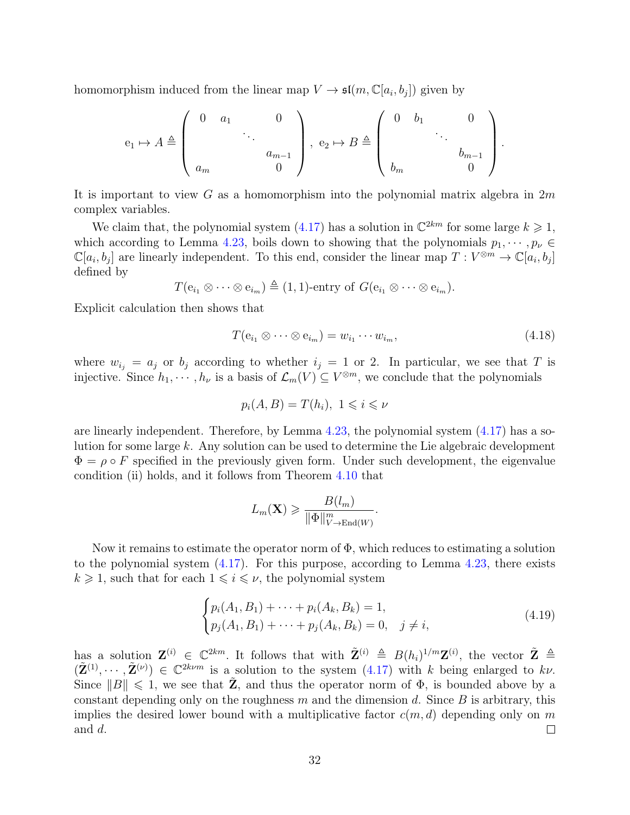homomorphism induced from the linear map  $V \to \mathfrak{sl}(m, \mathbb{C}[a_i, b_j])$  given by

$$
e_1 \mapsto A \triangleq \begin{pmatrix} 0 & a_1 & & 0 \\ & & \ddots & \\ & & & a_{m-1} \\ a_m & & & 0 \end{pmatrix}, \ e_2 \mapsto B \triangleq \begin{pmatrix} 0 & b_1 & & 0 \\ & & \ddots & \\ & & & b_{m-1} \\ b_m & & & 0 \end{pmatrix}.
$$

It is important to view G as a homomorphism into the polynomial matrix algebra in  $2m$ complex variables.

We claim that, the polynomial system [\(4.17\)](#page-30-0) has a solution in  $\mathbb{C}^{2km}$  for some large  $k \geq 1$ , which according to Lemma [4.23,](#page-26-1) boils down to showing that the polynomials  $p_1, \dots, p_\nu \in$  $\mathbb{C}[a_i, b_j]$  are linearly independent. To this end, consider the linear map  $T: V^{\otimes m} \to \mathbb{C}[a_i, b_j]$ defined by

 $T(e_{i_1} \otimes \cdots \otimes e_{i_m}) \triangleq (1, 1)$ -entry of  $G(e_{i_1} \otimes \cdots \otimes e_{i_m}).$ 

Explicit calculation then shows that

<span id="page-31-1"></span>
$$
T(e_{i_1} \otimes \cdots \otimes e_{i_m}) = w_{i_1} \cdots w_{i_m}, \qquad (4.18)
$$

where  $w_{i_j} = a_j$  or  $b_j$  according to whether  $i_j = 1$  or 2. In particular, we see that T is injective. Since  $h_1, \dots, h_{\nu}$  is a basis of  $\mathcal{L}_m(V) \subseteq V^{\otimes m}$ , we conclude that the polynomials

$$
p_i(A, B) = T(h_i), \ 1 \leqslant i \leqslant \nu
$$

are linearly independent. Therefore, by Lemma  $4.23$ , the polynomial system  $(4.17)$  has a solution for some large k. Any solution can be used to determine the Lie algebraic development  $\Phi = \rho \circ F$  specified in the previously given form. Under such development, the eigenvalue condition (ii) holds, and it follows from Theorem [4.10](#page-19-1) that

$$
L_m(\mathbf{X}) \geqslant \frac{B(l_m)}{\|\Phi\|_{V\to \text{End}(W)}^m}.
$$

Now it remains to estimate the operator norm of  $\Phi$ , which reduces to estimating a solution to the polynomial system [\(4.17\)](#page-30-0). For this purpose, according to Lemma [4.23,](#page-26-1) there exists  $k \geq 1$ , such that for each  $1 \leq i \leq \nu$ , the polynomial system

<span id="page-31-0"></span>
$$
\begin{cases} p_i(A_1, B_1) + \dots + p_i(A_k, B_k) = 1, \\ p_j(A_1, B_1) + \dots + p_j(A_k, B_k) = 0, \quad j \neq i, \end{cases}
$$
\n(4.19)

has a solution  $\mathbf{Z}^{(i)} \in \mathbb{C}^{2km}$ . It follows that with  $\tilde{\mathbf{Z}}^{(i)} \triangleq B(h_i)^{1/m} \mathbf{Z}^{(i)}$ , the vector  $\tilde{\mathbf{Z}} \triangleq$  $(\tilde{\mathbf{Z}}^{(1)},\cdots,\tilde{\mathbf{Z}}^{(\nu)})\in\mathbb{C}^{2k\nu m}$  is a solution to the system  $(4.17)$  with k being enlarged to kv. Since  $||B|| \leq 1$ , we see that **Z**, and thus the operator norm of  $\Phi$ , is bounded above by a constant depending only on the roughness  $m$  and the dimension  $d$ . Since  $B$  is arbitrary, this implies the desired lower bound with a multiplicative factor  $c(m, d)$  depending only on m and d.  $\Box$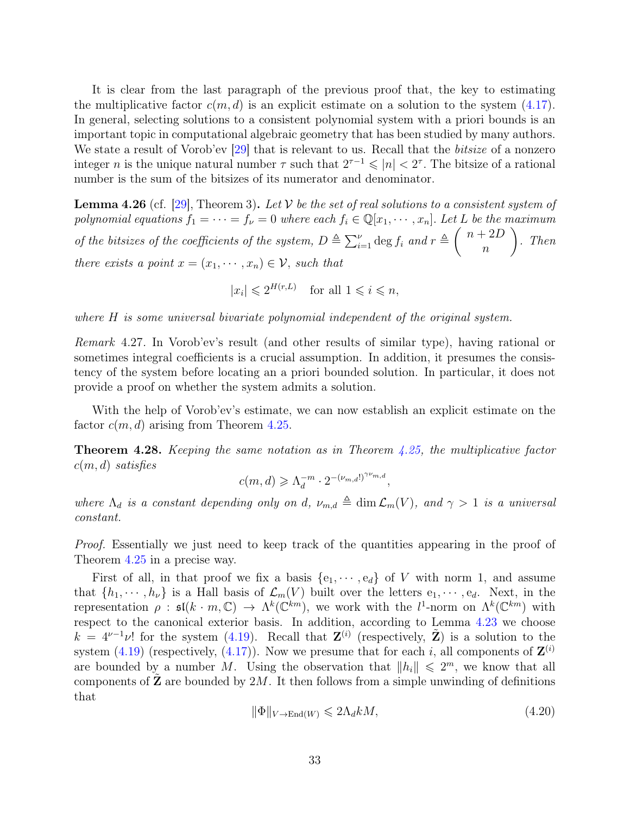It is clear from the last paragraph of the previous proof that, the key to estimating the multiplicative factor  $c(m, d)$  is an explicit estimate on a solution to the system  $(4.17)$ . In general, selecting solutions to a consistent polynomial system with a priori bounds is an important topic in computational algebraic geometry that has been studied by many authors. We state a result of Vorob'ev [\[29\]](#page-44-14) that is relevant to us. Recall that the *bitsize* of a nonzero integer *n* is the unique natural number  $\tau$  such that  $2^{\tau-1} \leqslant |n| < 2^{\tau}$ . The bitsize of a rational number is the sum of the bitsizes of its numerator and denominator.

<span id="page-32-0"></span>**Lemma 4.26** (cf. [\[29\]](#page-44-14), Theorem 3). Let V be the set of real solutions to a consistent system of polynomial equations  $f_1 = \cdots = f_{\nu} = 0$  where each  $f_i \in \mathbb{Q}[x_1, \dots, x_n]$ . Let L be the maximum of the bitsizes of the coefficients of the system,  $D \triangleq \sum_{i=1}^{\nu} \deg f_i$  and  $r \triangleq \binom{n+2D}{n}$ n  $\setminus$ . Then there exists a point  $x = (x_1, \dots, x_n) \in \mathcal{V}$ , such that

 $|x_i| \leqslant 2^{H(r,L)}$  for all  $1 \leqslant i \leqslant n$ ,

where H is some universal bivariate polynomial independent of the original system.

Remark 4.27. In Vorob'ev's result (and other results of similar type), having rational or sometimes integral coefficients is a crucial assumption. In addition, it presumes the consistency of the system before locating an a priori bounded solution. In particular, it does not provide a proof on whether the system admits a solution.

With the help of Vorob'ev's estimate, we can now establish an explicit estimate on the factor  $c(m, d)$  arising from Theorem [4.25.](#page-29-1)

<span id="page-32-2"></span>**Theorem 4.28.** Keeping the same notation as in Theorem  $4.25$ , the multiplicative factor  $c(m, d)$  satisfies

$$
c(m,d) \geqslant \Lambda_d^{-m} \cdot 2^{-(\nu_{m,d}!)^{\gamma \nu_{m,d}}},
$$

where  $\Lambda_d$  is a constant depending only on d,  $\nu_{m,d} \triangleq \dim \mathcal{L}_m(V)$ , and  $\gamma > 1$  is a universal constant.

Proof. Essentially we just need to keep track of the quantities appearing in the proof of Theorem [4.25](#page-29-1) in a precise way.

First of all, in that proof we fix a basis  $\{e_1, \dots, e_d\}$  of V with norm 1, and assume that  $\{h_1, \dots, h_\nu\}$  is a Hall basis of  $\mathcal{L}_m(V)$  built over the letters  $e_1, \dots, e_d$ . Next, in the representation  $\rho$ :  $\mathfrak{sl}(k \cdot m, \mathbb{C}) \to \Lambda^k(\mathbb{C}^{km})$ , we work with the  $l^1$ -norm on  $\Lambda^k(\mathbb{C}^{km})$  with respect to the canonical exterior basis. In addition, according to Lemma [4.23](#page-26-1) we choose  $k = 4^{\nu-1}\nu!$  for the system [\(4.19\)](#page-31-0). Recall that  $\mathbf{Z}^{(i)}$  (respectively,  $\tilde{\mathbf{Z}}$ ) is a solution to the system [\(4.19\)](#page-31-0) (respectively, [\(4.17\)](#page-30-0)). Now we presume that for each i, all components of  $\mathbf{Z}^{(i)}$ are bounded by a number M. Using the observation that  $||h_i|| \leq 2^m$ , we know that all components of  $\mathbb Z$  are bounded by  $2M$ . It then follows from a simple unwinding of definitions that

<span id="page-32-1"></span>
$$
\|\Phi\|_{V \to \text{End}(W)} \leq 2\Lambda_d k M,\tag{4.20}
$$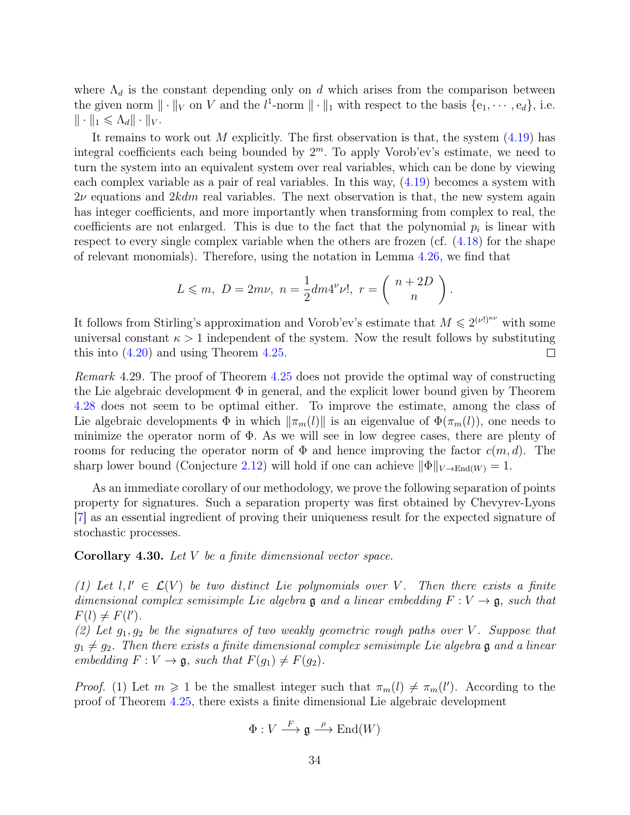where  $\Lambda_d$  is the constant depending only on d which arises from the comparison between the given norm  $\|\cdot\|_V$  on V and the  $l^1$ -norm  $\|\cdot\|_1$  with respect to the basis  $\{e_1, \dots, e_d\}$ , i.e.  $\|\cdot\|_1 \leqslant \Lambda_d \|\cdot\|_V.$ 

It remains to work out M explicitly. The first observation is that, the system  $(4.19)$  has integral coefficients each being bounded by  $2<sup>m</sup>$ . To apply Vorob'ev's estimate, we need to turn the system into an equivalent system over real variables, which can be done by viewing each complex variable as a pair of real variables. In this way, [\(4.19\)](#page-31-0) becomes a system with  $2\nu$  equations and  $2kdm$  real variables. The next observation is that, the new system again has integer coefficients, and more importantly when transforming from complex to real, the coefficients are not enlarged. This is due to the fact that the polynomial  $p_i$  is linear with respect to every single complex variable when the others are frozen (cf.  $(4.18)$ ) for the shape of relevant monomials). Therefore, using the notation in Lemma [4.26,](#page-32-0) we find that

$$
L \leqslant m, \ D = 2m\nu, \ n = \frac{1}{2}dm4^{\nu}\nu!, \ r = \left(\begin{array}{c} n+2D \\ n \end{array}\right).
$$

It follows from Stirling's approximation and Vorob'ev's estimate that  $M \leq 2^{(\nu!)^{\kappa\nu}}$  with some universal constant  $\kappa > 1$  independent of the system. Now the result follows by substituting this into [\(4.20\)](#page-32-1) and using Theorem [4.25.](#page-29-1)  $\Box$ 

Remark 4.29. The proof of Theorem [4.25](#page-29-1) does not provide the optimal way of constructing the Lie algebraic development  $\Phi$  in general, and the explicit lower bound given by Theorem [4.28](#page-32-2) does not seem to be optimal either. To improve the estimate, among the class of Lie algebraic developments  $\Phi$  in which  $\|\pi_m(l)\|$  is an eigenvalue of  $\Phi(\pi_m(l))$ , one needs to minimize the operator norm of  $\Phi$ . As we will see in low degree cases, there are plenty of rooms for reducing the operator norm of  $\Phi$  and hence improving the factor  $c(m, d)$ . The sharp lower bound (Conjecture [2.12\)](#page-9-3) will hold if one can achieve  $\|\Phi\|_{V\to \text{End}(W)} = 1$ .

As an immediate corollary of our methodology, we prove the following separation of points property for signatures. Such a separation property was first obtained by Chevyrev-Lyons [\[7\]](#page-43-9) as an essential ingredient of proving their uniqueness result for the expected signature of stochastic processes.

<span id="page-33-0"></span>**Corollary 4.30.** Let  $V$  be a finite dimensional vector space.

(1) Let  $l, l' \in \mathcal{L}(V)$  be two distinct Lie polynomials over V. Then there exists a finite dimensional complex semisimple Lie algebra  $\mathfrak g$  and a linear embedding  $F: V \to \mathfrak g$ , such that  $F(l) \neq F(l').$ 

(2) Let  $g_1, g_2$  be the signatures of two weakly geometric rough paths over V. Suppose that  $q_1 \neq q_2$ . Then there exists a finite dimensional complex semisimple Lie algebra g and a linear embedding  $F: V \to \mathfrak{g}$ , such that  $F(g_1) \neq F(g_2)$ .

*Proof.* (1) Let  $m \geq 1$  be the smallest integer such that  $\pi_m(l) \neq \pi_m(l')$ . According to the proof of Theorem [4.25,](#page-29-1) there exists a finite dimensional Lie algebraic development

$$
\Phi: V \stackrel{F}{\longrightarrow} \mathfrak{g} \stackrel{\rho}{\longrightarrow} \text{End}(W)
$$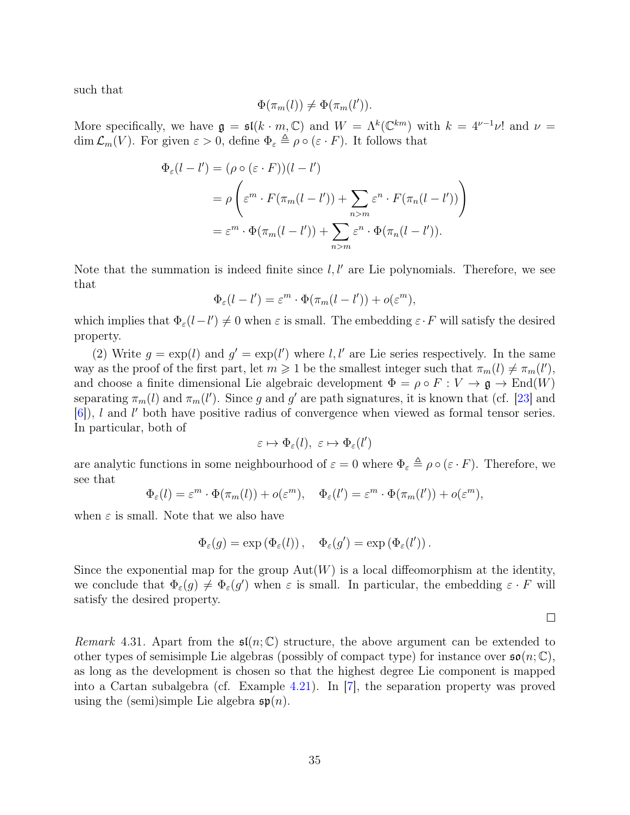such that

$$
\Phi(\pi_m(l)) \neq \Phi(\pi_m(l')).
$$

More specifically, we have  $\mathfrak{g} = \mathfrak{sl}(k \cdot m, \mathbb{C})$  and  $W = \Lambda^k(\mathbb{C}^{km})$  with  $k = 4^{\nu-1}\nu!$  and  $\nu =$ dim  $\mathcal{L}_m(V)$ . For given  $\varepsilon > 0$ , define  $\Phi_{\varepsilon} \triangleq \rho \circ (\varepsilon \cdot F)$ . It follows that

$$
\Phi_{\varepsilon}(l-l') = (\rho \circ (\varepsilon \cdot F))(l-l')
$$
  
=  $\rho \left( \varepsilon^m \cdot F(\pi_m(l-l')) + \sum_{n>m} \varepsilon^n \cdot F(\pi_n(l-l')) \right)$   
=  $\varepsilon^m \cdot \Phi(\pi_m(l-l')) + \sum_{n>m} \varepsilon^n \cdot \Phi(\pi_n(l-l')).$ 

Note that the summation is indeed finite since  $l, l'$  are Lie polynomials. Therefore, we see that

$$
\Phi_{\varepsilon}(l-l') = \varepsilon^m \cdot \Phi(\pi_m(l-l')) + o(\varepsilon^m),
$$

which implies that  $\Phi_{\varepsilon}(l-l') \neq 0$  when  $\varepsilon$  is small. The embedding  $\varepsilon \cdot F$  will satisfy the desired property.

(2) Write  $g = \exp(l)$  and  $g' = \exp(l')$  where l, l' are Lie series respectively. In the same way as the proof of the first part, let  $m \geq 1$  be the smallest integer such that  $\pi_m(l) \neq \pi_m(l')$ , and choose a finite dimensional Lie algebraic development  $\Phi = \rho \circ F : V \to \mathfrak{g} \to \text{End}(W)$ separating  $\pi_m(l)$  and  $\pi_m(l')$ . Since g and g' are path signatures, it is known that (cf. [\[23\]](#page-44-8) and  $[6]$ , l and l' both have positive radius of convergence when viewed as formal tensor series. In particular, both of

$$
\varepsilon \mapsto \Phi_{\varepsilon}(l), \ \varepsilon \mapsto \Phi_{\varepsilon}(l')
$$

are analytic functions in some neighbourhood of  $\varepsilon = 0$  where  $\Phi_{\varepsilon} \triangleq \rho \circ (\varepsilon \cdot F)$ . Therefore, we see that

$$
\Phi_{\varepsilon}(l) = \varepsilon^m \cdot \Phi(\pi_m(l)) + o(\varepsilon^m), \quad \Phi_{\varepsilon}(l') = \varepsilon^m \cdot \Phi(\pi_m(l')) + o(\varepsilon^m),
$$

when  $\varepsilon$  is small. Note that we also have

$$
\Phi_{\varepsilon}(g) = \exp (\Phi_{\varepsilon}(l)), \quad \Phi_{\varepsilon}(g') = \exp (\Phi_{\varepsilon}(l')).
$$

Since the exponential map for the group  $Aut(W)$  is a local diffeomorphism at the identity, we conclude that  $\Phi_{\varepsilon}(g) \neq \Phi_{\varepsilon}(g')$  when  $\varepsilon$  is small. In particular, the embedding  $\varepsilon \cdot F$  will satisfy the desired property.

 $\Box$ 

*Remark* 4.31. Apart from the  $\mathfrak{sl}(n;\mathbb{C})$  structure, the above argument can be extended to other types of semisimple Lie algebras (possibly of compact type) for instance over  $\mathfrak{so}(n;\mathbb{C})$ , as long as the development is chosen so that the highest degree Lie component is mapped into a Cartan subalgebra (cf. Example [4.21\)](#page-25-0). In [\[7\]](#page-43-9), the separation property was proved using the (semi)simple Lie algebra  $\mathfrak{sp}(n)$ .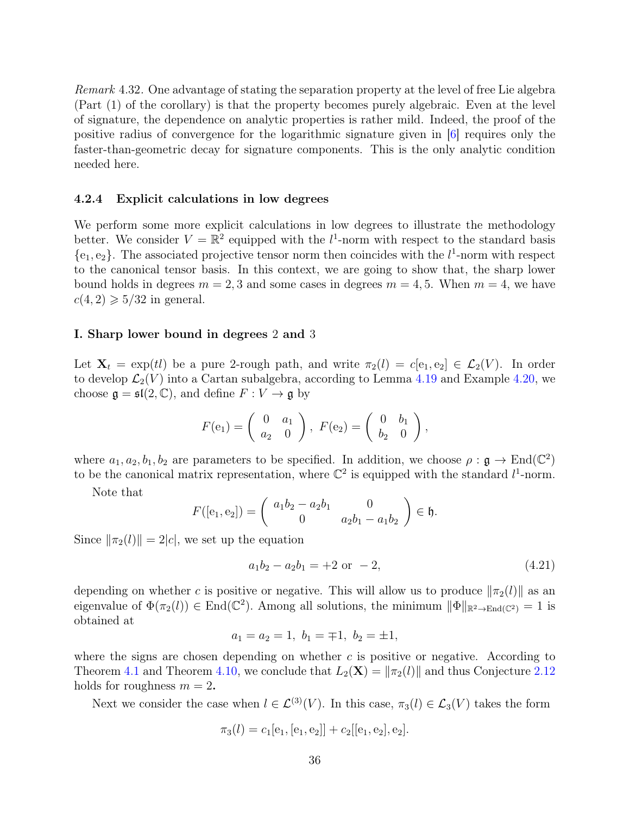Remark 4.32. One advantage of stating the separation property at the level of free Lie algebra (Part (1) of the corollary) is that the property becomes purely algebraic. Even at the level of signature, the dependence on analytic properties is rather mild. Indeed, the proof of the positive radius of convergence for the logarithmic signature given in [\[6\]](#page-43-12) requires only the faster-than-geometric decay for signature components. This is the only analytic condition needed here.

#### <span id="page-35-0"></span>4.2.4 Explicit calculations in low degrees

We perform some more explicit calculations in low degrees to illustrate the methodology better. We consider  $V = \mathbb{R}^2$  equipped with the  $l^1$ -norm with respect to the standard basis  ${e_1, e_2}$ . The associated projective tensor norm then coincides with the  $l^1$ -norm with respect to the canonical tensor basis. In this context, we are going to show that, the sharp lower bound holds in degrees  $m = 2, 3$  and some cases in degrees  $m = 4, 5$ . When  $m = 4$ , we have  $c(4, 2) \geqslant 5/32$  in general.

#### <span id="page-35-1"></span>I. Sharp lower bound in degrees 2 and 3

Let  $X_t = \exp(t)$  be a pure 2-rough path, and write  $\pi_2(l) = c[e_1, e_2] \in \mathcal{L}_2(V)$ . In order to develop  $\mathcal{L}_2(V)$  into a Cartan subalgebra, according to Lemma [4.19](#page-24-0) and Example [4.20,](#page-25-2) we choose  $\mathfrak{g} = \mathfrak{sl}(2, \mathbb{C})$ , and define  $F : V \to \mathfrak{g}$  by

$$
F(e_1) = \begin{pmatrix} 0 & a_1 \\ a_2 & 0 \end{pmatrix}, \ F(e_2) = \begin{pmatrix} 0 & b_1 \\ b_2 & 0 \end{pmatrix},
$$

where  $a_1, a_2, b_1, b_2$  are parameters to be specified. In addition, we choose  $\rho : \mathfrak{g} \to \text{End}(\mathbb{C}^2)$ to be the canonical matrix representation, where  $\mathbb{C}^2$  is equipped with the standard  $l^1$ -norm.

Note that

$$
F([e_1, e_2]) = \begin{pmatrix} a_1b_2 - a_2b_1 & 0 \\ 0 & a_2b_1 - a_1b_2 \end{pmatrix} \in \mathfrak{h}.
$$

Since  $\|\pi_2(l)\|= 2|c|$ , we set up the equation

$$
a_1b_2 - a_2b_1 = +2 \text{ or } -2,\tag{4.21}
$$

depending on whether c is positive or negative. This will allow us to produce  $\|\pi_2(l)\|$  as an eigenvalue of  $\Phi(\pi_2(l)) \in \text{End}(\mathbb{C}^2)$ . Among all solutions, the minimum  $\|\Phi\|_{\mathbb{R}^2 \to \text{End}(\mathbb{C}^2)} = 1$  is obtained at

$$
a_1 = a_2 = 1, b_1 = \pm 1, b_2 = \pm 1,
$$

where the signs are chosen depending on whether  $c$  is positive or negative. According to Theorem [4.1](#page-12-2) and Theorem [4.10,](#page-19-1) we conclude that  $L_2(\mathbf{X}) = \|\pi_2(l)\|$  and thus Conjecture [2.12](#page-9-3) holds for roughness  $m = 2$ .

Next we consider the case when  $l \in \mathcal{L}^{(3)}(V)$ . In this case,  $\pi_3(l) \in \mathcal{L}_3(V)$  takes the form

$$
\pi_3(l) = c_1[e_1, [e_1, e_2]] + c_2[[e_1, e_2], e_2].
$$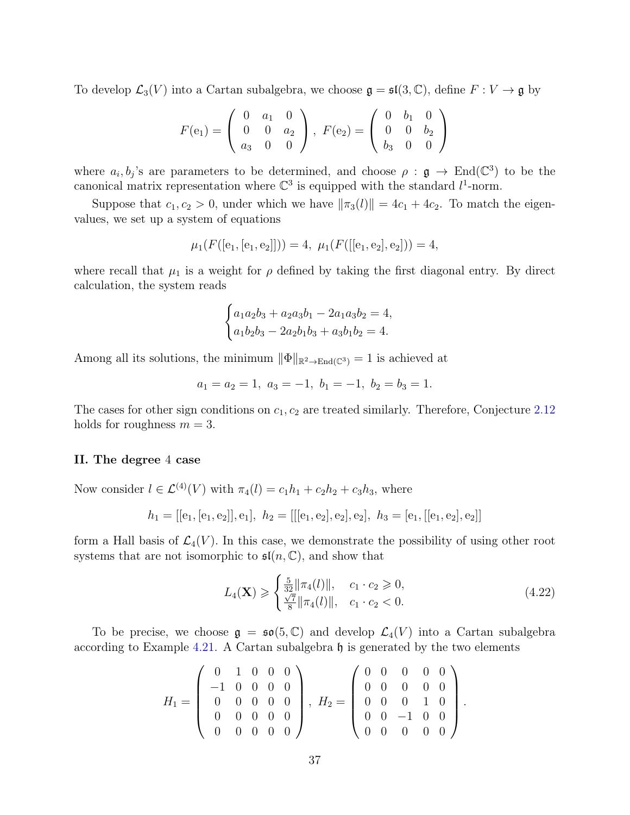To develop  $\mathcal{L}_3(V)$  into a Cartan subalgebra, we choose  $\mathfrak{g} = \mathfrak{sl}(3,\mathbb{C})$ , define  $F: V \to \mathfrak{g}$  by

$$
F(e_1) = \begin{pmatrix} 0 & a_1 & 0 \\ 0 & 0 & a_2 \\ a_3 & 0 & 0 \end{pmatrix}, \ F(e_2) = \begin{pmatrix} 0 & b_1 & 0 \\ 0 & 0 & b_2 \\ b_3 & 0 & 0 \end{pmatrix}
$$

where  $a_i, b_j$ 's are parameters to be determined, and choose  $\rho : \mathfrak{g} \to \text{End}(\mathbb{C}^3)$  to be the canonical matrix representation where  $\mathbb{C}^3$  is equipped with the standard  $l^1$ -norm.

Suppose that  $c_1, c_2 > 0$ , under which we have  $\|\pi_3(l)\| = 4c_1 + 4c_2$ . To match the eigenvalues, we set up a system of equations

$$
\mu_1(F([e_1,[e_1,e_2]])) = 4, \ \mu_1(F([[e_1,e_2],e_2])) = 4,
$$

where recall that  $\mu_1$  is a weight for  $\rho$  defined by taking the first diagonal entry. By direct calculation, the system reads

$$
\begin{cases} a_1a_2b_3 + a_2a_3b_1 - 2a_1a_3b_2 = 4, \\ a_1b_2b_3 - 2a_2b_1b_3 + a_3b_1b_2 = 4. \end{cases}
$$

Among all its solutions, the minimum  $\|\Phi\|_{\mathbb{R}^2 \to \text{End}(\mathbb{C}^3)} = 1$  is achieved at

$$
a_1 = a_2 = 1, \ a_3 = -1, \ b_1 = -1, \ b_2 = b_3 = 1.
$$

The cases for other sign conditions on  $c_1, c_2$  are treated similarly. Therefore, Conjecture [2.12](#page-9-3) holds for roughness  $m = 3$ .

#### <span id="page-36-0"></span>II. The degree 4 case

Now consider  $l \in \mathcal{L}^{(4)}(V)$  with  $\pi_4(l) = c_1h_1 + c_2h_2 + c_3h_3$ , where

$$
h_1 = [[e_1, [e_1, e_2]], e_1], h_2 = [[[e_1, e_2], e_2], e_2], h_3 = [e_1, [[e_1, e_2], e_2]]
$$

form a Hall basis of  $\mathcal{L}_4(V)$ . In this case, we demonstrate the possibility of using other root systems that are not isomorphic to  $\mathfrak{sl}(n,\mathbb{C})$ , and show that

<span id="page-36-1"></span>
$$
L_4(\mathbf{X}) \geqslant \begin{cases} \frac{5}{32} ||\pi_4(l)||, & c_1 \cdot c_2 \geqslant 0, \\ \frac{\sqrt{7}}{8} ||\pi_4(l)||, & c_1 \cdot c_2 < 0. \end{cases} \tag{4.22}
$$

To be precise, we choose  $\mathfrak{g} = \mathfrak{so}(5, \mathbb{C})$  and develop  $\mathcal{L}_4(V)$  into a Cartan subalgebra according to Example [4.21.](#page-25-0) A Cartan subalgebra  $\mathfrak h$  is generated by the two elements

$$
H_1 = \left(\begin{array}{rrrrr} 0 & 1 & 0 & 0 & 0 \\ -1 & 0 & 0 & 0 & 0 \\ 0 & 0 & 0 & 0 & 0 \\ 0 & 0 & 0 & 0 & 0 \\ 0 & 0 & 0 & 0 & 0 \end{array}\right), \ H_2 = \left(\begin{array}{rrrrr} 0 & 0 & 0 & 0 & 0 \\ 0 & 0 & 0 & 0 & 0 \\ 0 & 0 & 0 & 1 & 0 \\ 0 & 0 & -1 & 0 & 0 \\ 0 & 0 & 0 & 0 & 0 \end{array}\right).
$$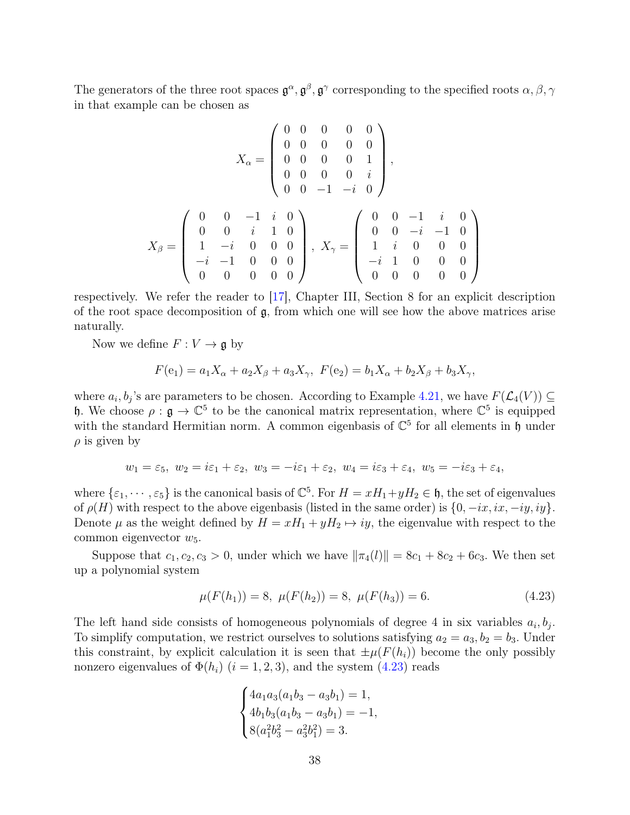The generators of the three root spaces  $\mathfrak{g}^\alpha, \mathfrak{g}^\beta, \mathfrak{g}^\gamma$  corresponding to the specified roots  $\alpha, \beta, \gamma$ in that example can be chosen as

$$
X_{\alpha} = \begin{pmatrix} 0 & 0 & 0 & 0 & 0 \\ 0 & 0 & 0 & 0 & 0 \\ 0 & 0 & 0 & 0 & 1 \\ 0 & 0 & 0 & 0 & i \\ 0 & 0 & -1 & -i & 0 \end{pmatrix},
$$

$$
X_{\beta} = \begin{pmatrix} 0 & 0 & -1 & i & 0 \\ 0 & 0 & i & 1 & 0 \\ 1 & -i & 0 & 0 & 0 \\ -i & -1 & 0 & 0 & 0 \\ 0 & 0 & 0 & 0 & 0 \end{pmatrix}, X_{\gamma} = \begin{pmatrix} 0 & 0 & -1 & i & 0 \\ 0 & 0 & -i & -1 & 0 \\ 1 & i & 0 & 0 & 0 \\ -i & 1 & 0 & 0 & 0 \\ 0 & 0 & 0 & 0 & 0 \end{pmatrix}
$$

respectively. We refer the reader to [\[17\]](#page-44-15), Chapter III, Section 8 for an explicit description of the root space decomposition of  $\mathfrak{g}$ , from which one will see how the above matrices arise naturally.

Now we define  $F: V \to \mathfrak{g}$  by

$$
F(e_1) = a_1 X_\alpha + a_2 X_\beta + a_3 X_\gamma, \ F(e_2) = b_1 X_\alpha + b_2 X_\beta + b_3 X_\gamma,
$$

where  $a_i, b_j$ 's are parameters to be chosen. According to Example [4.21,](#page-25-0) we have  $F(\mathcal{L}_4(V)) \subseteq$ h. We choose  $\rho : \mathfrak{g} \to \mathbb{C}^5$  to be the canonical matrix representation, where  $\mathbb{C}^5$  is equipped with the standard Hermitian norm. A common eigenbasis of  $\mathbb{C}^5$  for all elements in  $\mathfrak h$  under  $\rho$  is given by

$$
w_1 = \varepsilon_5, \ w_2 = i\varepsilon_1 + \varepsilon_2, \ w_3 = -i\varepsilon_1 + \varepsilon_2, \ w_4 = i\varepsilon_3 + \varepsilon_4, \ w_5 = -i\varepsilon_3 + \varepsilon_4,
$$

where  $\{\varepsilon_1,\dots,\varepsilon_5\}$  is the canonical basis of  $\mathbb{C}^5$ . For  $H = xH_1+yH_2 \in \mathfrak{h}$ , the set of eigenvalues of  $\rho(H)$  with respect to the above eigenbasis (listed in the same order) is  $\{0, -ix, ix, -iy, iy\}$ . Denote  $\mu$  as the weight defined by  $H = xH_1 + yH_2 \mapsto iy$ , the eigenvalue with respect to the common eigenvector  $w_5$ .

Suppose that  $c_1, c_2, c_3 > 0$ , under which we have  $\|\pi_4(l)\| = 8c_1 + 8c_2 + 6c_3$ . We then set up a polynomial system

<span id="page-37-0"></span>
$$
\mu(F(h_1)) = 8, \ \mu(F(h_2)) = 8, \ \mu(F(h_3)) = 6. \tag{4.23}
$$

The left hand side consists of homogeneous polynomials of degree 4 in six variables  $a_i, b_j$ . To simplify computation, we restrict ourselves to solutions satisfying  $a_2 = a_3, b_2 = b_3$ . Under this constraint, by explicit calculation it is seen that  $\pm \mu(F(h_i))$  become the only possibly nonzero eigenvalues of  $\Phi(h_i)$   $(i = 1, 2, 3)$ , and the system  $(4.23)$  reads

$$
\begin{cases} 4a_1a_3(a_1b_3 - a_3b_1) = 1, \\ 4b_1b_3(a_1b_3 - a_3b_1) = -1, \\ 8(a_1^2b_3^2 - a_3^2b_1^2) = 3. \end{cases}
$$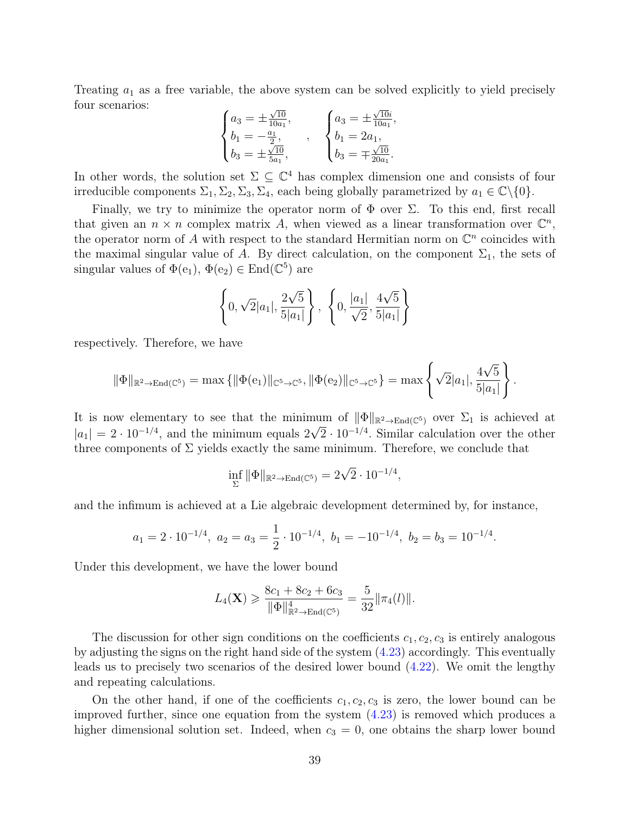Treating  $a_1$  as a free variable, the above system can be solved explicitly to yield precisely four scenarios: √ √

$$
\begin{cases} a_3 = \pm \frac{\sqrt{10}}{10a_1}, \\ b_1 = -\frac{a_1}{2}, \\ b_3 = \pm \frac{\sqrt{10}}{5a_1}, \end{cases}, \quad \begin{cases} a_3 = \pm \frac{\sqrt{10}i}{10a_1}, \\ b_1 = 2a_1, \\ b_3 = \mp \frac{\sqrt{10}}{20a_1}. \end{cases}
$$

In other words, the solution set  $\Sigma \subseteq \mathbb{C}^4$  has complex dimension one and consists of four irreducible components  $\Sigma_1, \Sigma_2, \Sigma_3, \Sigma_4$ , each being globally parametrized by  $a_1 \in \mathbb{C} \backslash \{0\}$ .

Finally, we try to minimize the operator norm of  $\Phi$  over  $\Sigma$ . To this end, first recall that given an  $n \times n$  complex matrix A, when viewed as a linear transformation over  $\mathbb{C}^n$ , the operator norm of A with respect to the standard Hermitian norm on  $\mathbb{C}^n$  coincides with the maximal singular value of A. By direct calculation, on the component  $\Sigma_1$ , the sets of singular values of  $\Phi(e_1)$ ,  $\Phi(e_2) \in \text{End}(\mathbb{C}^5)$  are

$$
\left\{0, \sqrt{2}|a_1|, \frac{2\sqrt{5}}{5|a_1|}\right\}, \ \left\{0, \frac{|a_1|}{\sqrt{2}}, \frac{4\sqrt{5}}{5|a_1|}\right\}
$$

respectively. Therefore, we have

$$
\|\Phi\|_{\mathbb{R}^2 \to \text{End}(\mathbb{C}^5)} = \max \{ \|\Phi(e_1)\|_{\mathbb{C}^5 \to \mathbb{C}^5}, \|\Phi(e_2)\|_{\mathbb{C}^5 \to \mathbb{C}^5} \} = \max \left\{ \sqrt{2}|a_1|, \frac{4\sqrt{5}}{5|a_1|} \right\}.
$$

It is now elementary to see that the minimum of  $\|\Phi\|_{\mathbb{R}^2 \to \text{End}(\mathbb{C}^5)}$  over  $\Sigma_1$  is achieved at  $|a_1| = 2 \cdot 10^{-1/4}$ , and the minimum equals  $2\sqrt{2} \cdot 10^{-1/4}$ . Similar calculation over the other three components of  $\Sigma$  yields exactly the same minimum. Therefore, we conclude that

$$
\inf_{\Sigma} \|\Phi\|_{\mathbb{R}^2 \to \text{End}(\mathbb{C}^5)} = 2\sqrt{2} \cdot 10^{-1/4},
$$

and the infimum is achieved at a Lie algebraic development determined by, for instance,

$$
a_1 = 2 \cdot 10^{-1/4}, \ a_2 = a_3 = \frac{1}{2} \cdot 10^{-1/4}, \ b_1 = -10^{-1/4}, \ b_2 = b_3 = 10^{-1/4}.
$$

Under this development, we have the lower bound

$$
L_4(\mathbf{X}) \geq \frac{8c_1 + 8c_2 + 6c_3}{\|\Phi\|_{\mathbb{R}^2 \to \text{End}(\mathbb{C}^5)}} = \frac{5}{32} \|\pi_4(l)\|.
$$

The discussion for other sign conditions on the coefficients  $c_1, c_2, c_3$  is entirely analogous by adjusting the signs on the right hand side of the system [\(4.23\)](#page-37-0) accordingly. This eventually leads us to precisely two scenarios of the desired lower bound [\(4.22\)](#page-36-1). We omit the lengthy and repeating calculations.

On the other hand, if one of the coefficients  $c_1, c_2, c_3$  is zero, the lower bound can be improved further, since one equation from the system  $(4.23)$  is removed which produces a higher dimensional solution set. Indeed, when  $c_3 = 0$ , one obtains the sharp lower bound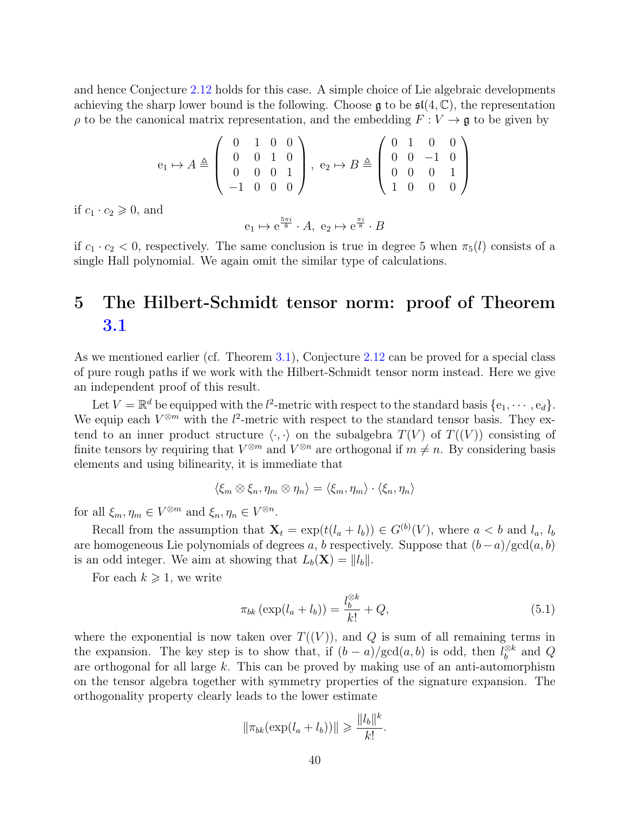and hence Conjecture [2.12](#page-9-3) holds for this case. A simple choice of Lie algebraic developments achieving the sharp lower bound is the following. Choose  $\mathfrak{g}$  to be  $\mathfrak{sl}(4,\mathbb{C})$ , the representation  $\rho$  to be the canonical matrix representation, and the embedding  $F: V \to \mathfrak{g}$  to be given by

$$
e_1 \mapsto A \triangleq \left( \begin{array}{rrr} 0 & 1 & 0 & 0 \\ 0 & 0 & 1 & 0 \\ 0 & 0 & 0 & 1 \\ -1 & 0 & 0 & 0 \end{array} \right), \ e_2 \mapsto B \triangleq \left( \begin{array}{rrr} 0 & 1 & 0 & 0 \\ 0 & 0 & -1 & 0 \\ 0 & 0 & 0 & 1 \\ 1 & 0 & 0 & 0 \end{array} \right)
$$

if  $c_1 \cdot c_2 \geqslant 0$ , and

$$
e_1 \mapsto e^{\frac{5\pi i}{8}} \cdot A, e_2 \mapsto e^{\frac{\pi i}{8}} \cdot B
$$

if  $c_1 \cdot c_2 < 0$ , respectively. The same conclusion is true in degree 5 when  $\pi_5(l)$  consists of a single Hall polynomial. We again omit the similar type of calculations.

## <span id="page-39-0"></span>5 The Hilbert-Schmidt tensor norm: proof of Theorem [3.1](#page-11-0)

As we mentioned earlier (cf. Theorem [3.1\)](#page-11-0), Conjecture [2.12](#page-9-3) can be proved for a special class of pure rough paths if we work with the Hilbert-Schmidt tensor norm instead. Here we give an independent proof of this result.

Let  $V = \mathbb{R}^d$  be equipped with the  $l^2$ -metric with respect to the standard basis  $\{e_1, \dots, e_d\}$ . We equip each  $V^{\otimes m}$  with the  $l^2$ -metric with respect to the standard tensor basis. They extend to an inner product structure  $\langle \cdot, \cdot \rangle$  on the subalgebra  $T(V)$  of  $T((V))$  consisting of finite tensors by requiring that  $V^{\otimes m}$  and  $V^{\otimes n}$  are orthogonal if  $m \neq n$ . By considering basis elements and using bilinearity, it is immediate that

$$
\langle \xi_m \otimes \xi_n, \eta_m \otimes \eta_n \rangle = \langle \xi_m, \eta_m \rangle \cdot \langle \xi_n, \eta_n \rangle
$$

for all  $\xi_m, \eta_m \in V^{\otimes m}$  and  $\xi_n, \eta_n \in V^{\otimes n}$ .

Recall from the assumption that  $\mathbf{X}_t = \exp(t(l_a + l_b)) \in G^{(b)}(V)$ , where  $a < b$  and  $l_a, l_b$ are homogeneous Lie polynomials of degrees a, b respectively. Suppose that  $(b-a)/\text{gcd}(a, b)$ is an odd integer. We aim at showing that  $L_b(\mathbf{X}) = ||l_b||$ .

For each  $k \geqslant 1$ , we write

<span id="page-39-1"></span>
$$
\pi_{bk} \left( \exp(l_a + l_b) \right) = \frac{l_b^{\otimes k}}{k!} + Q,\tag{5.1}
$$

where the exponential is now taken over  $T((V))$ , and Q is sum of all remaining terms in the expansion. The key step is to show that, if  $(b-a)/\text{gcd}(a, b)$  is odd, then  $l_b^{\otimes k}$  $b^{\otimes k}$  and  $Q$ are orthogonal for all large k. This can be proved by making use of an anti-automorphism on the tensor algebra together with symmetry properties of the signature expansion. The orthogonality property clearly leads to the lower estimate

$$
\|\pi_{bk}(\exp(l_a+l_b))\| \geqslant \frac{\|l_b\|^k}{k!}.
$$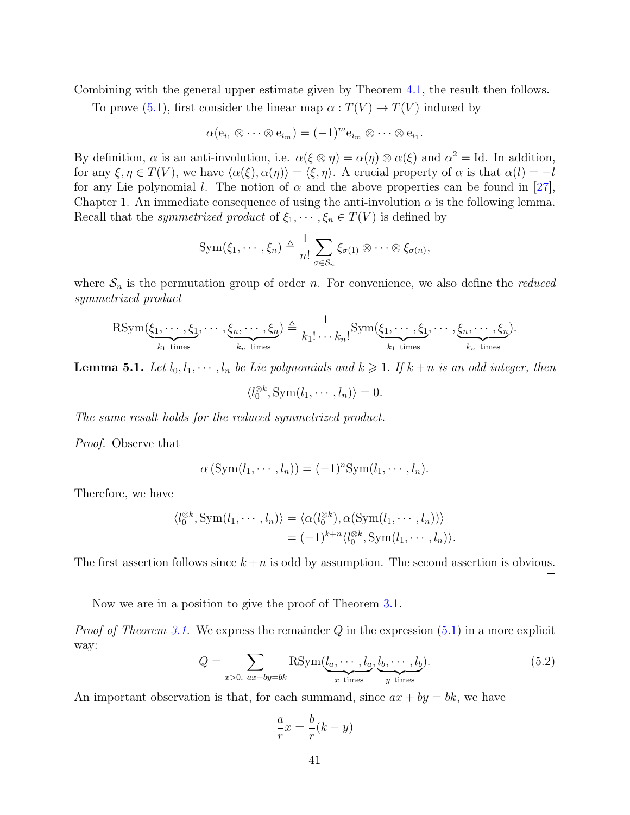Combining with the general upper estimate given by Theorem [4.1,](#page-12-2) the result then follows.

To prove [\(5.1\)](#page-39-1), first consider the linear map  $\alpha: T(V) \to T(V)$  induced by

$$
\alpha(e_{i_1} \otimes \cdots \otimes e_{i_m}) = (-1)^m e_{i_m} \otimes \cdots \otimes e_{i_1}.
$$

By definition,  $\alpha$  is an anti-involution, i.e.  $\alpha(\xi \otimes \eta) = \alpha(\eta) \otimes \alpha(\xi)$  and  $\alpha^2 = \text{Id}$ . In addition, for any  $\xi, \eta \in T(V)$ , we have  $\langle \alpha(\xi), \alpha(\eta) \rangle = \langle \xi, \eta \rangle$ . A crucial property of  $\alpha$  is that  $\alpha(l) = -l$ for any Lie polynomial l. The notion of  $\alpha$  and the above properties can be found in [\[27\]](#page-44-16), Chapter 1. An immediate consequence of using the anti-involution  $\alpha$  is the following lemma. Recall that the *symmetrized product* of  $\xi_1, \dots, \xi_n \in T(V)$  is defined by

$$
\mathrm{Sym}(\xi_1,\cdots,\xi_n)\triangleq\frac{1}{n!}\sum_{\sigma\in\mathcal{S}_n}\xi_{\sigma(1)}\otimes\cdots\otimes\xi_{\sigma(n)},
$$

where  $S_n$  is the permutation group of order n. For convenience, we also define the *reduced* symmetrized product

$$
\mathrm{RSym}(\underbrace{\xi_1,\cdots,\xi_1}_{k_1 \text{ times}},\cdots,\underbrace{\xi_n,\cdots,\xi_n}_{k_n \text{ times}}) \triangleq \frac{1}{k_1!\cdots k_n!} \mathrm{Sym}(\underbrace{\xi_1,\cdots,\xi_1}_{k_1 \text{ times}},\cdots,\underbrace{\xi_n,\cdots,\xi_n}_{k_n \text{ times}}).
$$

<span id="page-40-0"></span>**Lemma 5.1.** Let  $l_0, l_1, \dots, l_n$  be Lie polynomials and  $k \geq 1$ . If  $k + n$  is an odd integer, then

$$
\langle l_0^{\otimes k}, \text{Sym}(l_1, \cdots, l_n) \rangle = 0.
$$

The same result holds for the reduced symmetrized product.

Proof. Observe that

$$
\alpha\left(\operatorname{Sym}(l_1,\cdots,l_n)\right)=(-1)^n\operatorname{Sym}(l_1,\cdots,l_n).
$$

Therefore, we have

$$
\langle l_0^{\otimes k}, \operatorname{Sym}(l_1, \cdots, l_n) \rangle = \langle \alpha(l_0^{\otimes k}), \alpha(\operatorname{Sym}(l_1, \cdots, l_n)) \rangle
$$
  
=  $(-1)^{k+n} \langle l_0^{\otimes k}, \operatorname{Sym}(l_1, \cdots, l_n) \rangle.$ 

The first assertion follows since  $k + n$  is odd by assumption. The second assertion is obvious.  $\Box$ 

Now we are in a position to give the proof of Theorem [3.1.](#page-11-0)

*Proof of Theorem [3.1.](#page-11-0)* We express the remainder  $Q$  in the expression  $(5.1)$  in a more explicit way:

<span id="page-40-1"></span>
$$
Q = \sum_{x>0, \ ax+by=bk} \text{RSym}(\underbrace{l_a, \cdots, l_a}_{x \text{ times}}, \underbrace{l_b, \cdots, l_b}_{y \text{ times}}). \tag{5.2}
$$

An important observation is that, for each summand, since  $ax + by = bk$ , we have

$$
\frac{a}{r}x = \frac{b}{r}(k - y)
$$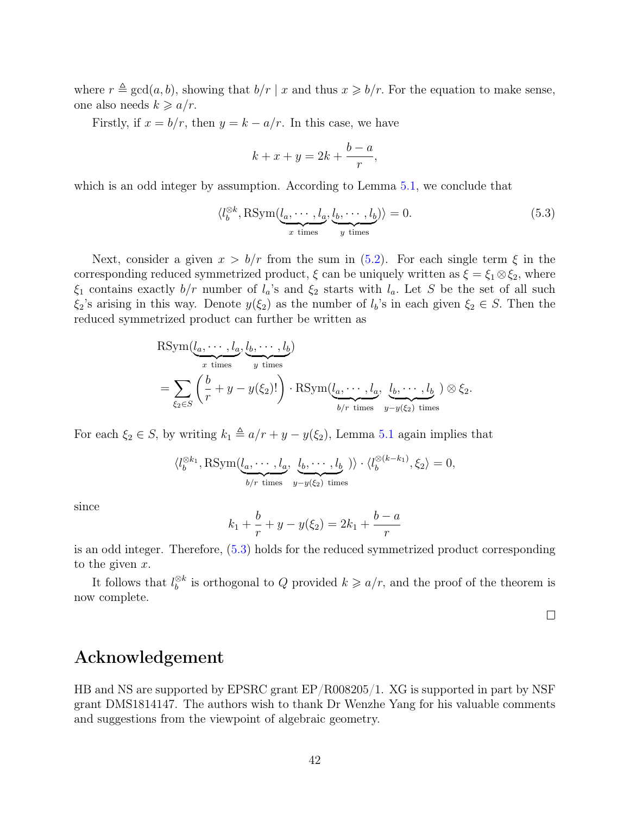where  $r \triangleq \gcd(a, b)$ , showing that  $b/r \mid x$  and thus  $x \geq b/r$ . For the equation to make sense, one also needs  $k \geq a/r$ .

Firstly, if  $x = b/r$ , then  $y = k - a/r$ . In this case, we have

$$
k + x + y = 2k + \frac{b-a}{r},
$$

which is an odd integer by assumption. According to Lemma [5.1,](#page-40-0) we conclude that

<span id="page-41-0"></span>
$$
\langle l_b^{\otimes k}, \text{RSym}(\underbrace{l_a, \cdots, l_a}_{x \text{ times}}, \underbrace{l_b, \cdots, l_b}_{y \text{ times}} \rangle = 0. \tag{5.3}
$$

Next, consider a given  $x > b/r$  from the sum in [\(5.2\)](#page-40-1). For each single term  $\xi$  in the corresponding reduced symmetrized product,  $\xi$  can be uniquely written as  $\xi = \xi_1 \otimes \xi_2$ , where  $\xi_1$  contains exactly  $b/r$  number of  $l_a$ 's and  $\xi_2$  starts with  $l_a$ . Let S be the set of all such  $\xi_2$ 's arising in this way. Denote  $y(\xi_2)$  as the number of  $l_b$ 's in each given  $\xi_2 \in S$ . Then the reduced symmetrized product can further be written as

$$
\begin{aligned} &\text{RSym}(\underbrace{l_a, \cdots, l_a}_{x \text{ times}}, \underbrace{l_b, \cdots, l_b}_{y \text{ times}}) \\ &= \sum_{\xi_2 \in S} \left( \frac{b}{r} + y - y(\xi_2)! \right) \cdot \text{RSym}(\underbrace{l_a, \cdots, l_a}_{b/r \text{ times}}, \underbrace{l_b, \cdots, l_b}_{y - y(\xi_2) \text{ times}}) \otimes \xi_2. \end{aligned}
$$

For each  $\xi_2 \in S$ , by writing  $k_1 \triangleq a/r + y - y(\xi_2)$ , Lemma [5.1](#page-40-0) again implies that

$$
\langle l_b^{\otimes k_1}, \text{RSym}(\underbrace{l_a, \cdots, l_a}_{b/r \text{ times}}, \underbrace{l_b, \cdots, l_b}_{y-y(\xi_2) \text{ times}}) \rangle \cdot \langle l_b^{\otimes (k-k_1)}, \xi_2 \rangle = 0,
$$

since

$$
k_1 + \frac{b}{r} + y - y(\xi_2) = 2k_1 + \frac{b-a}{r}
$$

is an odd integer. Therefore, [\(5.3\)](#page-41-0) holds for the reduced symmetrized product corresponding to the given  $x$ .

It follows that  $l_b^{\otimes k}$  $\delta b \choose b$  is orthogonal to Q provided  $k \geq a/r$ , and the proof of the theorem is now complete.

 $\Box$ 

### Acknowledgement

HB and NS are supported by EPSRC grant EP/R008205/1. XG is supported in part by NSF grant DMS1814147. The authors wish to thank Dr Wenzhe Yang for his valuable comments and suggestions from the viewpoint of algebraic geometry.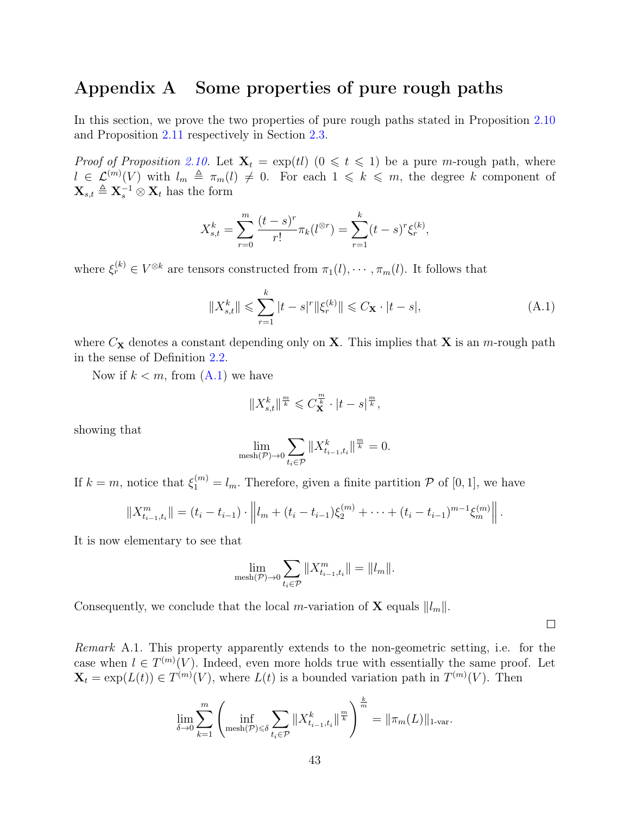## <span id="page-42-0"></span>Appendix A Some properties of pure rough paths

In this section, we prove the two properties of pure rough paths stated in Proposition [2.10](#page-9-1) and Proposition [2.11](#page-9-0) respectively in Section [2.3.](#page-8-0)

*Proof of Proposition [2.10.](#page-9-1)* Let  $X_t = \exp(t)$   $(0 \le t \le 1)$  be a pure *m*-rough path, where  $l \in \mathcal{L}^{(m)}(V)$  with  $l_m \triangleq \pi_m(l) \neq 0$ . For each  $1 \leq k \leq m$ , the degree k component of  $\mathbf{X}_{s,t} \triangleq \mathbf{X}_s^{-1} \otimes \mathbf{X}_t$  has the form

$$
X_{s,t}^k = \sum_{r=0}^m \frac{(t-s)^r}{r!} \pi_k(l^{\otimes r}) = \sum_{r=1}^k (t-s)^r \xi_r^{(k)},
$$

where  $\xi_r^{(k)} \in V^{\otimes k}$  are tensors constructed from  $\pi_1(l), \cdots, \pi_m(l)$ . It follows that

<span id="page-42-1"></span>
$$
||X_{s,t}^k|| \leq \sum_{r=1}^k |t-s|^r ||\xi_r^{(k)}|| \leq C_\mathbf{X} \cdot |t-s|,
$$
\n(A.1)

where  $C_{\mathbf{X}}$  denotes a constant depending only on **X**. This implies that **X** is an *m*-rough path in the sense of Definition [2.2.](#page-6-0)

Now if  $k < m$ , from  $(A.1)$  we have

$$
||X_{s,t}^k||^{\frac{m}{k}} \leqslant C_{\mathbf{X}}^{\frac{m}{k}} \cdot |t-s|^{\frac{m}{k}},
$$

showing that

$$
\lim_{\text{mesh}(\mathcal{P}) \to 0} \sum_{t_i \in \mathcal{P}} \|X^k_{t_{i-1}, t_i}\|^{\frac{m}{k}} = 0.
$$

If  $k = m$ , notice that  $\xi_1^{(m)} = l_m$ . Therefore, given a finite partition  $P$  of [0, 1], we have

$$
||X_{t_{i-1},t_i}^m|| = (t_i - t_{i-1}) \cdot ||t_m + (t_i - t_{i-1})\xi_2^{(m)} + \cdots + (t_i - t_{i-1})^{m-1}\xi_m^{(m)}||.
$$

It is now elementary to see that

$$
\lim_{\text{mesh}(\mathcal{P}) \to 0} \sum_{t_i \in \mathcal{P}} \|X^m_{t_{i-1}, t_i}\| = \|l_m\|.
$$

Consequently, we conclude that the local m-variation of **X** equals  $||l_m||$ .

 $\Box$ 

Remark A.1. This property apparently extends to the non-geometric setting, i.e. for the case when  $l \in T^{(m)}(V)$ . Indeed, even more holds true with essentially the same proof. Let  $\mathbf{X}_t = \exp(L(t)) \in T^{(m)}(V)$ , where  $L(t)$  is a bounded variation path in  $T^{(m)}(V)$ . Then

$$
\lim_{\delta \to 0} \sum_{k=1}^{m} \left( \inf_{\text{mesh}(\mathcal{P}) \leq \delta} \sum_{t_i \in \mathcal{P}} \|X_{t_{i-1}, t_i}^k\|^{\frac{m}{k}} \right)^{\frac{k}{m}} = \|\pi_m(L)\|_{1\text{-var}}.
$$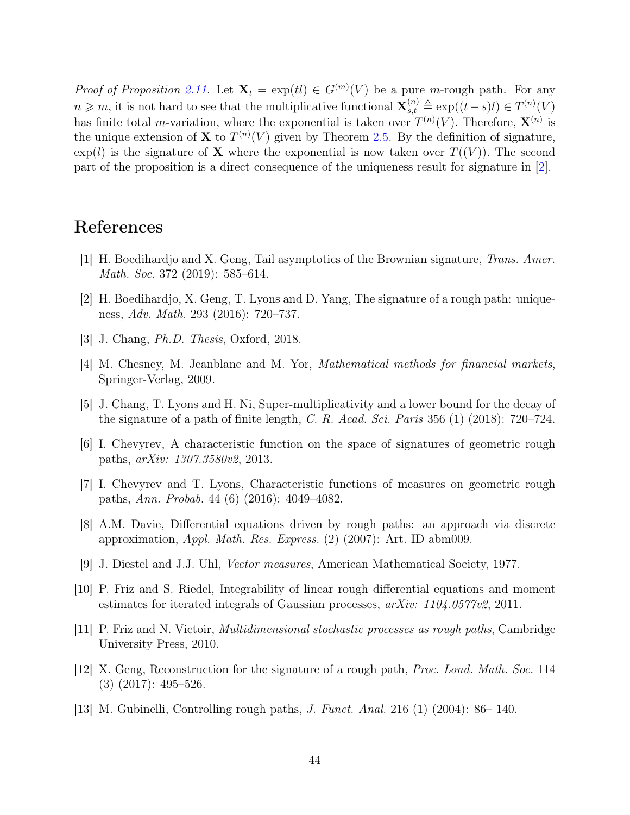*Proof of Proposition [2.11.](#page-9-0)* Let  $X_t = \exp(t) \in G^{(m)}(V)$  be a pure *m*-rough path. For any  $n \geq m$ , it is not hard to see that the multiplicative functional  $\mathbf{X}_{s,t}^{(n)} \triangleq \exp((t-s)l) \in T^{(n)}(V)$ has finite total *m*-variation, where the exponential is taken over  $T^{(n)}(V)$ . Therefore,  $\mathbf{X}^{(n)}$  is the unique extension of **X** to  $T^{(n)}(V)$  given by Theorem [2.5.](#page-7-1) By the definition of signature,  $\exp(l)$  is the signature of **X** where the exponential is now taken over  $T((V))$ . The second part of the proposition is a direct consequence of the uniqueness result for signature in [\[2\]](#page-43-3).

 $\Box$ 

## References

- <span id="page-43-7"></span>[1] H. Boedihardjo and X. Geng, Tail asymptotics of the Brownian signature, Trans. Amer. Math. Soc. 372 (2019): 585–614.
- <span id="page-43-3"></span>[2] H. Boedihardjo, X. Geng, T. Lyons and D. Yang, The signature of a rough path: uniqueness, Adv. Math. 293 (2016): 720–737.
- <span id="page-43-5"></span>[3] J. Chang, Ph.D. Thesis, Oxford, 2018.
- <span id="page-43-0"></span>[4] M. Chesney, M. Jeanblanc and M. Yor, Mathematical methods for financial markets, Springer-Verlag, 2009.
- <span id="page-43-6"></span>[5] J. Chang, T. Lyons and H. Ni, Super-multiplicativity and a lower bound for the decay of the signature of a path of finite length, C. R. Acad. Sci. Paris 356  $(1)$  (2018): 720–724.
- <span id="page-43-12"></span>[6] I. Chevyrev, A characteristic function on the space of signatures of geometric rough paths, arXiv: 1307.3580v2, 2013.
- <span id="page-43-9"></span>[7] I. Chevyrev and T. Lyons, Characteristic functions of measures on geometric rough paths, Ann. Probab. 44 (6) (2016): 4049–4082.
- <span id="page-43-1"></span>[8] A.M. Davie, Differential equations driven by rough paths: an approach via discrete approximation,  $Appl. Math. Res. Express. (2) (2007): Art. ID abm009.$
- <span id="page-43-11"></span>[9] J. Diestel and J.J. Uhl, Vector measures, American Mathematical Society, 1977.
- <span id="page-43-8"></span>[10] P. Friz and S. Riedel, Integrability of linear rough differential equations and moment estimates for iterated integrals of Gaussian processes, arXiv: 1104.0577v2, 2011.
- <span id="page-43-10"></span>[11] P. Friz and N. Victoir, Multidimensional stochastic processes as rough paths, Cambridge University Press, 2010.
- <span id="page-43-4"></span>[12] X. Geng, Reconstruction for the signature of a rough path, Proc. Lond. Math. Soc. 114 (3) (2017): 495–526.
- <span id="page-43-2"></span>[13] M. Gubinelli, Controlling rough paths, J. Funct. Anal. 216 (1) (2004): 86– 140.